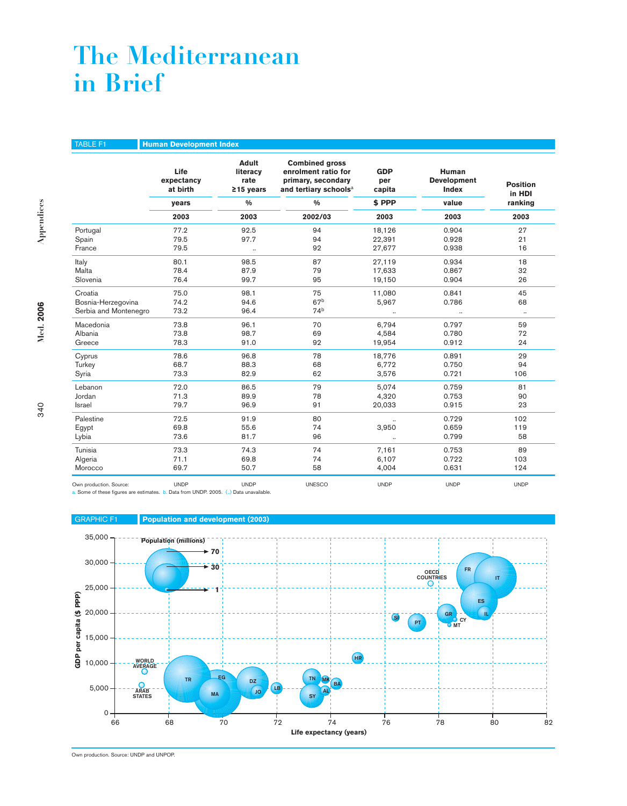# **The Mediterranean in Brief**

TABLE F1 **Human Development Index Adult Combined gross**<br> **Iiteracy enrolment ratio form Life** literacy enrolment ratio for GDP Human<br>expectancy rate primary, secondary per Development **expectancy rate primary, secondary per Development Position at birth ≥15 years and tertiary schools**<sup>a</sup> **capita Index in HDI years % % \$ PPP value ranking 2003 2003 2002/03 2003 2003 2003** Portugal 77.2 92.5 94 18,126 0.904 27 Spain 79.5 97.7 94 22,391 0.928 21 France 79.5 .. 92 27,677 0.938 16 Italy 80.1 98.5 87 27,119 0.934 18 Malta 78.4 87.9 79 17,633 0.867 32 Slovenia 76.4 99.7 95 19,150 0.904 26 Croatia 75.0 98.1 75 11,080 0.841 45 Bosnia-Herzegovina 74.2 94.6 68<br>Serbia and Montenegro 73.2 96.4 74<sup>b</sup> 5,967 0.786 68 Serbia and Montenegro Macedonia 73.8 96.1 70 6,794 0.797 59 Albania 73.8 98.7 69 4,584 0.780 72 Greece 78.3 91.0 92 19,954 0.912 24 Cyprus 78.6 96.8 78 18,776 0.891 29 Turkey 68.7 88.3 68 6,772 0.750 94 Syria 73.3 82.9 62 3,576 0.721 106 Lebanon 72.0 86.5 79 5,074 0.759 81 Jordan 71.3 89.9 78 4,320 0.753 90 Israel 79.7 96.9 91 20,033 0.915 23 Palestine 72.5 91.9 80 .. 0.729 102 Egypt 69.8 55.6 74 3,950 0.659 119 Lybia 73.6 81.7 96 .. 0.799 58 Tunisia 73.3 74.3 74 7,161 0.753 89 Algeria 71.1 69.8 74 6,107 0.722 103 Morocco 69.7 50.7 58 4,004 0.631 124 Own production. Source: UNDP UNDP UNESCO UNDP UNDP UNDP

a. Some of these figures are estimates. b. Data from UNDP. 2005. (..) Data unavailable.



Own production. Source: UNDP and UNPOP.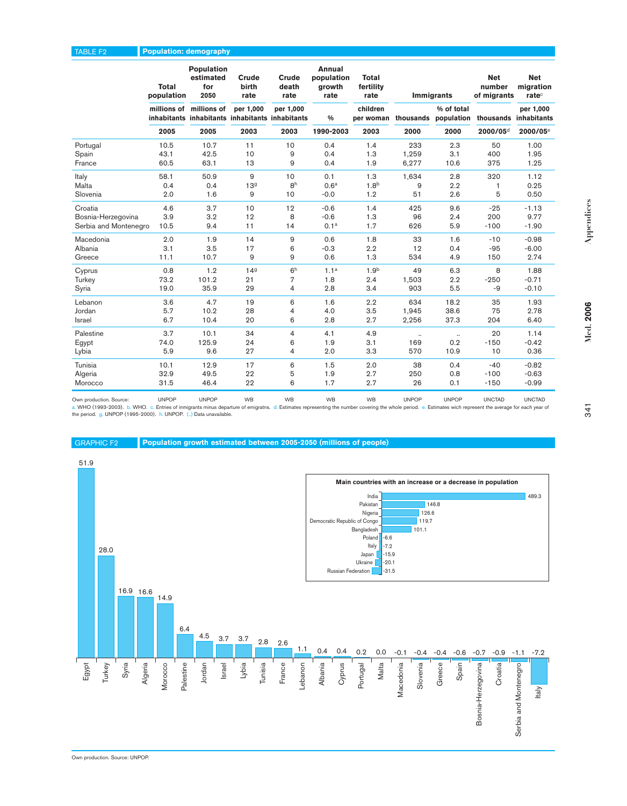### TABLE F2 **Population: demography**

|                       | Total<br>population | Population<br>estimated<br>for<br>2050                                     | Crude<br>birth<br>rate | Crude<br>death<br>rate | Annual<br>population<br>growth<br>rate | <b>Total</b><br>fertility<br>rate | <b>Immigrants</b> |                                    | <b>Net</b><br>number<br>of migrants | <b>Net</b><br>migration<br>rate <sup>c</sup> |
|-----------------------|---------------------|----------------------------------------------------------------------------|------------------------|------------------------|----------------------------------------|-----------------------------------|-------------------|------------------------------------|-------------------------------------|----------------------------------------------|
|                       |                     | millions of millions of<br>inhabitants inhabitants inhabitants inhabitants | per 1,000              | per 1,000              | $\frac{9}{6}$                          | children<br>per woman             |                   | % of total<br>thousands population | thousands inhabitants               | per 1,000                                    |
|                       | 2005                | 2005                                                                       | 2003                   | 2003                   | 1990-2003                              | 2003                              | 2000              | 2000                               | 2000/05 <sup>d</sup>                | 2000/05 <sup>e</sup>                         |
| Portugal              | 10.5                | 10.7                                                                       | 11                     | 10                     | 0.4                                    | 1.4                               | 233               | 2.3                                | 50                                  | 1.00                                         |
| Spain                 | 43.1                | 42.5                                                                       | 10                     | 9                      | 0.4                                    | 1.3                               | 1,259             | 3.1                                | 400                                 | 1.95                                         |
| France                | 60.5                | 63.1                                                                       | 13                     | 9                      | 0.4                                    | 1.9                               | 6,277             | 10.6                               | 375                                 | 1.25                                         |
| Italy                 | 58.1                | 50.9                                                                       | 9                      | 10                     | 0.1                                    | 1.3                               | 1,634             | 2.8                                | 320                                 | 1.12                                         |
| Malta                 | 0.4                 | 0.4                                                                        | 13 <sup>9</sup>        | 8 <sup>h</sup>         | 0.6 <sup>a</sup>                       | 1.8 <sup>b</sup>                  | 9                 | 2.2                                | 1                                   | 0.25                                         |
| Slovenia              | 2.0                 | 1.6                                                                        | 9                      | 10                     | $-0.0$                                 | 1.2                               | 51                | 2.6                                | 5                                   | 0.50                                         |
| Croatia               | 4.6                 | 3.7                                                                        | 10                     | 12                     | $-0.6$                                 | 1.4                               | 425               | 9.6                                | $-25$                               | $-1.13$                                      |
| Bosnia-Herzegovina    | 3.9                 | 3.2                                                                        | 12                     | 8                      | $-0.6$                                 | 1.3                               | 96                | 2.4                                | 200                                 | 9.77                                         |
| Serbia and Montenegro | 10.5                | 9.4                                                                        | 11                     | 14                     | 0.1 <sup>a</sup>                       | 1.7                               | 626               | 5.9                                | $-100$                              | $-1.90$                                      |
| Macedonia             | 2.0                 | 1.9                                                                        | 14                     | $\overline{9}$         | 0.6                                    | 1.8                               | 33                | 1.6                                | $-10$                               | $-0.98$                                      |
| Albania               | 3.1                 | 3.5                                                                        | 17                     | 6                      | $-0.3$                                 | 2.2                               | 12                | 0.4                                | $-95$                               | $-6.00$                                      |
| Greece                | 11.1                | 10.7                                                                       | 9                      | 9                      | 0.6                                    | 1.3                               | 534               | 4.9                                | 150                                 | 2.74                                         |
| Cyprus                | 0.8                 | 1.2                                                                        | 149                    | 6 <sup>h</sup>         | 1.1 <sup>a</sup>                       | 1.9 <sup>b</sup>                  | 49                | 6.3                                | 8                                   | 1.88                                         |
| Turkey                | 73.2                | 101.2                                                                      | 21                     | $\overline{7}$         | 1.8                                    | 2.4                               | 1,503             | 2.2                                | $-250$                              | $-0.71$                                      |
| Syria                 | 19.0                | 35.9                                                                       | 29                     | 4                      | 2.8                                    | 3.4                               | 903               | 5.5                                | -9                                  | $-0.10$                                      |
| Lebanon               | 3.6                 | 4.7                                                                        | 19                     | 6                      | 1.6                                    | 2.2                               | 634               | 18.2                               | 35                                  | 1.93                                         |
| Jordan                | 5.7                 | 10.2                                                                       | 28                     | 4                      | 4.0                                    | 3.5                               | 1,945             | 38.6                               | 75                                  | 2.78                                         |
| Israel                | 6.7                 | 10.4                                                                       | 20                     | 6                      | 2.8                                    | 2.7                               | 2,256             | 37.3                               | 204                                 | 6.40                                         |
| Palestine             | 3.7                 | 10.1                                                                       | 34                     | $\overline{4}$         | 4.1                                    | 4.9                               | $\ddotsc$         | $\ddots$                           | 20                                  | 1.14                                         |
| Egypt                 | 74.0                | 125.9                                                                      | 24                     | 6                      | 1.9                                    | 3.1                               | 169               | 0.2                                | $-150$                              | $-0.42$                                      |
| Lybia                 | 5.9                 | 9.6                                                                        | 27                     | $\overline{4}$         | 2.0                                    | 3.3                               | 570               | 10.9                               | 10                                  | 0.36                                         |
| Tunisia               | 10.1                | 12.9                                                                       | 17                     | 6                      | 1.5                                    | 2.0                               | 38                | 0.4                                | $-40$                               | $-0.82$                                      |
| Algeria               | 32.9                | 49.5                                                                       | 22                     | 5                      | 1.9                                    | 2.7                               | 250               | 0.8                                | $-100$                              | $-0.63$                                      |
| Morocco               | 31.5                | 46.4                                                                       | 22                     | 6                      | 1.7                                    | 2.7                               | 26                | 0.1                                | $-150$                              | $-0.99$                                      |

Own production. Source: UNPOP UNCTAD UNCTAD UNCTAD UNCTAD UNCTAD UNCTAD UNCTAD UNCTAD UNCTAD UNCTAD UNCTAD UNCTAD<br>a. WHO (1993-2003). b. WHO. c. Entries of inmigraths minis departure of emigraths. d. Estimates representing





341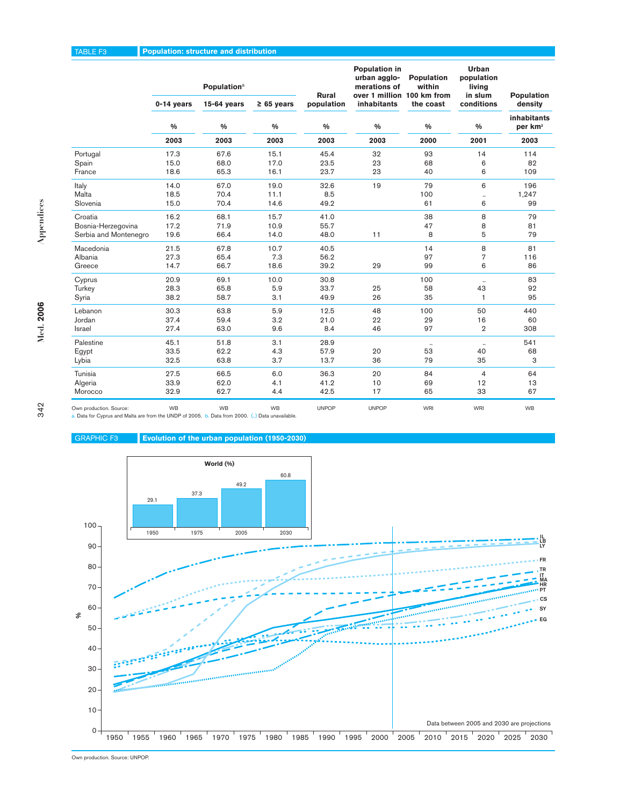|                                                                                                                            |              | <b>Population</b> <sup>a</sup>                |                 | Rural        | Population in<br>urban agglo-<br>merations of<br>over 1 million 100 km from | Population<br>within | Urban<br>population<br>living<br>in slum | Population                         |
|----------------------------------------------------------------------------------------------------------------------------|--------------|-----------------------------------------------|-----------------|--------------|-----------------------------------------------------------------------------|----------------------|------------------------------------------|------------------------------------|
|                                                                                                                            | 0-14 years   | $15-64$ years                                 | $\geq 65$ years | population   | inhabitants                                                                 | the coast            | conditions                               | density                            |
|                                                                                                                            | %            | $\%$                                          | $\%$            | $\%$         | %                                                                           | %                    | %                                        | inhabitants<br>per km <sup>2</sup> |
|                                                                                                                            | 2003         | 2003                                          | 2003            | 2003         | 2003                                                                        | 2000                 | 2001                                     | 2003                               |
| Portugal                                                                                                                   | 17.3         | 67.6                                          | 15.1            | 45.4         | 32                                                                          | 93                   | 14                                       | 114                                |
| Spain                                                                                                                      | 15.0         | 68.0                                          | 17.0            | 23.5         | 23                                                                          | 68                   | 6                                        | 82                                 |
| France                                                                                                                     | 18.6         | 65.3                                          | 16.1            | 23.7         | 23                                                                          | 40                   | 6                                        | 109                                |
| Italy                                                                                                                      | 14.0         | 67.0                                          | 19.0            | 32.6         | 19                                                                          | 79                   | 6                                        | 196                                |
| Malta                                                                                                                      | 18.5         | 70.4                                          | 11.1            | 8.5          |                                                                             | 100                  |                                          | 1,247                              |
| Slovenia                                                                                                                   | 15.0         | 70.4                                          | 14.6            | 49.2         |                                                                             | 61                   | 6                                        | 99                                 |
| Croatia                                                                                                                    | 16.2         | 68.1                                          | 15.7            | 41.0         |                                                                             | 38                   | 8                                        | 79                                 |
| Bosnia-Herzegovina                                                                                                         | 17.2         | 71.9                                          | 10.9            | 55.7         |                                                                             | 47                   | 8                                        | 81                                 |
| Serbia and Montenegro                                                                                                      | 19.6         | 66.4                                          | 14.0            | 48.0         | 11                                                                          | 8                    | 5                                        | 79                                 |
| Macedonia                                                                                                                  | 21.5         | 67.8                                          | 10.7            | 40.5         |                                                                             | 14                   | 8                                        | 81                                 |
| Albania                                                                                                                    | 27.3         | 65.4                                          | 7.3             | 56.2         |                                                                             | 97                   | $\overline{7}$                           | 116                                |
| Greece                                                                                                                     | 14.7         | 66.7                                          | 18.6            | 39.2         | 29                                                                          | 99                   | 6                                        | 86                                 |
| Cyprus                                                                                                                     | 20.9         | 69.1                                          | 10.0            | 30.8         |                                                                             | 100                  |                                          | 83                                 |
| Turkey<br>Syria                                                                                                            | 28.3<br>38.2 | 65.8<br>58.7                                  | 5.9<br>3.1      | 33.7<br>49.9 | 25<br>26                                                                    | 58<br>35             | 43<br>$\mathbf{1}$                       | 92<br>95                           |
|                                                                                                                            |              |                                               |                 |              |                                                                             |                      |                                          |                                    |
| Lebanon                                                                                                                    | 30.3         | 63.8                                          | 5.9             | 12.5         | 48                                                                          | 100                  | 50                                       | 440                                |
| Jordan<br>Israel                                                                                                           | 37.4<br>27.4 | 59.4<br>63.0                                  | 3.2<br>9.6      | 21.0<br>8.4  | 22<br>46                                                                    | 29<br>97             | 16<br>$\overline{2}$                     | 60<br>308                          |
|                                                                                                                            |              |                                               |                 |              |                                                                             |                      |                                          |                                    |
| Palestine                                                                                                                  | 45.1         | 51.8                                          | 3.1             | 28.9         |                                                                             | $\cdot\cdot$         | $\ldots$                                 | 541                                |
| Egypt<br>Lybia                                                                                                             | 33.5<br>32.5 | 62.2<br>63.8                                  | 4.3<br>3.7      | 57.9<br>13.7 | 20<br>36                                                                    | 53<br>79             | 40<br>35                                 | 68<br>3                            |
|                                                                                                                            |              |                                               |                 |              |                                                                             |                      |                                          |                                    |
| Tunisia<br>Algeria                                                                                                         | 27.5<br>33.9 | 66.5<br>62.0                                  | 6.0<br>4.1      | 36.3<br>41.2 | 20<br>10                                                                    | 84<br>69             | $\overline{4}$<br>12                     | 64<br>13                           |
| Morocco                                                                                                                    | 32.9         | 62.7                                          | 4.4             | 42.5         | 17                                                                          | 65                   | 33                                       | 67                                 |
|                                                                                                                            |              |                                               |                 |              |                                                                             |                      |                                          |                                    |
| Own production. Source:<br>a. Data for Cyprus and Malta are from the UNDP of 2005. b. Data from 2000. () Data unavailable. | WB           | WB                                            | <b>WB</b>       | <b>UNPOP</b> | <b>UNPOP</b>                                                                | WRI                  | WRI                                      | WB                                 |
|                                                                                                                            |              |                                               |                 |              |                                                                             |                      |                                          |                                    |
| <b>GRAPHIC F3</b>                                                                                                          |              | Evolution of the urban population (1950-2030) |                 |              |                                                                             |                      |                                          |                                    |
|                                                                                                                            |              |                                               |                 |              |                                                                             |                      |                                          |                                    |
|                                                                                                                            |              | World (%)                                     |                 |              |                                                                             |                      |                                          |                                    |
|                                                                                                                            |              |                                               | 60.8            |              |                                                                             |                      |                                          |                                    |
|                                                                                                                            |              | 49.2                                          |                 |              |                                                                             |                      |                                          |                                    |
|                                                                                                                            | 37.3         |                                               |                 |              |                                                                             |                      |                                          |                                    |
|                                                                                                                            | 29.1         |                                               |                 |              |                                                                             |                      |                                          |                                    |
|                                                                                                                            |              |                                               |                 |              |                                                                             |                      |                                          |                                    |
| $100 -$                                                                                                                    |              |                                               |                 |              |                                                                             |                      |                                          |                                    |
|                                                                                                                            | 1950         | 1975<br>2005                                  | 2030            |              |                                                                             |                      |                                          | IL.                                |
| 90                                                                                                                         |              |                                               |                 |              |                                                                             |                      |                                          | LВ<br>LY                           |
|                                                                                                                            |              |                                               |                 |              |                                                                             |                      |                                          | FR                                 |
| 80                                                                                                                         |              |                                               |                 |              |                                                                             |                      |                                          | TR                                 |
|                                                                                                                            |              |                                               |                 |              |                                                                             |                      |                                          | ΙT<br>MА                           |
| 70                                                                                                                         |              |                                               |                 |              |                                                                             |                      |                                          | HR                                 |
|                                                                                                                            |              |                                               |                 |              |                                                                             |                      |                                          | CS                                 |
| 60<br>వి                                                                                                                   |              |                                               |                 |              |                                                                             |                      |                                          | S٧                                 |
|                                                                                                                            |              |                                               |                 |              |                                                                             |                      |                                          |                                    |
| 50                                                                                                                         |              |                                               |                 |              |                                                                             |                      |                                          |                                    |
| 40                                                                                                                         |              |                                               |                 |              |                                                                             |                      |                                          |                                    |
|                                                                                                                            |              |                                               |                 |              |                                                                             |                      |                                          |                                    |

Appendices **Appendices**

### GRAPHIC F3 **Evolution of the urban population (1950-2030)**



Own production. Source: UNPOP.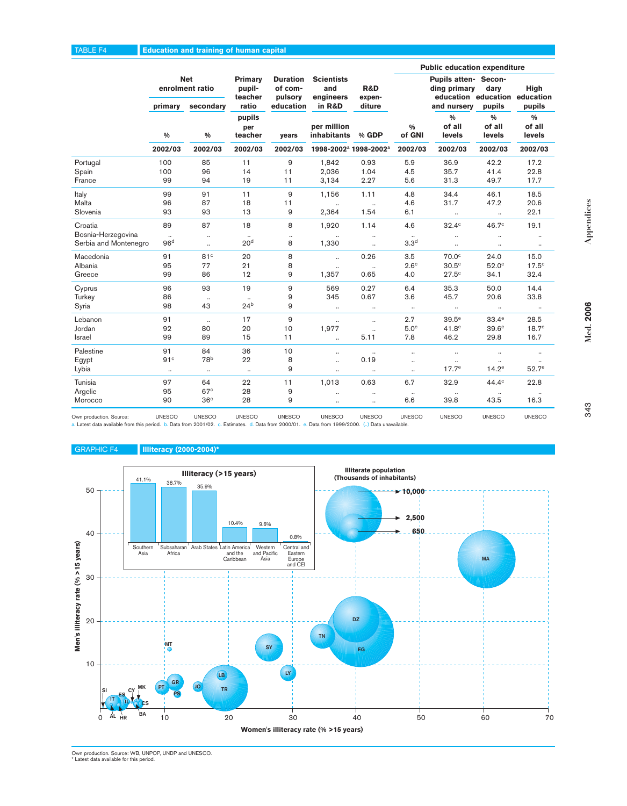### TABLE F4 **Education and training of human capital**

|                                                        |                                   |                                            |                                                                                                    |                    |                                                 |                                    | <b>Public education expenditure</b> |                                                                                      |                                   |                                   |  |
|--------------------------------------------------------|-----------------------------------|--------------------------------------------|----------------------------------------------------------------------------------------------------|--------------------|-------------------------------------------------|------------------------------------|-------------------------------------|--------------------------------------------------------------------------------------|-----------------------------------|-----------------------------------|--|
|                                                        | primary                           | <b>Net</b><br>enrolment ratio<br>secondary | <b>Duration</b><br><b>Primary</b><br>pupil-<br>of com-<br>teacher<br>pulsory<br>ratio<br>education |                    | <b>Scientists</b><br>and<br>engineers<br>in R&D | <b>R&amp;D</b><br>expen-<br>diture |                                     | Pupils atten- Secon-<br>ding primary<br>education education education<br>and nursery | dary<br>pupils                    | <b>High</b><br>pupils             |  |
|                                                        | $\frac{0}{0}$                     | $\frac{0}{0}$                              | pupils<br>per<br>teacher                                                                           | years              | per million<br><b>inhabitants</b>               | % GDP                              | $\frac{0}{0}$<br>of GNI             | $\frac{0}{0}$<br>of all<br>levels                                                    | $\frac{0}{0}$<br>of all<br>levels | $\frac{0}{0}$<br>of all<br>levels |  |
|                                                        | 2002/03                           | 2002/03                                    | 2002/03                                                                                            | 2002/03            | 1998-2002 <sup>a</sup> 1998-2002 <sup>a</sup>   |                                    | 2002/03                             | 2002/03                                                                              | 2002/03                           | 2002/03                           |  |
| Portugal                                               | 100                               | 85                                         | 11                                                                                                 | 9                  | 1,842                                           | 0.93                               | 5.9                                 | 36.9                                                                                 | 42.2                              | 17.2                              |  |
| Spain                                                  | 100                               | 96                                         | 14                                                                                                 | 11                 | 2,036                                           | 1.04                               | 4.5                                 | 35.7                                                                                 | 41.4                              | 22.8                              |  |
| France                                                 | 99                                | 94                                         | 19                                                                                                 | 11                 | 3,134                                           | 2.27                               | 5.6                                 | 31.3                                                                                 | 49.7                              | 17.7                              |  |
| Italy                                                  | 99                                | 91                                         | 11                                                                                                 | 9                  | 1,156                                           | 1.11                               | 4.8                                 | 34.4                                                                                 | 46.1                              | 18.5                              |  |
| Malta                                                  | 96                                | 87                                         | 18                                                                                                 | 11                 | $\ldots$                                        | $\ldots$                           | 4.6                                 | 31.7                                                                                 | 47.2                              | 20.6                              |  |
| Slovenia                                               | 93                                | 93                                         | 13                                                                                                 | 9                  | 2,364                                           | 1.54                               | 6.1                                 | $\ldots$                                                                             | $\ldots$                          | 22.1                              |  |
| Croatia<br>Bosnia-Herzegovina<br>Serbia and Montenegro | 89<br>$\ldots$<br>96 <sup>d</sup> | 87<br>$\ldots$<br>$\ldots$                 | 18<br>20 <sup>d</sup>                                                                              | 8<br>$\ldots$<br>8 | 1,920<br>1,330                                  | 1.14<br>$\ddotsc$<br>$\ldots$      | 4.6<br>3.3 <sup>d</sup>             | $32.4^\circ$<br>                                                                     | 46.7 <sup>c</sup><br><br>$\ldots$ | 19.1<br>$\ldots$                  |  |
| Macedonia                                              | 91                                | 81c                                        | 20                                                                                                 | 8                  | $\ddotsc$                                       | 0.26                               | 3.5                                 | 70.0 <sup>c</sup>                                                                    | 24.0                              | 15.0                              |  |
| Albania                                                | 95                                | 77                                         | 21                                                                                                 | 8                  | $\ldots$                                        | $\ddotsc$                          | $2.6^\circ$                         | 30.5 <sup>c</sup>                                                                    | $52.0^\circ$                      | $17.5^{\circ}$                    |  |
| Greece                                                 | 99                                | 86                                         | 12                                                                                                 | 9                  | 1,357                                           | 0.65                               | 4.0                                 | 27.5c                                                                                | 34.1                              | 32.4                              |  |
| Cyprus                                                 | 96                                | 93                                         | 19                                                                                                 | 9                  | 569                                             | 0.27                               | 6.4                                 | 35.3                                                                                 | 50.0                              | 14.4                              |  |
| Turkey                                                 | 86                                | $\ldots$                                   | $\ddotsc$                                                                                          | 9                  | 345                                             | 0.67                               | 3.6                                 | 45.7                                                                                 | 20.6                              | 33.8                              |  |
| Syria                                                  | 98                                | 43                                         | 24 <sup>b</sup>                                                                                    | 9                  | $\ddotsc$                                       | $\cdot\cdot$                       | $\ldots$                            | $\ldots$                                                                             | $\cdot\cdot$                      | $\cdot\cdot$                      |  |
| Lebanon                                                | 91                                | $\ddotsc$                                  | 17                                                                                                 | 9                  | $\ddotsc$                                       | $\ldots$                           | 2.7                                 | 39.5 <sup>e</sup>                                                                    | $33.4^\mathrm{e}$                 | 28.5                              |  |
| Jordan                                                 | 92                                | 80                                         | 20                                                                                                 | 10                 | 1,977                                           | $\ddotsc$                          | 5.0 <sup>e</sup>                    | 41.8 <sup>e</sup>                                                                    | 39.6 <sup>e</sup>                 | 18.7 <sup>e</sup>                 |  |
| Israel                                                 | 99                                | 89                                         | 15                                                                                                 | 11                 | $\ddotsc$                                       | 5.11                               | 7.8                                 | 46.2                                                                                 | 29.8                              | 16.7                              |  |
| Palestine                                              | 91                                | 84                                         | 36                                                                                                 | 10                 | $\ldots$                                        | $\ldots$                           | $\ddotsc$                           | $\ddotsc$                                                                            | $\ldots$                          | $\ddotsc$                         |  |
| Egypt                                                  | 91 <sup>c</sup>                   | 78 <sup>b</sup>                            | 22                                                                                                 | 8                  | $\ddotsc$                                       | 0.19                               | $\ddotsc$                           | $\ldots$                                                                             | $\ldots$                          |                                   |  |
| Lybia                                                  | $\ldots$                          | $\ldots$                                   | $\ddotsc$                                                                                          | 9                  | $\ldots$                                        | $\ldots$                           | $\ddotsc$                           | $17.7^e$                                                                             | $14.2^e$                          | 52.7 <sup>e</sup>                 |  |
| Tunisia<br>Argelie<br>Morocco                          | 97<br>95<br>90                    | 64<br>67 <sup>c</sup><br>36 <sup>c</sup>   | 22<br>28<br>28                                                                                     | 11<br>9<br>9       | 1,013<br>$\ddotsc$<br>$\cdot\cdot$              | 0.63<br>$\ldots$<br>$\ldots$       | 6.7<br>$\cdot\cdot$<br>6.6          | 32.9<br>39.8                                                                         | 44.4 <sup>c</sup><br>43.5         | 22.8<br>16.3                      |  |

Own production. Source: COMESCO UNESCO UNESCO UNESCO UNESCO UNESCO UNESCO UNESCO UNESCO UNESCO UNESCO UNESCO UNESCO<br>a. Latest data available from this period. b. Data from 2001/02. c. Estimates. d. Data from 2000/01. e. Da

### GRAPHIC F4 **Illiteracy (2000-2004)\***



Own production. Source: WB, UNPOP, UNDP and UNESCO. \* Latest data available for this period.

**Med. 2006**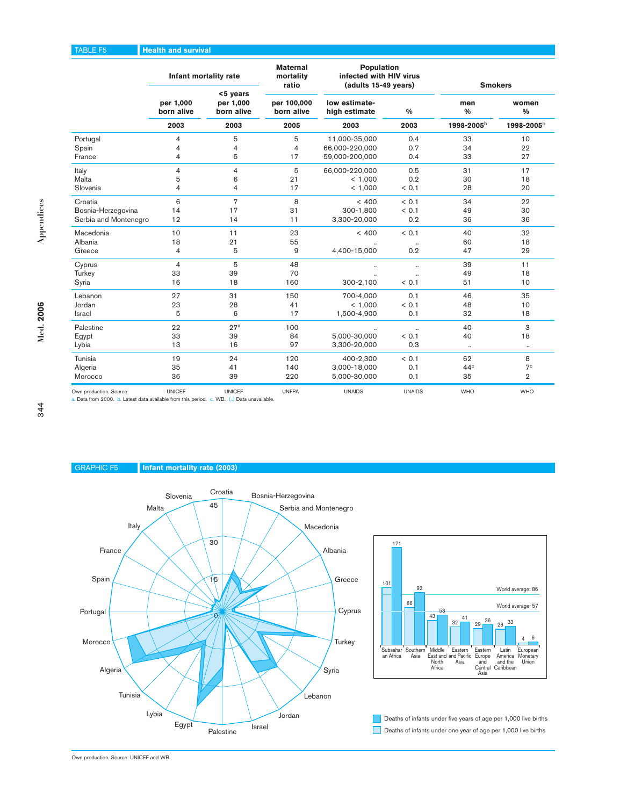### TABLE F5 **Health and survival**

|                         |                         | Infant mortality rate               | <b>Maternal</b><br>mortality<br>ratio | Population<br>infected with HIV virus<br>(adults 15-49 years) |                      | <b>Smokers</b>       |                        |  |
|-------------------------|-------------------------|-------------------------------------|---------------------------------------|---------------------------------------------------------------|----------------------|----------------------|------------------------|--|
|                         | per 1,000<br>born alive | <5 years<br>per 1,000<br>born alive | per 100,000<br>born alive             | low estimate-<br>high estimate                                | $\frac{0}{0}$        | men<br>$\frac{0}{0}$ | women<br>$\frac{0}{0}$ |  |
|                         | 2003                    | 2003                                | 2005                                  | 2003                                                          | 2003                 | 1998-2005b           | 1998-2005b             |  |
| Portugal                | 4                       | 5                                   | 5                                     | 11.000-35.000                                                 | 0.4                  | 33                   | 10                     |  |
| Spain                   | 4                       | 4                                   | 4                                     | 66,000-220,000                                                | 0.7                  | 34                   | 22                     |  |
| France                  | 4                       | 5                                   | 17                                    | 59,000-200,000                                                | 0.4                  | 33                   | 27                     |  |
| Italy                   | 4                       | $\overline{\mathbf{4}}$             | 5                                     | 66,000-220,000                                                | 0.5                  | 31                   | 17                     |  |
| Malta                   | 5                       | 6                                   | 21                                    | < 1,000                                                       | 0.2                  | 30                   | 18                     |  |
| Slovenia                | 4                       | $\overline{\mathbf{4}}$             | 17                                    | < 1,000                                                       | < 0.1                | 28                   | 20                     |  |
| Croatia                 | 6                       | $\overline{7}$                      | 8                                     | < 400                                                         | < 0.1                | 34                   | 22                     |  |
| Bosnia-Herzegovina      | 14                      | 17                                  | 31                                    | 300-1.800                                                     | < 0.1                | 49                   | 30                     |  |
| Serbia and Montenegro   | 12                      | 14                                  | 11                                    | 3,300-20,000                                                  | 0.2                  | 36                   | 36                     |  |
| Macedonia               | 10                      | 11                                  | 23                                    | < 400                                                         | < 0.1                | 40                   | 32                     |  |
| Albania                 | 18                      | 21                                  | 55                                    |                                                               |                      | 60                   | 18                     |  |
| Greece                  | 4                       | 5                                   | 9                                     | 4,400-15,000                                                  | 0.2                  | 47                   | 29                     |  |
| Cyprus                  | 4                       | 5                                   | 48                                    | $\ddotsc$                                                     | $\ldots$             | 39                   | 11                     |  |
| Turkey                  | 33                      | 39                                  | 70                                    | $\ddot{\phantom{a}}$                                          | $\ddot{\phantom{a}}$ | 49                   | 18                     |  |
| Syria                   | 16                      | 18                                  | 160                                   | 300-2,100                                                     | < 0.1                | 51                   | 10                     |  |
| Lebanon                 | 27                      | 31                                  | 150                                   | 700-4,000                                                     | 0.1                  | 46                   | 35                     |  |
| Jordan                  | 23                      | 28                                  | 41                                    | < 1,000                                                       | < 0.1                | 48                   | 10                     |  |
| <b>Israel</b>           | 5                       | 6                                   | 17                                    | 1,500-4,900                                                   | 0.1                  | 32                   | 18                     |  |
| Palestine               | 22                      | 27 <sup>a</sup>                     | 100                                   |                                                               | $\ldots$             | 40                   | 3                      |  |
| Egypt                   | 33                      | 39                                  | 84                                    | 5,000-30,000                                                  | < 0.1                | 40                   | 18                     |  |
| Lybia                   | 13                      | 16                                  | 97                                    | 3,300-20,000                                                  | 0.3                  | $\ldots$             |                        |  |
| Tunisia                 | 19                      | 24                                  | 120                                   | 400-2,300                                                     | < 0.1                | 62                   | 8                      |  |
| Algeria                 | 35                      | 41                                  | 140                                   | 3,000-18,000                                                  | 0.1                  | 44 <sup>c</sup>      | 7 <sup>c</sup>         |  |
| Morocco                 | 36                      | 39                                  | 220                                   | 5,000-30,000                                                  | 0.1                  | 35                   | $\overline{2}$         |  |
| Own production. Source: | <b>UNICEF</b>           | <b>UNICEF</b>                       | <b>UNFPA</b>                          | <b>UNAIDS</b>                                                 | <b>UNAIDS</b>        | <b>WHO</b>           | <b>WHO</b>             |  |

a. Data from 2000. b. Latest data available from this period. c. WB. (..) Data unavailable.

### GRAPHIC F5 **Infant mortality rate (2003)**





Deaths of infants under one year of age per 1,000 live births Deaths of infants under five years of age per 1,000 live births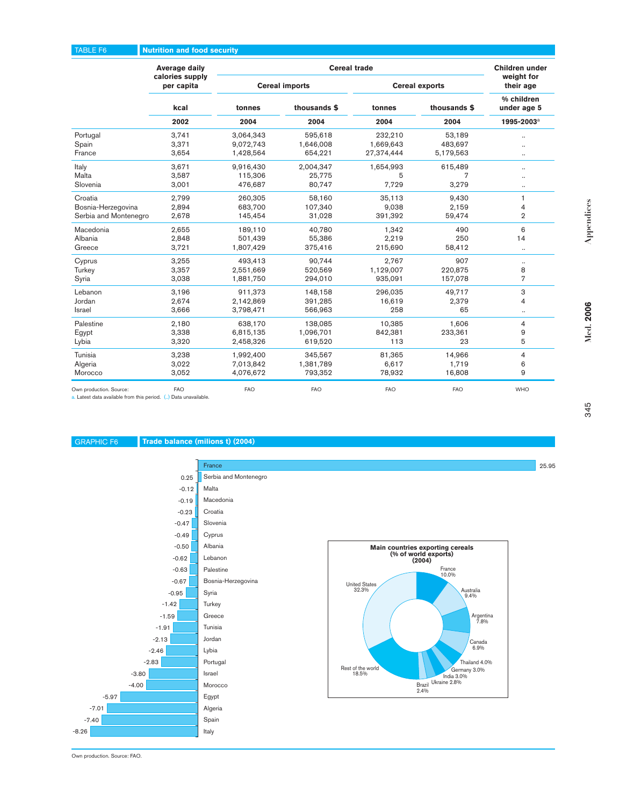### TABLE F6 **Nutrition and food security**

|                         | <b>Average daily</b>          |            |                       | <b>Cereal trade</b> |                       | Children under            |
|-------------------------|-------------------------------|------------|-----------------------|---------------------|-----------------------|---------------------------|
|                         | calories supply<br>per capita |            | <b>Cereal imports</b> |                     | <b>Cereal exports</b> | weight for<br>their age   |
|                         | kcal                          | tonnes     | thousands \$          | tonnes              | thousands \$          | % children<br>under age 5 |
|                         | 2002                          | 2004       | 2004                  | 2004                | 2004                  | 1995-2003 <sup>a</sup>    |
| Portugal                | 3,741                         | 3,064,343  | 595,618               | 232,210             | 53.189                |                           |
| Spain                   | 3,371                         | 9,072,743  | 1,646,008             | 1,669,643           | 483,697               |                           |
| France                  | 3,654                         | 1,428,564  | 654,221               | 27,374,444          | 5,179,563             |                           |
| Italy                   | 3,671                         | 9,916,430  | 2,004,347             | 1,654,993           | 615,489               | $\cdots$                  |
| Malta                   | 3,587                         | 115,306    | 25,775                | 5                   | 7                     |                           |
| Slovenia                | 3,001                         | 476,687    | 80,747                | 7,729               | 3,279                 | $\cdots$                  |
| Croatia                 | 2,799                         | 260,305    | 58,160                | 35,113              | 9,430                 | $\mathbf{1}$              |
| Bosnia-Herzegovina      | 2,894                         | 683,700    | 107,340               | 9,038               | 2,159                 | $\overline{4}$            |
| Serbia and Montenegro   | 2,678                         | 145,454    | 31,028                | 391,392             | 59,474                | $\overline{2}$            |
| Macedonia               | 2,655                         | 189,110    | 40,780                | 1,342               | 490                   | 6                         |
| Albania                 | 2,848                         | 501,439    | 55,386                | 2,219               | 250                   | 14                        |
| Greece                  | 3,721                         | 1,807,429  | 375,416               | 215,690             | 58,412                | $\cdots$                  |
| Cyprus                  | 3,255                         | 493,413    | 90.744                | 2.767               | 907                   | $\cdot\cdot$              |
| Turkey                  | 3,357                         | 2,551,669  | 520,569               | 1,129,007           | 220,875               | 8                         |
| Syria                   | 3,038                         | 1,881,750  | 294,010               | 935,091             | 157,078               | $\overline{7}$            |
| Lebanon                 | 3,196                         | 911,373    | 148,158               | 296,035             | 49,717                | 3                         |
| Jordan                  | 2,674                         | 2,142,869  | 391,285               | 16,619              | 2,379                 | 4                         |
| <b>Israel</b>           | 3,666                         | 3,798,471  | 566,963               | 258                 | 65                    | $\cdot\cdot$              |
| Palestine               | 2,180                         | 638,170    | 138,085               | 10,385              | 1,606                 | 4                         |
| Egypt                   | 3,338                         | 6,815,135  | 1,096,701             | 842,381             | 233,361               | 9                         |
| Lybia                   | 3,320                         | 2,458,326  | 619,520               | 113                 | 23                    | 5                         |
| Tunisia                 | 3,238                         | 1,992,400  | 345,567               | 81,365              | 14,966                | 4                         |
| Algeria                 | 3,022                         | 7,013,842  | 1,381,789             | 6,617               | 1,719                 | 6                         |
| Morocco                 | 3,052                         | 4,076,672  | 793,352               | 78,932              | 16,808                | 9                         |
| Own production. Source: | <b>FAO</b>                    | <b>FAO</b> | <b>FAO</b>            | <b>FAO</b>          | <b>FAO</b>            | <b>WHO</b>                |

a. Latest data available from this period. (..) Data unavailable.

### GRAPHIC F6 **Trade balance (milions t) (2004)**





Med. 2006 **Med. 2006**

**Appendices**

Appendices

25.95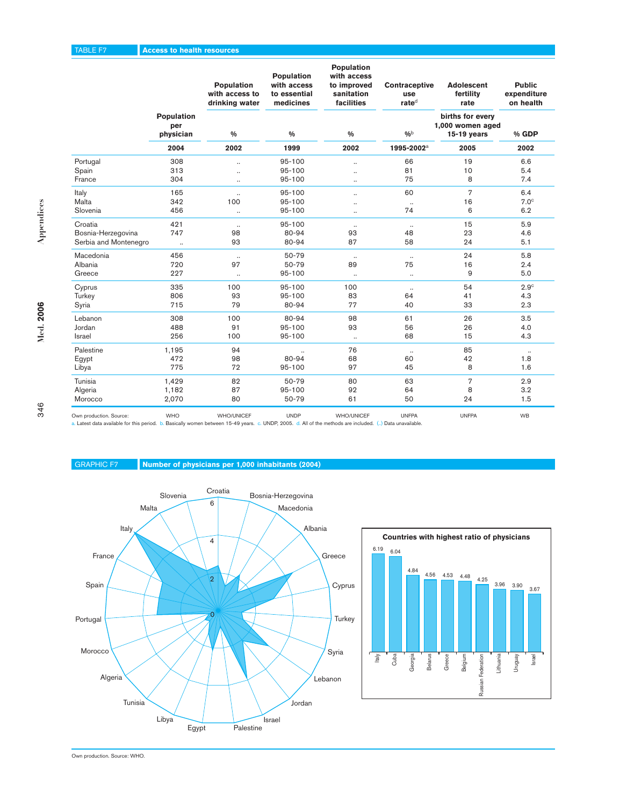### TABLE F7 **Access to health resources**

|                       |                                | Population<br>with access to<br>drinking water | Population<br>with access<br>to essential<br>medicines | Population<br>with access<br>to improved<br>sanitation<br>facilities | Contraceptive<br>use<br>rated | <b>Adolescent</b><br>fertility<br>rate                | <b>Public</b><br>expenditure<br>on health |
|-----------------------|--------------------------------|------------------------------------------------|--------------------------------------------------------|----------------------------------------------------------------------|-------------------------------|-------------------------------------------------------|-------------------------------------------|
|                       | Population<br>per<br>physician | $\frac{0}{0}$                                  | $\frac{0}{0}$                                          | $\frac{9}{6}$                                                        | 0/b                           | births for every<br>1,000 women aged<br>$15-19$ years | % GDP                                     |
|                       | 2004                           | 2002                                           | 1999                                                   | 2002                                                                 | 1995-2002 <sup>a</sup>        | 2005                                                  | 2002                                      |
| Portugal              | 308                            | $\ddot{\phantom{a}}$                           | 95-100                                                 | $\ddotsc$                                                            | 66                            | 19                                                    | 6.6                                       |
| Spain                 | 313                            |                                                | 95-100                                                 | $\ddot{\phantom{0}}$                                                 | 81                            | 10                                                    | 5.4                                       |
| France                | 304                            | $\ldots$                                       | 95-100                                                 | $\ldots$                                                             | 75                            | 8                                                     | 7.4                                       |
| Italy                 | 165                            | $\ddotsc$                                      | 95-100                                                 | $\ddotsc$                                                            | 60                            | $\overline{7}$                                        | 6.4                                       |
| Malta                 | 342                            | 100                                            | 95-100                                                 | $\ddot{\phantom{0}}$                                                 | $\cdot\cdot$                  | 16                                                    | 7.0 <sup>c</sup>                          |
| Slovenia              | 456                            | $\ddotsc$                                      | 95-100                                                 | $\ldots$                                                             | 74                            | 6                                                     | 6.2                                       |
| Croatia               | 421                            | $\ddotsc$                                      | 95-100                                                 | $\ddot{\phantom{0}}$                                                 | $\ldots$                      | 15                                                    | 5.9                                       |
| Bosnia-Herzegovina    | 747                            | 98                                             | 80-94                                                  | 93                                                                   | 48                            | 23                                                    | 4.6                                       |
| Serbia and Montenegro | $\ldots$                       | 93                                             | 80-94                                                  | 87                                                                   | 58                            | 24                                                    | 5.1                                       |
| Macedonia             | 456                            | $\ldots$                                       | 50-79                                                  | $\ldots$                                                             | $\cdot\cdot$                  | 24                                                    | 5.8                                       |
| Albania               | 720                            | 97                                             | 50-79                                                  | 89                                                                   | 75                            | 16                                                    | 2.4                                       |
| Greece                | 227                            | $\cdot\cdot$                                   | 95-100                                                 | $\ddotsc$                                                            | $\cdot\cdot$                  | 9                                                     | 5.0                                       |
| Cyprus                | 335                            | 100                                            | 95-100                                                 | 100                                                                  | $\ldots$                      | 54                                                    | 2.9 <sup>c</sup>                          |
| Turkey                | 806                            | 93                                             | 95-100                                                 | 83                                                                   | 64                            | 41                                                    | 4.3                                       |
| Syria                 | 715                            | 79                                             | 80-94                                                  | 77                                                                   | 40                            | 33                                                    | 2.3                                       |
| Lebanon               | 308                            | 100                                            | 80-94                                                  | 98                                                                   | 61                            | 26                                                    | 3.5                                       |
| Jordan                | 488                            | 91                                             | 95-100                                                 | 93                                                                   | 56                            | 26                                                    | 4.0                                       |
| Israel                | 256                            | 100                                            | 95-100                                                 | $\cdot\cdot$                                                         | 68                            | 15                                                    | 4.3                                       |
| Palestine             | 1,195                          | 94                                             |                                                        | 76                                                                   | $\ldots$                      | 85                                                    | $\ldots$                                  |
| Egypt                 | 472                            | 98                                             | 80-94                                                  | 68                                                                   | 60                            | 42                                                    | 1.8                                       |
| Libya                 | 775                            | 72                                             | 95-100                                                 | 97                                                                   | 45                            | 8                                                     | 1.6                                       |
| Tunisia               | 1,429                          | 82                                             | 50-79                                                  | 80                                                                   | 63                            | $\overline{7}$                                        | 2.9                                       |
| Algeria               | 1,182                          | 87                                             | 95-100                                                 | 92                                                                   | 64                            | 8                                                     | 3.2                                       |
| Morocco               | 2,070                          | 80                                             | 50-79                                                  | 61                                                                   | 50                            | 24                                                    | 1.5                                       |
|                       |                                |                                                |                                                        |                                                                      |                               |                                                       |                                           |

Own production. Source: WHO WHO WHO/UNICEF UNDP WHO/UNICEF UNFPA UNFPA UNFPA UNFPA<br>a. Latest data available for this period. b. Basically women between 15-49 years. c. UNDP, 2005. d. All of the methods are included. (..) D

### GRAPHIC F7 **Number of physicians per 1,000 inhabitants (2004)**





Own production. Source: WHO.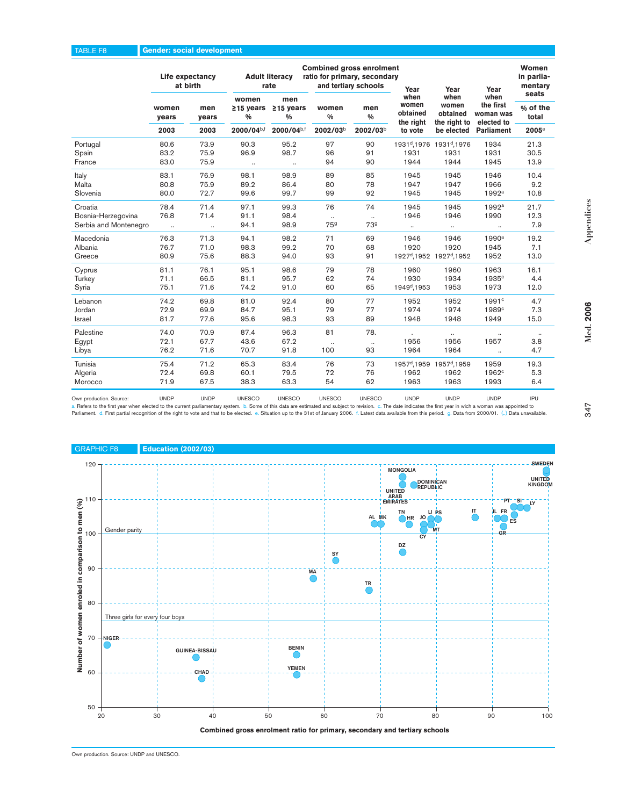| when<br>women<br>men<br>women<br>the first<br>women<br>women<br>men<br>$≥15$ years<br>$≥15$ years<br>men<br>women<br>obtained<br>obtained<br>woman was<br>$\frac{0}{0}$<br>$\%$<br>total<br>$\frac{0}{0}$<br>$\frac{0}{0}$<br>years<br>years<br>the right<br>the right to<br>elected to<br>2000/04b,f<br>2000/04b,f<br>2002/03b<br>2003<br>2002/03b<br>2003<br>be elected<br><b>Parliament</b><br>$2005^{\circ}$<br>to vote<br>1931 <sup>d</sup> , 1976 1931 <sup>d</sup> , 1976<br>73.9<br>90.3<br>95.2<br>97<br>1934<br>21.3<br>80.6<br>90<br>Portugal<br>83.2<br>75.9<br>96.9<br>98.7<br>96<br>30.5<br>Spain<br>91<br>1931<br>1931<br>1931<br>83.0<br>75.9<br>94<br>90<br>1944<br>1944<br>1945<br>13.9<br>France<br>$\cdot\cdot$<br>$\cdot\cdot$<br>76.9<br>98.9<br>89<br>83.1<br>98.1<br>85<br>1945<br>1945<br>1946<br>10.4 |       | Life expectancy<br>at birth |  | <b>Adult literacy</b><br>rate |  | <b>Combined gross enrolment</b><br>ratio for primary, secondary<br>and tertiary schools |  | Year<br>when | Year<br>when | Year | Women<br>in parlia-<br>mentary<br>seats |
|---------------------------------------------------------------------------------------------------------------------------------------------------------------------------------------------------------------------------------------------------------------------------------------------------------------------------------------------------------------------------------------------------------------------------------------------------------------------------------------------------------------------------------------------------------------------------------------------------------------------------------------------------------------------------------------------------------------------------------------------------------------------------------------------------------------------------------|-------|-----------------------------|--|-------------------------------|--|-----------------------------------------------------------------------------------------|--|--------------|--------------|------|-----------------------------------------|
|                                                                                                                                                                                                                                                                                                                                                                                                                                                                                                                                                                                                                                                                                                                                                                                                                                 |       |                             |  |                               |  |                                                                                         |  |              |              |      | % of the                                |
|                                                                                                                                                                                                                                                                                                                                                                                                                                                                                                                                                                                                                                                                                                                                                                                                                                 |       |                             |  |                               |  |                                                                                         |  |              |              |      |                                         |
|                                                                                                                                                                                                                                                                                                                                                                                                                                                                                                                                                                                                                                                                                                                                                                                                                                 |       |                             |  |                               |  |                                                                                         |  |              |              |      |                                         |
|                                                                                                                                                                                                                                                                                                                                                                                                                                                                                                                                                                                                                                                                                                                                                                                                                                 |       |                             |  |                               |  |                                                                                         |  |              |              |      |                                         |
|                                                                                                                                                                                                                                                                                                                                                                                                                                                                                                                                                                                                                                                                                                                                                                                                                                 |       |                             |  |                               |  |                                                                                         |  |              |              |      |                                         |
|                                                                                                                                                                                                                                                                                                                                                                                                                                                                                                                                                                                                                                                                                                                                                                                                                                 | Italy |                             |  |                               |  |                                                                                         |  |              |              |      |                                         |
| 89.2<br>78<br>9.2<br>Malta<br>80.8<br>75.9<br>86.4<br>80<br>1947<br>1947<br>1966                                                                                                                                                                                                                                                                                                                                                                                                                                                                                                                                                                                                                                                                                                                                                |       |                             |  |                               |  |                                                                                         |  |              |              |      |                                         |
| 99.6<br>99<br>92<br>1992 <sup>a</sup><br>10.8<br>Slovenia<br>80.0<br>72.7<br>99.7<br>1945<br>1945                                                                                                                                                                                                                                                                                                                                                                                                                                                                                                                                                                                                                                                                                                                               |       |                             |  |                               |  |                                                                                         |  |              |              |      |                                         |
| 71.4<br>97.1<br>76<br>74<br>Croatia<br>78.4<br>99.3<br>1945<br>1945<br>1992 <sup>a</sup><br>21.7                                                                                                                                                                                                                                                                                                                                                                                                                                                                                                                                                                                                                                                                                                                                |       |                             |  |                               |  |                                                                                         |  |              |              |      |                                         |
| 76.8<br>71.4<br>91.1<br>98.4<br>12.3<br>1946<br>1946<br>1990<br>Bosnia-Herzegovina<br>$\ldots$<br>$\ddotsc$                                                                                                                                                                                                                                                                                                                                                                                                                                                                                                                                                                                                                                                                                                                     |       |                             |  |                               |  |                                                                                         |  |              |              |      |                                         |
| 759<br>739<br>7.9<br>94.1<br>98.9<br>Serbia and Montenegro<br>$\ddot{\phantom{0}}$<br><br><br>                                                                                                                                                                                                                                                                                                                                                                                                                                                                                                                                                                                                                                                                                                                                  |       |                             |  |                               |  |                                                                                         |  |              |              |      |                                         |
| 71.3<br>71<br>Macedonia<br>76.3<br>94.1<br>98.2<br>69<br>1946<br>1990a<br>19.2<br>1946                                                                                                                                                                                                                                                                                                                                                                                                                                                                                                                                                                                                                                                                                                                                          |       |                             |  |                               |  |                                                                                         |  |              |              |      |                                         |
| 71.0<br>98.3<br>99.2<br>70<br>1920<br>1920<br>7.1<br>Albania<br>76.7<br>68<br>1945                                                                                                                                                                                                                                                                                                                                                                                                                                                                                                                                                                                                                                                                                                                                              |       |                             |  |                               |  |                                                                                         |  |              |              |      |                                         |
| 88.3<br>93<br>13.0<br>Greece<br>80.9<br>75.6<br>94.0<br>91<br>1927 <sup>d</sup> , 1952 1927 <sup>d</sup> , 1952<br>1952                                                                                                                                                                                                                                                                                                                                                                                                                                                                                                                                                                                                                                                                                                         |       |                             |  |                               |  |                                                                                         |  |              |              |      |                                         |
| 76.1<br>95.1<br>98.6<br>79<br>78<br>1963<br>16.1<br>81.1<br>1960<br>1960<br>Cyprus                                                                                                                                                                                                                                                                                                                                                                                                                                                                                                                                                                                                                                                                                                                                              |       |                             |  |                               |  |                                                                                         |  |              |              |      |                                         |
| 66.5<br>81.1<br>95.7<br>62<br>74<br>1930<br>71.1<br>1934<br>1935 <sup>c</sup><br>4.4<br>Turkey                                                                                                                                                                                                                                                                                                                                                                                                                                                                                                                                                                                                                                                                                                                                  |       |                             |  |                               |  |                                                                                         |  |              |              |      |                                         |
| 1949 <sup>d</sup> , 1953<br>75.1<br>71.6<br>74.2<br>91.0<br>60<br>65<br>1953<br>1973<br>12.0<br>Syria                                                                                                                                                                                                                                                                                                                                                                                                                                                                                                                                                                                                                                                                                                                           |       |                             |  |                               |  |                                                                                         |  |              |              |      |                                         |
| 81.0<br>80<br>Lebanon<br>69.8<br>92.4<br>77<br>1952<br>1991 <sup>c</sup><br>4.7<br>74.2<br>1952                                                                                                                                                                                                                                                                                                                                                                                                                                                                                                                                                                                                                                                                                                                                 |       |                             |  |                               |  |                                                                                         |  |              |              |      |                                         |
| Jordan<br>84.7<br>95.1<br>79<br>77<br>1974<br>1974<br>7.3<br>72.9<br>69.9<br>1989 <sup>c</sup>                                                                                                                                                                                                                                                                                                                                                                                                                                                                                                                                                                                                                                                                                                                                  |       |                             |  |                               |  |                                                                                         |  |              |              |      |                                         |
| 95.6<br>93<br>89<br>15.0<br>Israel<br>81.7<br>77.6<br>98.3<br>1948<br>1948<br>1949                                                                                                                                                                                                                                                                                                                                                                                                                                                                                                                                                                                                                                                                                                                                              |       |                             |  |                               |  |                                                                                         |  |              |              |      |                                         |
| 87.4<br>81<br>Palestine<br>74.0<br>70.9<br>96.3<br>78.<br>$\ddotsc$<br>$\cdot\cdot$                                                                                                                                                                                                                                                                                                                                                                                                                                                                                                                                                                                                                                                                                                                                             |       |                             |  |                               |  |                                                                                         |  |              |              |      |                                         |
| 67.7<br>43.6<br>67.2<br>1956<br>1957<br>72.1<br>1956<br>3.8<br>Egypt<br>$\ddotsc$<br>$\ddotsc$                                                                                                                                                                                                                                                                                                                                                                                                                                                                                                                                                                                                                                                                                                                                  |       |                             |  |                               |  |                                                                                         |  |              |              |      |                                         |
| 70.7<br>4.7<br>76.2<br>71.6<br>91.8<br>100<br>93<br>1964<br>1964<br>Libya<br>$\ddotsc$                                                                                                                                                                                                                                                                                                                                                                                                                                                                                                                                                                                                                                                                                                                                          |       |                             |  |                               |  |                                                                                         |  |              |              |      |                                         |
| Tunisia<br>71.2<br>65.3<br>83.4<br>76<br>73<br>1959<br>19.3<br>75.4<br>1957 <sup>d</sup> , 1959 1957 <sup>d</sup> , 1959                                                                                                                                                                                                                                                                                                                                                                                                                                                                                                                                                                                                                                                                                                        |       |                             |  |                               |  |                                                                                         |  |              |              |      |                                         |
| 60.1<br>69.8<br>79.5<br>72<br>76<br>1962<br>1962 <sup>c</sup><br>5.3<br>Algeria<br>72.4<br>1962                                                                                                                                                                                                                                                                                                                                                                                                                                                                                                                                                                                                                                                                                                                                 |       |                             |  |                               |  |                                                                                         |  |              |              |      |                                         |
| 67.5<br>54<br>62<br>Morocco<br>71.9<br>38.3<br>63.3<br>1963<br>1963<br>1993<br>6.4                                                                                                                                                                                                                                                                                                                                                                                                                                                                                                                                                                                                                                                                                                                                              |       |                             |  |                               |  |                                                                                         |  |              |              |      |                                         |

Own production. Source: UNDP UNDP UNESCO UNESCO UNESCO UNESCO UNESCO UNESCO UNDP UNDP UNDP UNDP UNDP UNDP UNDP<br>a. Refers to the first year when elected to the current parliamentary system. b. Some of this data are estimate Parliament. d. First partial recognition of the right to vote and that to be elected. e. Situation up to the 31st of January 2006. f. Latest data available from this period. g. Data from 2000/01. (...) Data unavailable



347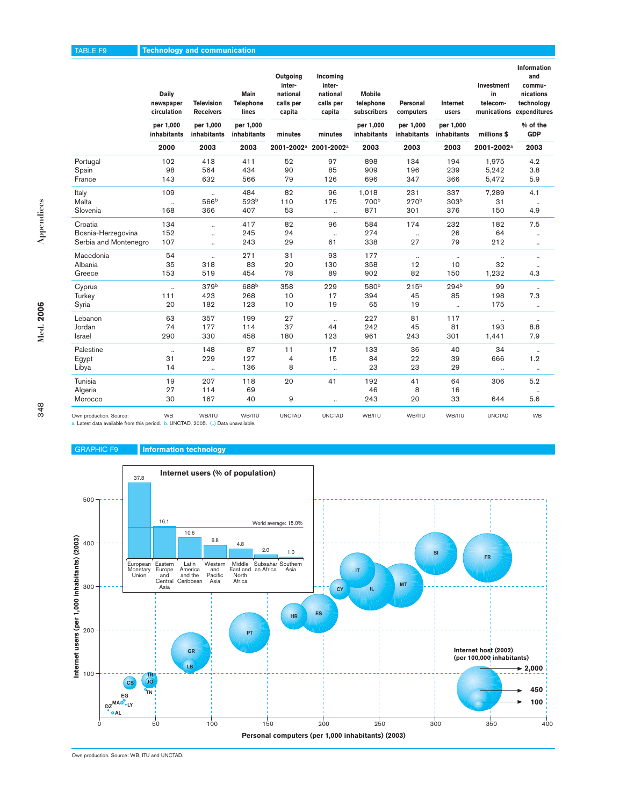| ٠ |
|---|
|   |
|   |
|   |

348

|                         | <b>Daily</b><br>newspaper<br>circulation<br>per 1,000 | <b>Television</b><br><b>Receivers</b> | Main<br><b>Telephone</b><br>lines | Outgoing<br>inter-<br>national<br>calls per<br>capita | Incoming<br>inter-<br>national<br>calls per<br>capita | <b>Mobile</b><br>telephone<br>subscribers<br>per 1,000<br>inhabitants |                          | Personal<br>computers    | Internet<br>users      | Investment<br>in<br>telecom- | and<br>commu-<br>nications<br>technology<br>munications expenditures |
|-------------------------|-------------------------------------------------------|---------------------------------------|-----------------------------------|-------------------------------------------------------|-------------------------------------------------------|-----------------------------------------------------------------------|--------------------------|--------------------------|------------------------|------------------------------|----------------------------------------------------------------------|
|                         | <b>inhabitants</b>                                    | per 1,000<br>inhabitants              | per 1,000<br>inhabitants          | minutes                                               | minutes                                               |                                                                       | per 1,000<br>inhabitants | per 1,000<br>inhabitants | millions \$            | % of the<br><b>GDP</b>       |                                                                      |
|                         | 2000                                                  | 2003                                  | 2003                              | 2001-2002 <sup>a</sup>                                | 2001-2002 <sup>a</sup>                                | 2003                                                                  | 2003                     | 2003                     | 2001-2002 <sup>a</sup> | 2003                         |                                                                      |
| Portugal                | 102                                                   | 413                                   | 411                               | 52                                                    | 97                                                    | 898                                                                   | 134                      | 194                      | 1,975                  | 4.2                          |                                                                      |
| Spain                   | 98                                                    | 564                                   | 434                               | 90                                                    | 85                                                    | 909                                                                   | 196                      | 239                      | 5,242                  | 3.8                          |                                                                      |
| France                  | 143                                                   | 632                                   | 566                               | 79                                                    | 126                                                   | 696                                                                   | 347                      | 366                      | 5,472                  | 5.9                          |                                                                      |
| Italy                   | 109                                                   |                                       | 484                               | 82                                                    | 96                                                    | 1.018                                                                 | 231                      | 337                      | 7,289                  | 4.1                          |                                                                      |
| Malta                   | $\ddot{\phantom{a}}$                                  | 566 <sup>b</sup>                      | 523 <sup>b</sup>                  | 110                                                   | 175                                                   | 700b                                                                  | 270 <sup>b</sup>         | 303 <sup>b</sup>         | 31                     | $\ddotsc$                    |                                                                      |
| Slovenia                | 168                                                   | 366                                   | 407                               | 53                                                    | $\ddotsc$                                             | 871                                                                   | 301                      | 376                      | 150                    | 4.9                          |                                                                      |
| Croatia                 | 134                                                   |                                       | 417                               | 82                                                    | 96                                                    | 584                                                                   | 174                      | 232                      | 182                    | 7.5                          |                                                                      |
| Bosnia-Herzegovina      | 152                                                   | $\ddotsc$                             | 245                               | 24                                                    | $\ddotsc$                                             | 274                                                                   | $\ldots$                 | 26                       | 64                     |                              |                                                                      |
| Serbia and Montenegro   | 107                                                   | $\ddotsc$                             | 243                               | 29                                                    | 61                                                    | 338                                                                   | 27                       | 79                       | 212                    | $\ddotsc$                    |                                                                      |
| Macedonia               | 54                                                    | ٠.                                    | 271                               | 31                                                    | 93                                                    | 177                                                                   | $\ldots$                 | $\ddotsc$                | $\ddotsc$              |                              |                                                                      |
| Albania                 | 35                                                    | 318                                   | 83                                | 20                                                    | 130                                                   | 358                                                                   | 12                       | 10                       | 32                     |                              |                                                                      |
| Greece                  | 153                                                   | 519                                   | 454                               | 78                                                    | 89                                                    | 902                                                                   | 82                       | 150                      | 1,232                  | 4.3                          |                                                                      |
| Cyprus                  | $\ddot{\phantom{a}}$                                  | 379 <sup>b</sup>                      | 688 <sup>b</sup>                  | 358                                                   | 229                                                   | 580 <sup>b</sup>                                                      | 215 <sup>b</sup>         | 294 <sup>b</sup>         | 99                     |                              |                                                                      |
| Turkey                  | 111                                                   | 423                                   | 268                               | 10                                                    | 17                                                    | 394                                                                   | 45                       | 85                       | 198                    | 7.3                          |                                                                      |
| Syria                   | 20                                                    | 182                                   | 123                               | 10                                                    | 19                                                    | 65                                                                    | 19                       | $\ddotsc$                | 175                    | $\ddotsc$                    |                                                                      |
| Lebanon                 | 63                                                    | 357                                   | 199                               | 27                                                    | $\ddotsc$                                             | 227                                                                   | 81                       | 117                      | $\ldots$               |                              |                                                                      |
| Jordan                  | 74                                                    | 177                                   | 114                               | 37                                                    | 44                                                    | 242                                                                   | 45                       | 81                       | 193                    | 8.8                          |                                                                      |
| Israel                  | 290                                                   | 330                                   | 458                               | 180                                                   | 123                                                   | 961                                                                   | 243                      | 301                      | 1,441                  | 7.9                          |                                                                      |
| Palestine               | $\ddot{\phantom{a}}$                                  | 148                                   | 87                                | 11                                                    | 17                                                    | 133                                                                   | 36                       | 40                       | 34                     | $\ddotsc$                    |                                                                      |
| Egypt                   | 31                                                    | 229                                   | 127                               | 4                                                     | 15                                                    | 84                                                                    | 22                       | 39                       | 666                    | 1.2                          |                                                                      |
| Libya                   | 14                                                    | $\ddot{\phantom{a}}$                  | 136                               | 8                                                     | $\ddot{\phantom{a}}$                                  | 23                                                                    | 23                       | 29                       | $\ldots$               | $\ldots$                     |                                                                      |
| Tunisia                 | 19                                                    | 207                                   | 118                               | 20                                                    | 41                                                    | 192                                                                   | 41                       | 64                       | 306                    | 5.2                          |                                                                      |
| Algeria                 | 27                                                    | 114                                   | 69                                |                                                       |                                                       | 46                                                                    | 8                        | 16                       |                        |                              |                                                                      |
| Morocco                 | 30                                                    | 167                                   | 40                                | 9                                                     |                                                       | 243                                                                   | 20                       | 33                       | 644                    | 5.6                          |                                                                      |
| Own production. Source: | <b>WB</b>                                             | WB/ITU                                | WB/ITU                            | <b>UNCTAD</b>                                         | <b>UNCTAD</b>                                         | WB/ITU                                                                | WB/ITU                   | WB/ITU                   | <b>UNCTAD</b>          | <b>WB</b>                    |                                                                      |

**Information**

a. Latest data available from this period. b. UNCTAD, 2005. (..) Data unavailable.

# GRAPHIC F9 **Information technology**



Own production. Source: WB, ITU and UNCTAD.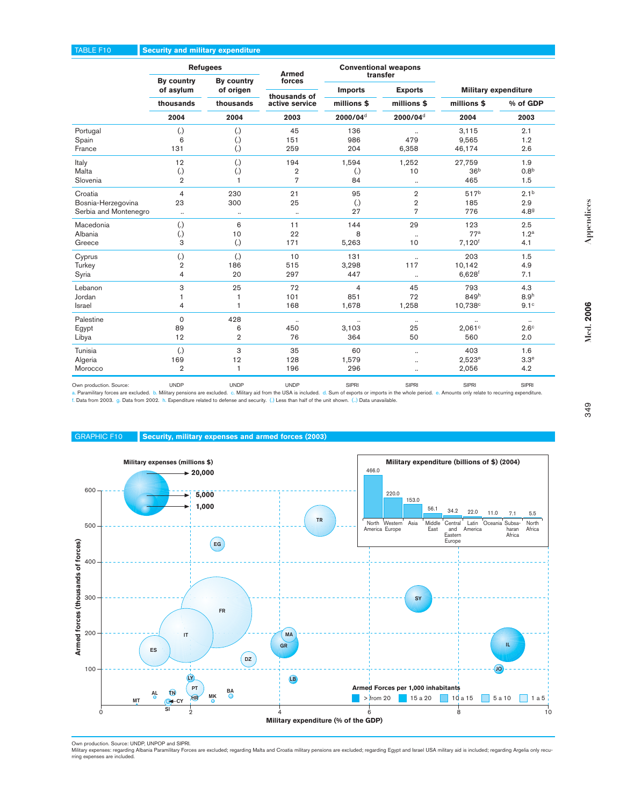### TABLE F10 **Security and military expenditure**

|                                 |                                              | <b>Refugees</b>                     | <b>Armed</b>                                        |                                                                                                                                                                                                                                                                                                                                                                                                                                                                                                                                                                                                                                                                                                                                                                                                                                                                                                                                                                                                                                                                                                                                                                                                                                                                                                                                                                                                                                                                                                                                                                                                                                                                                                                                                                                                                                                                                                                                                                                                                                                                                                     | <b>Conventional weapons</b> |  |
|---------------------------------|----------------------------------------------|-------------------------------------|-----------------------------------------------------|-----------------------------------------------------------------------------------------------------------------------------------------------------------------------------------------------------------------------------------------------------------------------------------------------------------------------------------------------------------------------------------------------------------------------------------------------------------------------------------------------------------------------------------------------------------------------------------------------------------------------------------------------------------------------------------------------------------------------------------------------------------------------------------------------------------------------------------------------------------------------------------------------------------------------------------------------------------------------------------------------------------------------------------------------------------------------------------------------------------------------------------------------------------------------------------------------------------------------------------------------------------------------------------------------------------------------------------------------------------------------------------------------------------------------------------------------------------------------------------------------------------------------------------------------------------------------------------------------------------------------------------------------------------------------------------------------------------------------------------------------------------------------------------------------------------------------------------------------------------------------------------------------------------------------------------------------------------------------------------------------------------------------------------------------------------------------------------------------------|-----------------------------|--|
|                                 | By country<br>of asylum                      | By country<br>of origen             | forces                                              | transfer<br><b>Exports</b><br><b>Military expenditure</b><br><b>Imports</b><br>millions \$<br>millions \$<br>millions \$<br>% of GDP<br>2000/04 <sup>d</sup><br>2000/04 <sup>d</sup><br>2004<br>2003<br>2.1<br>136<br>3,115<br>$\cdot\cdot$<br>479<br>986<br>9,565<br>1.2<br>204<br>6,358<br>46,174<br>2.6<br>1,594<br>1,252<br>27,759<br>1.9<br>36 <sup>b</sup><br>0.8 <sup>b</sup><br>$\overline{2}$<br>$\left( .\right)$<br>10<br>$\overline{7}$<br>84<br>465<br>1.5<br>$\ldots$<br>$\overline{2}$<br>517 <sup>b</sup><br>2.1 <sup>b</sup><br>95<br>Appendices<br>25<br>$\left( .\right)$<br>$\overline{2}$<br>185<br>2.9<br>27<br>$\overline{7}$<br>776<br>4.89<br>$\ddotsc$<br>29<br>144<br>123<br>2.5<br>77 <sup>a</sup><br>8<br>1.2 <sup>a</sup><br>$\ldots$<br>5,263<br>10<br>$7,120^{f}$<br>4.1<br>131<br>203<br>1.5<br>$\ddotsc$<br>3,298<br>117<br>10,142<br>4.9<br>447<br>$6,628$ <sup>f</sup><br>7.1<br>$\ldots$<br>45<br>793<br>4.3<br>4<br>851<br>849h<br>8.9 <sup>h</sup><br>72<br>Med. 2006<br>$9.1^\circ$<br>1,678<br>1,258<br>$10,738^{\circ}$<br>$\ldots$<br>$\ldots$<br>$\cdot\cdot$<br>$\cdot\cdot$<br>$\ddotsc$<br>25<br>$2.6^\circ$<br>3,103<br>2,061c<br>364<br>50<br>2.0<br>560<br>60<br>403<br>1.6<br>$\cdot\cdot$<br>1,579<br>$2,523^e$<br>3.3 <sup>e</sup><br>$\ddotsc$<br>296<br>2,056<br>4.2<br>$\cdot\cdot$<br>SIPRI<br><b>SIPRI</b><br>SIPRI<br><b>SIPRI</b><br>a. Paramilitary forces are excluded. b. Military pensions are excluded. c. Military aid from the USA is included. d. Sum of exports or imports in the whole period. e. Amounts only relate to recurring expenditure.<br>f. Data from 2003. g. Data from 2002. h. Expenditure related to defense and security. (.) Less than half of the unit shown. () Data unavailable.<br>349<br>Military expenditure (billions of \$) (2004)<br>466.0<br>220.0<br>153.0<br>56.1<br>34.2<br>22.0<br>11.0<br>7.1<br>5.5<br><b>TR</b><br>North Western Asia<br>Middle Central<br>Latin<br>Oceania Subsa-<br>North<br>America Europe<br>and America<br>Africa<br>East<br>haran<br>Eastern<br>Africa<br>Europe<br>SY |                             |  |
|                                 | thousands                                    | thousands                           | thousands of<br>active service                      |                                                                                                                                                                                                                                                                                                                                                                                                                                                                                                                                                                                                                                                                                                                                                                                                                                                                                                                                                                                                                                                                                                                                                                                                                                                                                                                                                                                                                                                                                                                                                                                                                                                                                                                                                                                                                                                                                                                                                                                                                                                                                                     |                             |  |
|                                 | 2004                                         | 2004                                | 2003                                                |                                                                                                                                                                                                                                                                                                                                                                                                                                                                                                                                                                                                                                                                                                                                                                                                                                                                                                                                                                                                                                                                                                                                                                                                                                                                                                                                                                                                                                                                                                                                                                                                                                                                                                                                                                                                                                                                                                                                                                                                                                                                                                     |                             |  |
| Portugal                        | $\left( .\right)$                            | $\left( .\right)$                   | 45                                                  |                                                                                                                                                                                                                                                                                                                                                                                                                                                                                                                                                                                                                                                                                                                                                                                                                                                                                                                                                                                                                                                                                                                                                                                                                                                                                                                                                                                                                                                                                                                                                                                                                                                                                                                                                                                                                                                                                                                                                                                                                                                                                                     |                             |  |
| Spain                           | 6                                            | $\left( .\right)$                   | 151                                                 |                                                                                                                                                                                                                                                                                                                                                                                                                                                                                                                                                                                                                                                                                                                                                                                                                                                                                                                                                                                                                                                                                                                                                                                                                                                                                                                                                                                                                                                                                                                                                                                                                                                                                                                                                                                                                                                                                                                                                                                                                                                                                                     |                             |  |
| France                          | 131                                          | $\left( .\right)$                   | 259                                                 |                                                                                                                                                                                                                                                                                                                                                                                                                                                                                                                                                                                                                                                                                                                                                                                                                                                                                                                                                                                                                                                                                                                                                                                                                                                                                                                                                                                                                                                                                                                                                                                                                                                                                                                                                                                                                                                                                                                                                                                                                                                                                                     |                             |  |
| Italy                           | 12                                           | $\left( .\right)$                   | 194                                                 |                                                                                                                                                                                                                                                                                                                                                                                                                                                                                                                                                                                                                                                                                                                                                                                                                                                                                                                                                                                                                                                                                                                                                                                                                                                                                                                                                                                                                                                                                                                                                                                                                                                                                                                                                                                                                                                                                                                                                                                                                                                                                                     |                             |  |
| Malta<br>Slovenia               | $\left( .\right)$<br>$\overline{2}$          | $\left( .\right)$<br>$\overline{1}$ |                                                     |                                                                                                                                                                                                                                                                                                                                                                                                                                                                                                                                                                                                                                                                                                                                                                                                                                                                                                                                                                                                                                                                                                                                                                                                                                                                                                                                                                                                                                                                                                                                                                                                                                                                                                                                                                                                                                                                                                                                                                                                                                                                                                     |                             |  |
|                                 |                                              |                                     |                                                     |                                                                                                                                                                                                                                                                                                                                                                                                                                                                                                                                                                                                                                                                                                                                                                                                                                                                                                                                                                                                                                                                                                                                                                                                                                                                                                                                                                                                                                                                                                                                                                                                                                                                                                                                                                                                                                                                                                                                                                                                                                                                                                     |                             |  |
| Croatia<br>Bosnia-Herzegovina   | 4<br>23                                      | 230<br>300                          | 21                                                  |                                                                                                                                                                                                                                                                                                                                                                                                                                                                                                                                                                                                                                                                                                                                                                                                                                                                                                                                                                                                                                                                                                                                                                                                                                                                                                                                                                                                                                                                                                                                                                                                                                                                                                                                                                                                                                                                                                                                                                                                                                                                                                     |                             |  |
| Serbia and Montenegro           | $\ldots$                                     | $\ldots$                            |                                                     |                                                                                                                                                                                                                                                                                                                                                                                                                                                                                                                                                                                                                                                                                                                                                                                                                                                                                                                                                                                                                                                                                                                                                                                                                                                                                                                                                                                                                                                                                                                                                                                                                                                                                                                                                                                                                                                                                                                                                                                                                                                                                                     |                             |  |
| Macedonia                       |                                              | 6                                   | 11                                                  |                                                                                                                                                                                                                                                                                                                                                                                                                                                                                                                                                                                                                                                                                                                                                                                                                                                                                                                                                                                                                                                                                                                                                                                                                                                                                                                                                                                                                                                                                                                                                                                                                                                                                                                                                                                                                                                                                                                                                                                                                                                                                                     |                             |  |
| Albania                         | $\left( .\right)$<br>$\left( .\right)$       | 10                                  | 22                                                  |                                                                                                                                                                                                                                                                                                                                                                                                                                                                                                                                                                                                                                                                                                                                                                                                                                                                                                                                                                                                                                                                                                                                                                                                                                                                                                                                                                                                                                                                                                                                                                                                                                                                                                                                                                                                                                                                                                                                                                                                                                                                                                     |                             |  |
| Greece                          | 3                                            | $\left( .\right)$                   | 171                                                 |                                                                                                                                                                                                                                                                                                                                                                                                                                                                                                                                                                                                                                                                                                                                                                                                                                                                                                                                                                                                                                                                                                                                                                                                                                                                                                                                                                                                                                                                                                                                                                                                                                                                                                                                                                                                                                                                                                                                                                                                                                                                                                     |                             |  |
| Cyprus                          | $\left( .\right)$                            | $\left( .\right)$                   | 10                                                  |                                                                                                                                                                                                                                                                                                                                                                                                                                                                                                                                                                                                                                                                                                                                                                                                                                                                                                                                                                                                                                                                                                                                                                                                                                                                                                                                                                                                                                                                                                                                                                                                                                                                                                                                                                                                                                                                                                                                                                                                                                                                                                     |                             |  |
| Turkey                          | $\overline{2}$                               | 186                                 | 515                                                 |                                                                                                                                                                                                                                                                                                                                                                                                                                                                                                                                                                                                                                                                                                                                                                                                                                                                                                                                                                                                                                                                                                                                                                                                                                                                                                                                                                                                                                                                                                                                                                                                                                                                                                                                                                                                                                                                                                                                                                                                                                                                                                     |                             |  |
| Syria                           | 4                                            | 20                                  | 297                                                 |                                                                                                                                                                                                                                                                                                                                                                                                                                                                                                                                                                                                                                                                                                                                                                                                                                                                                                                                                                                                                                                                                                                                                                                                                                                                                                                                                                                                                                                                                                                                                                                                                                                                                                                                                                                                                                                                                                                                                                                                                                                                                                     |                             |  |
| Lebanon                         | 3                                            | 25                                  | 72                                                  |                                                                                                                                                                                                                                                                                                                                                                                                                                                                                                                                                                                                                                                                                                                                                                                                                                                                                                                                                                                                                                                                                                                                                                                                                                                                                                                                                                                                                                                                                                                                                                                                                                                                                                                                                                                                                                                                                                                                                                                                                                                                                                     |                             |  |
| Jordan                          | $\mathbf{1}$                                 | $\mathbf{1}$                        | 101                                                 |                                                                                                                                                                                                                                                                                                                                                                                                                                                                                                                                                                                                                                                                                                                                                                                                                                                                                                                                                                                                                                                                                                                                                                                                                                                                                                                                                                                                                                                                                                                                                                                                                                                                                                                                                                                                                                                                                                                                                                                                                                                                                                     |                             |  |
| Israel                          | 4                                            | $\overline{1}$                      | 168                                                 |                                                                                                                                                                                                                                                                                                                                                                                                                                                                                                                                                                                                                                                                                                                                                                                                                                                                                                                                                                                                                                                                                                                                                                                                                                                                                                                                                                                                                                                                                                                                                                                                                                                                                                                                                                                                                                                                                                                                                                                                                                                                                                     |                             |  |
| Palestine                       | $\mathsf{O}\xspace$                          | 428                                 |                                                     |                                                                                                                                                                                                                                                                                                                                                                                                                                                                                                                                                                                                                                                                                                                                                                                                                                                                                                                                                                                                                                                                                                                                                                                                                                                                                                                                                                                                                                                                                                                                                                                                                                                                                                                                                                                                                                                                                                                                                                                                                                                                                                     |                             |  |
| Egypt                           | 89                                           | 6                                   | 450                                                 |                                                                                                                                                                                                                                                                                                                                                                                                                                                                                                                                                                                                                                                                                                                                                                                                                                                                                                                                                                                                                                                                                                                                                                                                                                                                                                                                                                                                                                                                                                                                                                                                                                                                                                                                                                                                                                                                                                                                                                                                                                                                                                     |                             |  |
| Libya                           | 12                                           | $\overline{2}$                      | 76                                                  |                                                                                                                                                                                                                                                                                                                                                                                                                                                                                                                                                                                                                                                                                                                                                                                                                                                                                                                                                                                                                                                                                                                                                                                                                                                                                                                                                                                                                                                                                                                                                                                                                                                                                                                                                                                                                                                                                                                                                                                                                                                                                                     |                             |  |
| Tunisia                         | $\left( .\right)$                            | 3                                   | 35                                                  |                                                                                                                                                                                                                                                                                                                                                                                                                                                                                                                                                                                                                                                                                                                                                                                                                                                                                                                                                                                                                                                                                                                                                                                                                                                                                                                                                                                                                                                                                                                                                                                                                                                                                                                                                                                                                                                                                                                                                                                                                                                                                                     |                             |  |
| Algeria                         | 169                                          | 12                                  | 128                                                 |                                                                                                                                                                                                                                                                                                                                                                                                                                                                                                                                                                                                                                                                                                                                                                                                                                                                                                                                                                                                                                                                                                                                                                                                                                                                                                                                                                                                                                                                                                                                                                                                                                                                                                                                                                                                                                                                                                                                                                                                                                                                                                     |                             |  |
| Morocco                         | $\overline{2}$                               | $\overline{1}$                      | 196                                                 |                                                                                                                                                                                                                                                                                                                                                                                                                                                                                                                                                                                                                                                                                                                                                                                                                                                                                                                                                                                                                                                                                                                                                                                                                                                                                                                                                                                                                                                                                                                                                                                                                                                                                                                                                                                                                                                                                                                                                                                                                                                                                                     |                             |  |
| Own production. Source:         | <b>UNDP</b>                                  | <b>UNDP</b>                         | <b>UNDP</b>                                         |                                                                                                                                                                                                                                                                                                                                                                                                                                                                                                                                                                                                                                                                                                                                                                                                                                                                                                                                                                                                                                                                                                                                                                                                                                                                                                                                                                                                                                                                                                                                                                                                                                                                                                                                                                                                                                                                                                                                                                                                                                                                                                     |                             |  |
| <b>GRAPHIC F10</b>              |                                              |                                     | Security, military expenses and armed forces (2003) |                                                                                                                                                                                                                                                                                                                                                                                                                                                                                                                                                                                                                                                                                                                                                                                                                                                                                                                                                                                                                                                                                                                                                                                                                                                                                                                                                                                                                                                                                                                                                                                                                                                                                                                                                                                                                                                                                                                                                                                                                                                                                                     |                             |  |
|                                 | Military expenses (millions \$)<br>$+20,000$ |                                     |                                                     |                                                                                                                                                                                                                                                                                                                                                                                                                                                                                                                                                                                                                                                                                                                                                                                                                                                                                                                                                                                                                                                                                                                                                                                                                                                                                                                                                                                                                                                                                                                                                                                                                                                                                                                                                                                                                                                                                                                                                                                                                                                                                                     |                             |  |
| 600                             |                                              |                                     |                                                     |                                                                                                                                                                                                                                                                                                                                                                                                                                                                                                                                                                                                                                                                                                                                                                                                                                                                                                                                                                                                                                                                                                                                                                                                                                                                                                                                                                                                                                                                                                                                                                                                                                                                                                                                                                                                                                                                                                                                                                                                                                                                                                     |                             |  |
|                                 |                                              | 5,000                               |                                                     |                                                                                                                                                                                                                                                                                                                                                                                                                                                                                                                                                                                                                                                                                                                                                                                                                                                                                                                                                                                                                                                                                                                                                                                                                                                                                                                                                                                                                                                                                                                                                                                                                                                                                                                                                                                                                                                                                                                                                                                                                                                                                                     |                             |  |
|                                 |                                              | 1,000                               |                                                     |                                                                                                                                                                                                                                                                                                                                                                                                                                                                                                                                                                                                                                                                                                                                                                                                                                                                                                                                                                                                                                                                                                                                                                                                                                                                                                                                                                                                                                                                                                                                                                                                                                                                                                                                                                                                                                                                                                                                                                                                                                                                                                     |                             |  |
|                                 |                                              |                                     |                                                     |                                                                                                                                                                                                                                                                                                                                                                                                                                                                                                                                                                                                                                                                                                                                                                                                                                                                                                                                                                                                                                                                                                                                                                                                                                                                                                                                                                                                                                                                                                                                                                                                                                                                                                                                                                                                                                                                                                                                                                                                                                                                                                     |                             |  |
| 500                             |                                              |                                     |                                                     |                                                                                                                                                                                                                                                                                                                                                                                                                                                                                                                                                                                                                                                                                                                                                                                                                                                                                                                                                                                                                                                                                                                                                                                                                                                                                                                                                                                                                                                                                                                                                                                                                                                                                                                                                                                                                                                                                                                                                                                                                                                                                                     |                             |  |
|                                 |                                              | EG                                  |                                                     |                                                                                                                                                                                                                                                                                                                                                                                                                                                                                                                                                                                                                                                                                                                                                                                                                                                                                                                                                                                                                                                                                                                                                                                                                                                                                                                                                                                                                                                                                                                                                                                                                                                                                                                                                                                                                                                                                                                                                                                                                                                                                                     |                             |  |
|                                 |                                              |                                     |                                                     |                                                                                                                                                                                                                                                                                                                                                                                                                                                                                                                                                                                                                                                                                                                                                                                                                                                                                                                                                                                                                                                                                                                                                                                                                                                                                                                                                                                                                                                                                                                                                                                                                                                                                                                                                                                                                                                                                                                                                                                                                                                                                                     |                             |  |
| 400                             |                                              |                                     |                                                     |                                                                                                                                                                                                                                                                                                                                                                                                                                                                                                                                                                                                                                                                                                                                                                                                                                                                                                                                                                                                                                                                                                                                                                                                                                                                                                                                                                                                                                                                                                                                                                                                                                                                                                                                                                                                                                                                                                                                                                                                                                                                                                     |                             |  |
| ed forces (thousands of forces) |                                              |                                     |                                                     |                                                                                                                                                                                                                                                                                                                                                                                                                                                                                                                                                                                                                                                                                                                                                                                                                                                                                                                                                                                                                                                                                                                                                                                                                                                                                                                                                                                                                                                                                                                                                                                                                                                                                                                                                                                                                                                                                                                                                                                                                                                                                                     |                             |  |
|                                 |                                              |                                     |                                                     |                                                                                                                                                                                                                                                                                                                                                                                                                                                                                                                                                                                                                                                                                                                                                                                                                                                                                                                                                                                                                                                                                                                                                                                                                                                                                                                                                                                                                                                                                                                                                                                                                                                                                                                                                                                                                                                                                                                                                                                                                                                                                                     |                             |  |
| 300                             |                                              |                                     |                                                     |                                                                                                                                                                                                                                                                                                                                                                                                                                                                                                                                                                                                                                                                                                                                                                                                                                                                                                                                                                                                                                                                                                                                                                                                                                                                                                                                                                                                                                                                                                                                                                                                                                                                                                                                                                                                                                                                                                                                                                                                                                                                                                     |                             |  |
|                                 |                                              |                                     |                                                     |                                                                                                                                                                                                                                                                                                                                                                                                                                                                                                                                                                                                                                                                                                                                                                                                                                                                                                                                                                                                                                                                                                                                                                                                                                                                                                                                                                                                                                                                                                                                                                                                                                                                                                                                                                                                                                                                                                                                                                                                                                                                                                     |                             |  |
|                                 |                                              | ${\sf FR}$                          |                                                     |                                                                                                                                                                                                                                                                                                                                                                                                                                                                                                                                                                                                                                                                                                                                                                                                                                                                                                                                                                                                                                                                                                                                                                                                                                                                                                                                                                                                                                                                                                                                                                                                                                                                                                                                                                                                                                                                                                                                                                                                                                                                                                     |                             |  |
|                                 |                                              |                                     |                                                     |                                                                                                                                                                                                                                                                                                                                                                                                                                                                                                                                                                                                                                                                                                                                                                                                                                                                                                                                                                                                                                                                                                                                                                                                                                                                                                                                                                                                                                                                                                                                                                                                                                                                                                                                                                                                                                                                                                                                                                                                                                                                                                     |                             |  |
| 200                             | IT.                                          |                                     | <b>MA</b>                                           |                                                                                                                                                                                                                                                                                                                                                                                                                                                                                                                                                                                                                                                                                                                                                                                                                                                                                                                                                                                                                                                                                                                                                                                                                                                                                                                                                                                                                                                                                                                                                                                                                                                                                                                                                                                                                                                                                                                                                                                                                                                                                                     |                             |  |
|                                 |                                              |                                     |                                                     |                                                                                                                                                                                                                                                                                                                                                                                                                                                                                                                                                                                                                                                                                                                                                                                                                                                                                                                                                                                                                                                                                                                                                                                                                                                                                                                                                                                                                                                                                                                                                                                                                                                                                                                                                                                                                                                                                                                                                                                                                                                                                                     |                             |  |

### GRAPHIC F10 **Security, military expenses and armed forces (2003)**



Own production. Source: UNDP, UNPOP and SIPRI.<br>Military expenses: regarding Albania Paramilitary Forces are excluded; regarding Malta and Croatia military pensions are excluded; regarding Egypt and Israel USA military aid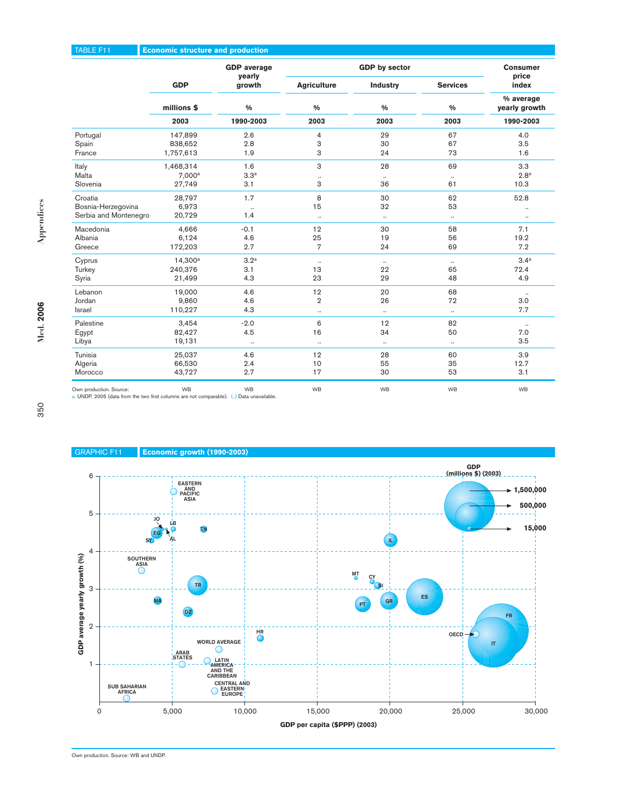# TABLE F11 **Economic structure and production**

|                       |                     | <b>GDP</b> average |                    | <b>GDP</b> by sector |                 | <b>Consumer</b>            |
|-----------------------|---------------------|--------------------|--------------------|----------------------|-----------------|----------------------------|
|                       | <b>GDP</b>          | yearly<br>growth   | <b>Agriculture</b> | Industry             | <b>Services</b> | price<br>index             |
|                       | millions \$         | $\frac{9}{6}$      | 0/0                | $\frac{0}{0}$        | $\frac{0}{0}$   | % average<br>yearly growth |
|                       | 2003                | 1990-2003          | 2003               | 2003                 | 2003            | 1990-2003                  |
| Portugal              | 147,899             | 2.6                | 4                  | 29                   | 67              | 4.0                        |
| Spain                 | 838,652             | 2.8                | 3                  | 30                   | 67              | 3.5                        |
| France                | 1,757,613           | 1.9                | 3                  | 24                   | 73              | 1.6                        |
| Italy                 | 1,468,314           | 1.6                | 3                  | 28                   | 69              | 3.3                        |
| Malta                 | 7.000 <sup>a</sup>  | 3.3 <sup>a</sup>   | $\cdot\cdot$       | $\ldots$             | $\ldots$        | 2.8 <sup>a</sup>           |
| Slovenia              | 27,749              | 3.1                | 3                  | 36                   | 61              | 10.3                       |
| Croatia               | 28,797              | 1.7                | 8                  | 30                   | 62              | 52.8                       |
| Bosnia-Herzegovina    | 6,973               | $\ldots$           | 15                 | 32                   | 53              |                            |
| Serbia and Montenegro | 20,729              | 1.4                | $\ddotsc$          | $\ldots$             | $\ldots$        |                            |
| Macedonia             | 4.666               | $-0.1$             | 12                 | 30                   | 58              | 7.1                        |
| Albania               | 6,124               | 4.6                | 25                 | 19                   | 56              | 19.2                       |
| Greece                | 172,203             | 2.7                | $\overline{7}$     | 24                   | 69              | 7.2                        |
| Cyprus                | 14.300 <sup>a</sup> | 3.2 <sup>a</sup>   | $\ldots$           | $\ldots$             | $\ldots$        | 3.4 <sup>a</sup>           |
| Turkey                | 240,376             | 3.1                | 13                 | 22                   | 65              | 72.4                       |
| Syria                 | 21,499              | 4.3                | 23                 | 29                   | 48              | 4.9                        |
| Lebanon               | 19,000              | 4.6                | 12                 | 20                   | 68              | $\ldots$                   |
| Jordan                | 9,860               | 4.6                | $\overline{2}$     | 26                   | 72              | 3.0                        |
| <b>Israel</b>         | 110,227             | 4.3                | $\ldots$           | $\ldots$             | $\ldots$        | 7.7                        |
| Palestine             | 3,454               | $-2.0$             | 6                  | 12                   | 82              | $\ddotsc$                  |
| Egypt                 | 82,427              | 4.5                | 16                 | 34                   | 50              | 7.0                        |
| Libya                 | 19,131              | $\ldots$           | $\ldots$           | $\cdots$             | $\ldots$        | 3.5                        |
| Tunisia               | 25,037              | 4.6                | 12                 | 28                   | 60              | 3.9                        |
| Algeria               | 66,530              | 2.4                | 10                 | 55                   | 35              | 12.7                       |
| Morocco               | 43,727              | 2.7                | 17                 | 30                   | 53              | 3.1                        |

Own production. Source: WB WB WB WB WB WB a. UNDP, 2005 (data from the two first columns are not comparable). (..) Data unavailable.

350

**Med. 2006**

Med. 2006

**Appendices**

Appendices



Own production. Source: WB and UNDP.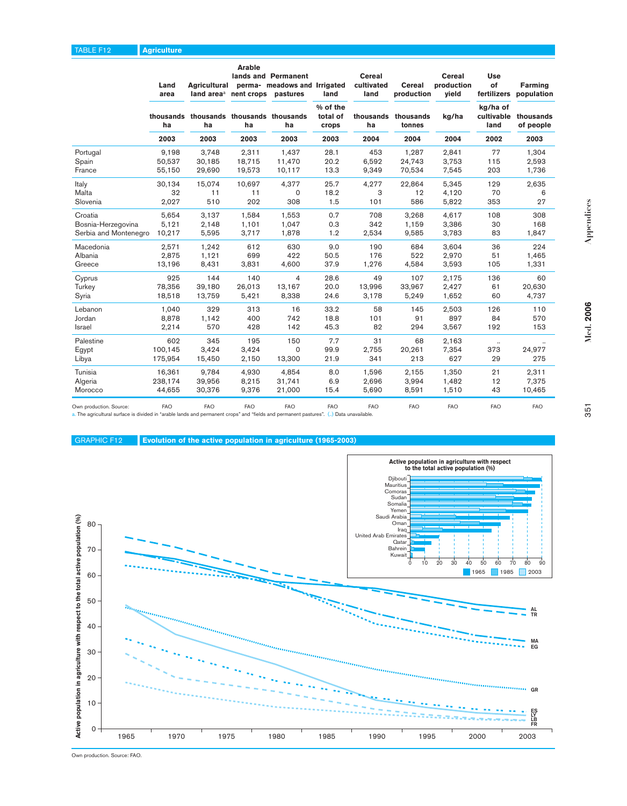|                         | Land<br>area | Agricultural<br>land area <sup>a</sup> nent crops pastures | Arable     | lands and Permanent<br>perma- meadows and Irrigated | land                          | Cereal<br>cultivated<br>land | <b>Cereal</b><br>production | <b>Cereal</b><br>production<br>vield | <b>Use</b><br>of<br>fertilizers | Farming<br>population  |
|-------------------------|--------------|------------------------------------------------------------|------------|-----------------------------------------------------|-------------------------------|------------------------------|-----------------------------|--------------------------------------|---------------------------------|------------------------|
|                         | ha           | thousands thousands thousands thousands<br>ha              | ha         | ha                                                  | % of the<br>total of<br>crops | thousands<br>ha              | thousands<br>tonnes         | kg/ha                                | kg/ha of<br>cultivable<br>land  | thousands<br>of people |
|                         | 2003         | 2003                                                       | 2003       | 2003                                                | 2003                          | 2004                         | 2004                        | 2004                                 | 2002                            | 2003                   |
| Portugal                | 9,198        | 3,748                                                      | 2,311      | 1,437                                               | 28.1                          | 453                          | 1,287                       | 2,841                                | 77                              | 1.304                  |
| Spain                   | 50,537       | 30,185                                                     | 18,715     | 11,470                                              | 20.2<br>13.3                  | 6,592<br>9,349               | 24,743                      | 3,753                                | 115<br>203                      | 2,593                  |
| France                  | 55,150       | 29,690                                                     | 19,573     | 10,117                                              |                               |                              | 70,534                      | 7,545                                |                                 | 1,736                  |
| Italy                   | 30,134       | 15,074                                                     | 10,697     | 4.377                                               | 25.7                          | 4,277                        | 22,864                      | 5,345                                | 129                             | 2,635                  |
| Malta                   | 32           | 11                                                         | 11         | $\Omega$                                            | 18.2                          | 3                            | 12                          | 4,120                                | 70                              | 6                      |
| Slovenia                | 2,027        | 510                                                        | 202        | 308                                                 | 1.5                           | 101                          | 586                         | 5,822                                | 353                             | 27                     |
| Croatia                 | 5,654        | 3,137                                                      | 1,584      | 1,553                                               | 0.7                           | 708                          | 3,268                       | 4,617                                | 108                             | 308                    |
| Bosnia-Herzegovina      | 5,121        | 2,148                                                      | 1,101      | 1,047                                               | 0.3                           | 342                          | 1,159                       | 3,386                                | 30                              | 168                    |
| Serbia and Montenegro   | 10,217       | 5,595                                                      | 3,717      | 1,878                                               | 1.2                           | 2,534                        | 9,585                       | 3,783                                | 83                              | 1,847                  |
| Macedonia               | 2,571        | 1,242                                                      | 612        | 630                                                 | 9.0                           | 190                          | 684                         | 3,604                                | 36                              | 224                    |
| Albania                 | 2,875        | 1,121                                                      | 699        | 422                                                 | 50.5                          | 176                          | 522                         | 2,970                                | 51                              | 1,465                  |
| Greece                  | 13,196       | 8,431                                                      | 3,831      | 4,600                                               | 37.9                          | 1,276                        | 4,584                       | 3,593                                | 105                             | 1,331                  |
| Cyprus                  | 925          | 144                                                        | 140        | $\overline{4}$                                      | 28.6                          | 49                           | 107                         | 2,175                                | 136                             | 60                     |
| Turkey                  | 78,356       | 39,180                                                     | 26,013     | 13,167                                              | 20.0                          | 13,996                       | 33,967                      | 2,427                                | 61                              | 20,630                 |
| Syria                   | 18,518       | 13,759                                                     | 5,421      | 8,338                                               | 24.6                          | 3,178                        | 5,249                       | 1,652                                | 60                              | 4,737                  |
| Lebanon                 | 1,040        | 329                                                        | 313        | 16                                                  | 33.2                          | 58                           | 145                         | 2,503                                | 126                             | 110                    |
| Jordan                  | 8,878        | 1,142                                                      | 400        | 742                                                 | 18.8                          | 101                          | 91                          | 897                                  | 84                              | 570                    |
| Israel                  | 2,214        | 570                                                        | 428        | 142                                                 | 45.3                          | 82                           | 294                         | 3,567                                | 192                             | 153                    |
| Palestine               | 602          | 345                                                        | 195        | 150                                                 | 7.7                           | 31                           | 68                          | 2,163                                | $\ldots$                        |                        |
| Egypt                   | 100.145      | 3,424                                                      | 3,424      | 0                                                   | 99.9                          | 2.755                        | 20,261                      | 7,354                                | 373                             | 24,977                 |
| Libya                   | 175,954      | 15,450                                                     | 2,150      | 13,300                                              | 21.9                          | 341                          | 213                         | 627                                  | 29                              | 275                    |
| Tunisia                 | 16,361       | 9,784                                                      | 4,930      | 4,854                                               | 8.0                           | 1,596                        | 2,155                       | 1,350                                | 21                              | 2,311                  |
| Algeria                 | 238,174      | 39,956                                                     | 8,215      | 31,741                                              | 6.9                           | 2,696                        | 3,994                       | 1,482                                | 12                              | 7,375                  |
| Morocco                 | 44,655       | 30,376                                                     | 9,376      | 21,000                                              | 15.4                          | 5,690                        | 8,591                       | 1,510                                | 43                              | 10,465                 |
| Own production. Source: | <b>FAO</b>   | <b>FAO</b>                                                 | <b>FAO</b> | <b>FAO</b>                                          | <b>FAO</b>                    | <b>FAO</b>                   | <b>FAO</b>                  | <b>FAO</b>                           | <b>FAO</b>                      | FAO                    |

Own production. Source: FAO FAO FAO FAO FAO FAO FAO FAO FAO FAO a. The agricultural surface is divided in "arable lands and permanent crops" and "fields and permanent pastures". (..) Data unavailable.

GRAPHIC F12 **Evolution of the active population in agriculture (1965-2003)**

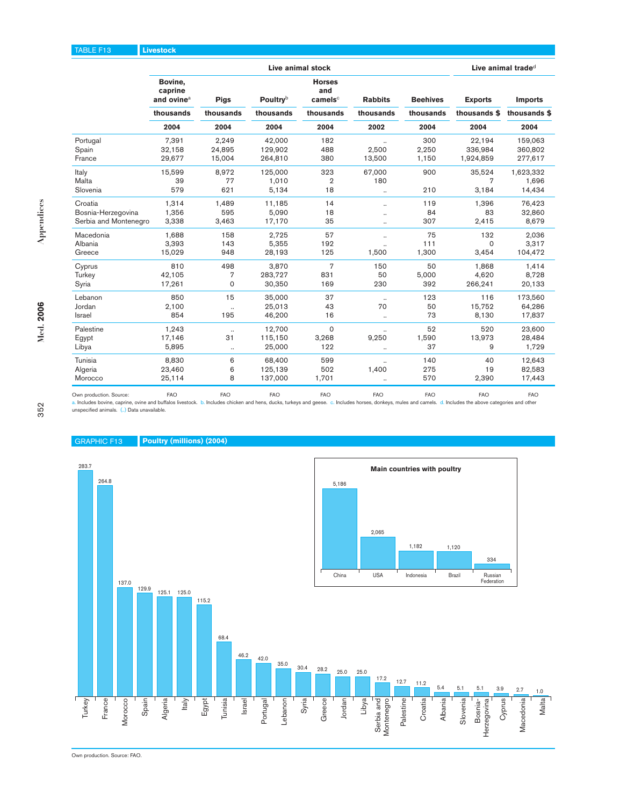|                       | Live animal stock                            |                      |                  |                                             |                      |                 |                |                |  |  |
|-----------------------|----------------------------------------------|----------------------|------------------|---------------------------------------------|----------------------|-----------------|----------------|----------------|--|--|
|                       | Bovine,<br>caprine<br>and ovine <sup>a</sup> | <b>Pigs</b>          | <b>Poultry</b> b | <b>Horses</b><br>and<br>camels <sup>c</sup> | <b>Rabbits</b>       | <b>Beehives</b> | <b>Exports</b> | <b>Imports</b> |  |  |
|                       | thousands                                    | thousands            | thousands        | thousands                                   | thousands            | thousands       | thousands \$   | thousands \$   |  |  |
|                       | 2004                                         | 2004                 | 2004             | 2004                                        | 2002                 | 2004            | 2004           | 2004           |  |  |
| Portugal              | 7.391                                        | 2.249                | 42.000           | 182                                         | $\ddot{\phantom{a}}$ | 300             | 22.194         | 159.063        |  |  |
| Spain                 | 32,158                                       | 24,895               | 129,902          | 488                                         | 2,500                | 2,250           | 336,984        | 360,802        |  |  |
| France                | 29,677                                       | 15,004               | 264,810          | 380                                         | 13,500               | 1,150           | 1,924,859      | 277,617        |  |  |
| Italy                 | 15,599                                       | 8,972                | 125,000          | 323                                         | 67,000               | 900             | 35,524         | 1,623,332      |  |  |
| Malta                 | 39                                           | 77                   | 1,010            | $\overline{2}$                              | 180                  |                 | 7              | 1,696          |  |  |
| Slovenia              | 579                                          | 621                  | 5,134            | 18                                          |                      | 210             | 3,184          | 14,434         |  |  |
| Croatia               | 1,314                                        | 1.489                | 11,185           | 14                                          | $\ddotsc$            | 119             | 1,396          | 76,423         |  |  |
| Bosnia-Herzegovina    | 1,356                                        | 595                  | 5,090            | 18                                          |                      | 84              | 83             | 32,860         |  |  |
| Serbia and Montenegro | 3,338                                        | 3,463                | 17,170           | 35                                          |                      | 307             | 2,415          | 8,679          |  |  |
| Macedonia             | 1,688                                        | 158                  | 2,725            | 57                                          |                      | 75              | 132            | 2,036          |  |  |
| Albania               | 3.393                                        | 143                  | 5.355            | 192                                         |                      | 111             | $\Omega$       | 3.317          |  |  |
| Greece                | 15,029                                       | 948                  | 28,193           | 125                                         | 1,500                | 1,300           | 3,454          | 104,472        |  |  |
| Cyprus                | 810                                          | 498                  | 3,870            | $\overline{7}$                              | 150                  | 50              | 1,868          | 1,414          |  |  |
| Turkey                | 42,105                                       | 7                    | 283,727          | 831                                         | 50                   | 5,000           | 4,620          | 8,728          |  |  |
| Syria                 | 17,261                                       | $\mathbf 0$          | 30,350           | 169                                         | 230                  | 392             | 266,241        | 20,133         |  |  |
| Lebanon               | 850                                          | 15                   | 35.000           | 37                                          | $\ddotsc$            | 123             | 116            | 173,560        |  |  |
| Jordan                | 2,100                                        | $\ddot{\phantom{a}}$ | 25,013           | 43                                          | 70                   | 50              | 15,752         | 64,286         |  |  |
| Israel                | 854                                          | 195                  | 46,200           | 16                                          | $\ddotsc$            | 73              | 8,130          | 17,837         |  |  |
| Palestine             | 1,243                                        | $\ldots$             | 12,700           | $\mathbf 0$                                 |                      | 52              | 520            | 23,600         |  |  |
| Egypt                 | 17,146                                       | 31                   | 115,150          | 3,268                                       | 9,250                | 1,590           | 13,973         | 28,484         |  |  |
| Libya                 | 5,895                                        | $\ldots$             | 25.000           | 122                                         |                      | 37              | 9              | 1,729          |  |  |
| Tunisia               | 8,830                                        | 6                    | 68.400           | 599                                         | $\ddot{\phantom{a}}$ | 140             | 40             | 12,643         |  |  |

Own production. Source: FAO FAO FAO FAO FAO FAO FAO FAO a. Includes bovine, caprine, ovine and buffalos livestock. unspecified animals. (..) Data unavailable.

Algeria 23,460 6 125,139 502 1,400 275 19 82,583 Morocco 25,114 8 137,000 1,701 .. 570 2,390 17,443





Own production. Source: FAO.

**Med. 2006**

Med. 2006

**Appendices**

Appendices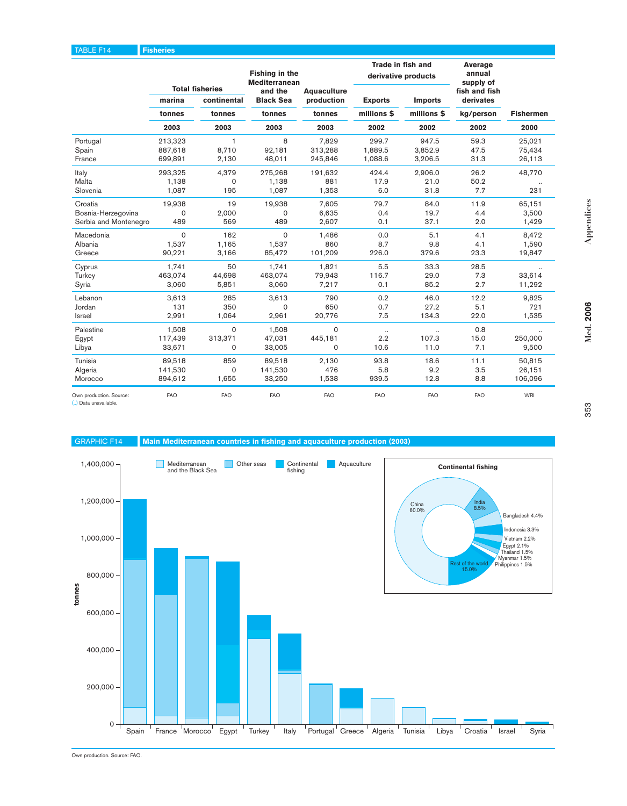|                              |            |                                       | Fishing in the<br><b>Mediterranean</b> |                                  | Trade in fish and | derivative products | Average<br>annual<br>supply of |                  |
|------------------------------|------------|---------------------------------------|----------------------------------------|----------------------------------|-------------------|---------------------|--------------------------------|------------------|
|                              | marina     | <b>Total fisheries</b><br>continental | and the<br><b>Black Sea</b>            | <b>Aquaculture</b><br>production | <b>Exports</b>    | <b>Imports</b>      | fish and fish<br>derivates     |                  |
|                              | tonnes     | tonnes                                | tonnes                                 | tonnes                           | millions \$       | millions \$         | kg/person                      | <b>Fishermen</b> |
|                              | 2003       | 2003                                  | 2003                                   | 2003                             | 2002              | 2002                | 2002                           | 2000             |
| Portugal                     | 213,323    | 1                                     | 8                                      | 7.829                            | 299.7             | 947.5               | 59.3                           | 25.021           |
| Spain                        | 887,618    | 8,710                                 | 92,181                                 | 313,288                          | 1,889.5           | 3,852.9             | 47.5                           | 75,434           |
| France                       | 699,891    | 2,130                                 | 48,011                                 | 245,846                          | 1,088.6           | 3,206.5             | 31.3                           | 26,113           |
| Italy                        | 293,325    | 4,379                                 | 275,268                                | 191,632                          | 424.4             | 2.906.0             | 26.2                           | 48,770           |
| Malta                        | 1,138      | $\mathbf 0$                           | 1,138                                  | 881                              | 17.9              | 21.0                | 50.2                           |                  |
| Slovenia                     | 1,087      | 195                                   | 1,087                                  | 1,353                            | 6.0               | 31.8                | 7.7                            | 231              |
| Croatia                      | 19,938     | 19                                    | 19,938                                 | 7,605                            | 79.7              | 84.0                | 11.9                           | 65,151           |
| Bosnia-Herzegovina           | 0          | 2,000                                 | $\Omega$                               | 6,635                            | 0.4               | 19.7                | 4.4                            | 3,500            |
| Serbia and Montenegro        | 489        | 569                                   | 489                                    | 2,607                            | 0.1               | 37.1                | 2.0                            | 1,429            |
| Macedonia                    | $\Omega$   | 162                                   | $\Omega$                               | 1.486                            | 0.0               | 5.1                 | 4.1                            | 8,472            |
| Albania                      | 1.537      | 1.165                                 | 1.537                                  | 860                              | 8.7               | 9.8                 | 4.1                            | 1,590            |
| Greece                       | 90,221     | 3,166                                 | 85,472                                 | 101,209                          | 226.0             | 379.6               | 23.3                           | 19,847           |
| Cyprus                       | 1.741      | 50                                    | 1.741                                  | 1.821                            | 5.5               | 33.3                | 28.5                           |                  |
| Turkey                       | 463,074    | 44,698                                | 463,074                                | 79,943                           | 116.7             | 29.0                | 7.3                            | 33,614           |
| Syria                        | 3,060      | 5,851                                 | 3,060                                  | 7,217                            | 0.1               | 85.2                | 2.7                            | 11,292           |
| Lebanon                      | 3,613      | 285                                   | 3,613                                  | 790                              | 0.2               | 46.0                | 12.2                           | 9,825            |
| Jordan                       | 131        | 350                                   | $\Omega$                               | 650                              | 0.7               | 27.2                | 5.1                            | 721              |
| Israel                       | 2,991      | 1,064                                 | 2,961                                  | 20,776                           | 7.5               | 134.3               | 22.0                           | 1,535            |
| Palestine                    | 1,508      | $\Omega$                              | 1,508                                  | $\circ$                          | $\ldots$          |                     | 0.8                            |                  |
| Egypt                        | 117,439    | 313,371                               | 47,031                                 | 445,181                          | 2.2               | 107.3               | 15.0                           | 250,000          |
| Libya                        | 33,671     | $\mathbf 0$                           | 33,005                                 | $\Omega$                         | 10.6              | 11.0                | 7.1                            | 9,500            |
| Tunisia                      | 89,518     | 859                                   | 89,518                                 | 2,130                            | 93.8              | 18.6                | 11.1                           | 50,815           |
| Algeria                      | 141,530    | $\mathbf 0$                           | 141,530                                | 476                              | 5.8               | 9.2                 | 3.5                            | 26,151           |
| Morocco                      | 894,612    | 1,655                                 | 33,250                                 | 1,538                            | 939.5             | 12.8                | 8.8                            | 106,096          |
| Own production. Source:<br>. | <b>FAO</b> | <b>FAO</b>                            | <b>FAO</b>                             | <b>FAO</b>                       | <b>FAO</b>        | <b>FAO</b>          | <b>FAO</b>                     | <b>WRI</b>       |

(..) Data unavailable.





Own production. Source: FAO.

**Med. 2006**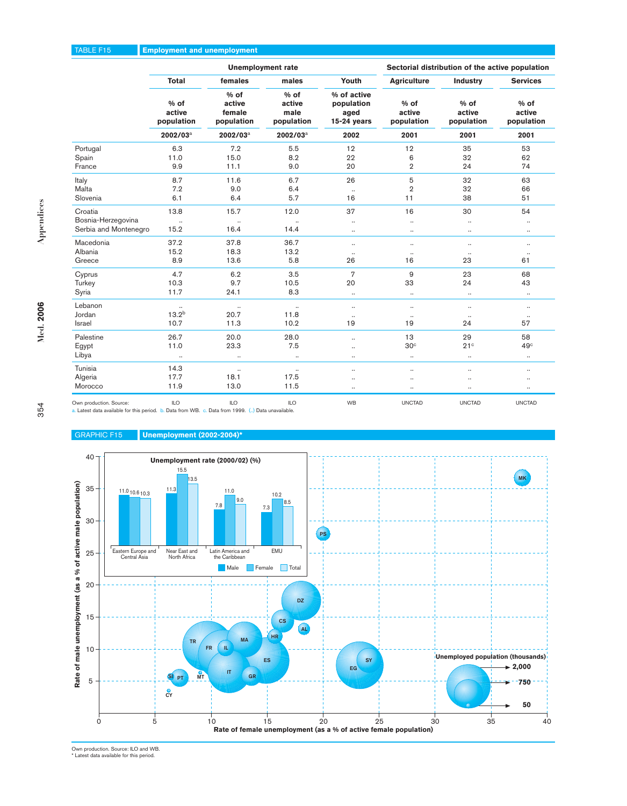# TABLE F15 **Employment and unemployment**

|                         |                                |                                          | <b>Unemployment rate</b>               | Sectorial distribution of the active population    |                                |                                |                                |
|-------------------------|--------------------------------|------------------------------------------|----------------------------------------|----------------------------------------------------|--------------------------------|--------------------------------|--------------------------------|
|                         | <b>Total</b>                   | females                                  | males                                  | Youth                                              | <b>Agriculture</b>             | <b>Industry</b>                | <b>Services</b>                |
|                         | $%$ of<br>active<br>population | $%$ of<br>active<br>female<br>population | $%$ of<br>active<br>male<br>population | % of active<br>population<br>aged<br>$15-24$ years | $%$ of<br>active<br>population | $%$ of<br>active<br>population | $%$ of<br>active<br>population |
|                         | 2002/03 <sup>a</sup>           | 2002/03 <sup>a</sup>                     | 2002/03 <sup>a</sup>                   | 2002                                               | 2001                           | 2001                           | 2001                           |
| Portugal                | 6.3                            | 7.2                                      | 5.5                                    | 12                                                 | 12                             | 35                             | 53                             |
| Spain                   | 11.0                           | 15.0                                     | 8.2                                    | 22                                                 | 6                              | 32                             | 62                             |
| France                  | 9.9                            | 11.1                                     | 9.0                                    | 20                                                 | $\overline{2}$                 | 24                             | 74                             |
| Italy                   | 8.7                            | 11.6                                     | 6.7                                    | 26                                                 | 5                              | 32                             | 63                             |
| Malta                   | 7.2                            | 9.0                                      | 6.4                                    | $\ldots$                                           | $\overline{2}$                 | 32                             | 66                             |
| Slovenia                | 6.1                            | 6.4                                      | 5.7                                    | 16                                                 | 11                             | 38                             | 51                             |
| Croatia                 | 13.8                           | 15.7                                     | 12.0                                   | 37                                                 | 16                             | 30                             | 54                             |
| Bosnia-Herzegovina      | $\ldots$                       | $\ldots$                                 |                                        | $\ddotsc$                                          | $\ddotsc$                      | $\ddotsc$                      | $\ldots$                       |
| Serbia and Montenegro   | 15.2                           | 16.4                                     | 14.4                                   |                                                    | $\ldots$                       | $\cdot\cdot$                   | $\cdot\cdot$                   |
| Macedonia               | 37.2                           | 37.8                                     | 36.7                                   | $\ddotsc$                                          | $\ddotsc$                      | $\ddotsc$                      | $\ddotsc$                      |
| Albania                 | 15.2                           | 18.3                                     | 13.2                                   | $\ldots$                                           |                                | $\ddotsc$                      | $\ddotsc$                      |
| Greece                  | 8.9                            | 13.6                                     | 5.8                                    | 26                                                 | 16                             | 23                             | 61                             |
| Cyprus                  | 4.7                            | 6.2                                      | 3.5                                    | $\overline{7}$                                     | 9                              | 23                             | 68                             |
| Turkey                  | 10.3                           | 9.7                                      | 10.5                                   | 20                                                 | 33                             | 24                             | 43                             |
| Syria                   | 11.7                           | 24.1                                     | 8.3                                    |                                                    | $\ldots$                       | $\ddotsc$                      | $\ldots$                       |
| Lebanon                 | $\ldots$                       | $\ldots$                                 | $\ldots$                               | $\ddotsc$                                          | $\ddotsc$                      | $\ddotsc$                      | $\ldots$                       |
| Jordan                  | 13.2 <sup>b</sup>              | 20.7                                     | 11.8                                   |                                                    | $\ddotsc$                      |                                | $\ldots$                       |
| Israel                  | 10.7                           | 11.3                                     | 10.2                                   | 19                                                 | 19                             | 24                             | 57                             |
| Palestine               | 26.7                           | 20.0                                     | 28.0                                   |                                                    | 13                             | 29                             | 58                             |
| Egypt                   | 11.0                           | 23.3                                     | 7.5                                    |                                                    | 30 <sup>c</sup>                | 21 <sup>c</sup>                | 49 <sup>c</sup>                |
| Libya                   | $\cdot\cdot$                   | $\ldots$                                 | $\ldots$                               |                                                    | $\ldots$                       | $\cdot\cdot$                   | $\cdot\cdot$                   |
| Tunisia                 | 14.3                           | $\ldots$                                 |                                        |                                                    | $\ddotsc$                      |                                | $\cdot\cdot$                   |
| Algeria                 | 17.7                           | 18.1                                     | 17.5                                   |                                                    |                                |                                | $\ldots$                       |
| Morocco                 | 11.9                           | 13.0                                     | 11.5                                   |                                                    |                                |                                | $\cdot\cdot$                   |
| Own production. Source: | ILO                            | <b>ILO</b>                               | ILO                                    | WB                                                 | <b>UNCTAD</b>                  | <b>UNCTAD</b>                  | <b>UNCTAD</b>                  |

ble for this period. b. Data from WB. c. Data from 1999. (..) Data unavailable.



### GRAPHIC F15 **Unemployment (2002-2004)\***

Own production. Source: ILO and WB. \* Latest data available for this period.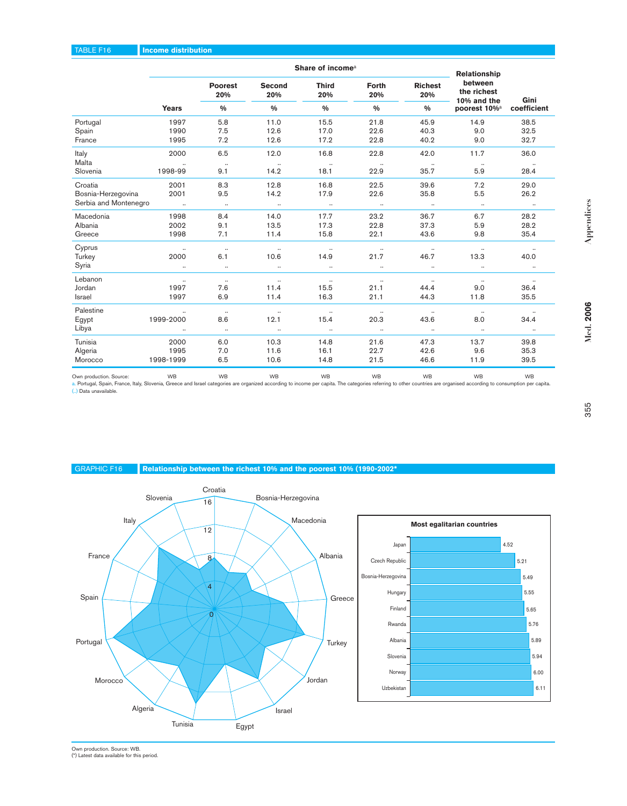#### TABLE F16 **Income distribution**

|                       |                 | Relationship          |                  |                     |                     |                       |                                       |                  |
|-----------------------|-----------------|-----------------------|------------------|---------------------|---------------------|-----------------------|---------------------------------------|------------------|
|                       |                 | <b>Poorest</b><br>20% | Second<br>20%    | <b>Third</b><br>20% | <b>Forth</b><br>20% | <b>Richest</b><br>20% | between<br>the richest<br>10% and the | Gini             |
|                       | <b>Years</b>    | $\frac{0}{0}$         | $\frac{0}{0}$    | $\frac{0}{0}$       | $\frac{0}{0}$       | $\frac{0}{0}$         | poorest 10% <sup>a</sup>              | coefficient      |
| Portugal              | 1997            | 5.8                   | 11.0             | 15.5                | 21.8                | 45.9                  | 14.9                                  | 38.5             |
| Spain                 | 1990            | 7.5                   | 12.6             | 17.0                | 22.6                | 40.3                  | 9.0                                   | 32.5             |
| France                | 1995            | 7.2                   | 12.6             | 17.2                | 22.8                | 40.2                  | 9.0                                   | 32.7             |
| Italy<br>Malta        | 2000            | 6.5<br>$\cdots$       | 12.0<br>$\cdots$ | 16.8<br>$\cdots$    | 22.8<br>$\cdot$     | 42.0                  | 11.7<br>$\cdots$                      | 36.0<br>$\cdots$ |
| Slovenia              | 1998-99         | 9.1                   | 14.2             | 18.1                | 22.9                | $\ldots$<br>35.7      | 5.9                                   | 28.4             |
| Croatia               | 2001            | 8.3                   | 12.8             | 16.8                | 22.5                | 39.6                  | 7.2                                   | 29.0             |
| Bosnia-Herzegovina    | 2001            | 9.5                   | 14.2             | 17.9                | 22.6                | 35.8                  | 5.5                                   | 26.2             |
| Serbia and Montenegro | <b>Contract</b> | $\ldots$              | $\ldots$         | $\cdot$             | $\sim$ $\sim$       | $\sim$ 100 $\mu$      | $\ldots$                              | $\cdot$          |
| Macedonia             | 1998            | 8.4                   | 14.0             | 17.7                | 23.2                | 36.7                  | 6.7                                   | 28.2             |
| Albania               | 2002            | 9.1                   | 13.5             | 17.3                | 22.8                | 37.3                  | 5.9                                   | 28.2             |
| Greece                | 1998            | 7.1                   | 11.4             | 15.8                | 22.1                | 43.6                  | 9.8                                   | 35.4             |
| Cyprus                | $\ddotsc$       | $\ldots$              | $\ldots$         | $\ldots$            | $\ldots$            | $\ldots$              | $\ldots$                              | $\ldots$         |
| Turkey                | 2000            | 6.1                   | 10.6             | 14.9                | 21.7                | 46.7                  | 13.3                                  | 40.0             |
| Syria                 | $\ldots$        | $\ldots$              | $\cdot$          | $\ddots$            | $\ldots$            | $\ddotsc$             | $\ddotsc$                             | $\ldots$         |
| Lebanon               | $\ldots$        | $\ldots$              | $\ldots$         | $\ldots$            | $\ldots$            | $\sim$                | $\ldots$                              | $\ldots$         |
| Jordan                | 1997            | 7.6                   | 11.4             | 15.5                | 21.1                | 44.4                  | 9.0                                   | 36.4             |
| <b>Israel</b>         | 1997            | 6.9                   | 11.4             | 16.3                | 21.1                | 44.3                  | 11.8                                  | 35.5             |
| Palestine             | $\ddotsc$       | $\ldots$              | $\ldots$         | $\ddotsc$           | $\cdot\cdot$        | $\cdot\cdot$          | $\cdot\cdot$                          | $\cdot$          |
| Egypt                 | 1999-2000       | 8.6                   | 12.1             | 15.4                | 20.3                | 43.6                  | 8.0                                   | 34.4             |
| Libya                 |                 | $\ldots$              | $\cdot$          | $\ldots$            | $\ldots$            | $\ldots$              | $\ldots$                              | $\cdot\cdot$     |
| Tunisia               | 2000            | 6.0                   | 10.3             | 14.8                | 21.6                | 47.3                  | 13.7                                  | 39.8             |
| Algeria               | 1995            | 7.0                   | 11.6             | 16.1                | 22.7                | 42.6                  | 9.6                                   | 35.3             |
| Morocco               | 1998-1999       | 6.5                   | 10.6             | 14.8                | 21.5                | 46.6                  | 11.9                                  | 39.5             |
|                       |                 |                       |                  |                     |                     |                       |                                       |                  |

Own production. Source: WB WB WB WB WB WB WB WB a. Portugal, Spain, France, Italy, Slovenia, Greece and Israel categories are organized according to income per capita. The categories referring to other countries are organised according to consumption per capita. (..) Data unavailable.



GRAPHIC F16 **Relationship between the richest 10% and the poorest 10% (1990-2002\***



Own production. Source: WB. (\*) Latest data available for this period.

**Med. 2006**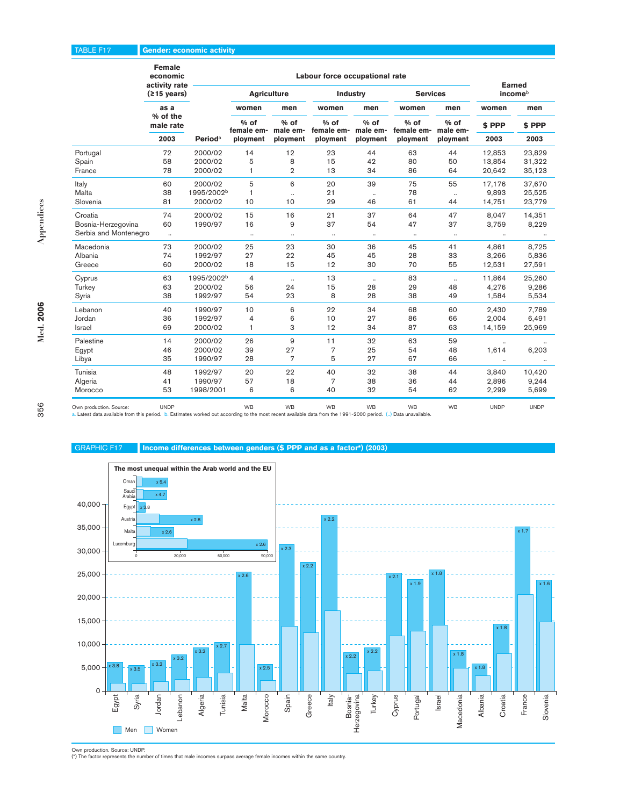### TABLE F17 **Gender: economic activity**

|                                                                                                                                                                                           | Female<br>economic<br>activity rate |                            |                    |                  | Labour force occupational rate |                  |                      |                  | <b>Earned</b>        |             |
|-------------------------------------------------------------------------------------------------------------------------------------------------------------------------------------------|-------------------------------------|----------------------------|--------------------|------------------|--------------------------------|------------------|----------------------|------------------|----------------------|-------------|
|                                                                                                                                                                                           | $(215 \text{ years})$               |                            | <b>Agriculture</b> |                  | <b>Industry</b>                |                  | <b>Services</b>      |                  |                      | incomeb     |
|                                                                                                                                                                                           | as a                                |                            | women              | men              | women                          | men              | women                | men              | women                | men         |
|                                                                                                                                                                                           | % of the<br>male rate               |                            | % of<br>female em- | % of<br>male em- | % of<br>female em-             | % of<br>male em- | $%$ of<br>female em- | % of<br>male em- | \$ PPP               | \$ PPP      |
|                                                                                                                                                                                           | 2003                                | <b>Period</b> <sup>a</sup> | ployment           | ployment         | ployment                       | ployment         | ployment             | ployment         | 2003                 | 2003        |
| Portugal                                                                                                                                                                                  | 72                                  | 2000/02                    | 14                 | 12               | 23                             | 44               | 63                   | 44               | 12,853               | 23,829      |
| Spain                                                                                                                                                                                     | 58                                  | 2000/02                    | 5                  | 8                | 15                             | 42               | 80                   | 50               | 13,854               | 31,322      |
| France                                                                                                                                                                                    | 78                                  | 2000/02                    | $\mathbf{1}$       | $\overline{2}$   | 13                             | 34               | 86                   | 64               | 20,642               | 35,123      |
| Italy                                                                                                                                                                                     | 60                                  | 2000/02                    | 5                  | 6                | 20                             | 39               | 75                   | 55               | 17,176               | 37,670      |
| Malta                                                                                                                                                                                     | 38                                  | 1995/2002 <sup>b</sup>     | $\mathbf{1}$       | $\ddotsc$        | 21                             | $\ldots$         | 78                   | $\ddotsc$        | 9,893                | 25,525      |
| Slovenia                                                                                                                                                                                  | 81                                  | 2000/02                    | 10                 | 10               | 29                             | 46               | 61                   | 44               | 14,751               | 23,779      |
| Croatia                                                                                                                                                                                   | 74                                  | 2000/02                    | 15                 | 16               | 21                             | 37               | 64                   | 47               | 8,047                | 14,351      |
| Bosnia-Herzegovina                                                                                                                                                                        | 60                                  | 1990/97                    | 16                 | 9                | 37                             | 54               | 47                   | 37               | 3,759                | 8,229       |
| Serbia and Montenegro                                                                                                                                                                     | $\ddotsc$                           |                            | $\ddotsc$          | $\ddotsc$        | $\ldots$                       |                  | $\ddotsc$            | $\ldots$         |                      |             |
| Macedonia                                                                                                                                                                                 | 73                                  | 2000/02                    | 25                 | 23               | 30                             | 36               | 45                   | 41               | 4,861                | 8,725       |
| Albania                                                                                                                                                                                   | 74                                  | 1992/97                    | 27                 | 22               | 45                             | 45               | 28                   | 33               | 3,266                | 5,836       |
| Greece                                                                                                                                                                                    | 60                                  | 2000/02                    | 18                 | 15               | 12                             | 30               | 70                   | 55               | 12,531               | 27,591      |
| Cyprus                                                                                                                                                                                    | 63                                  | 1995/2002 <sup>b</sup>     | $\overline{4}$     | $\ldots$         | 13                             | $\ldots$         | 83                   | $\ldots$         | 11,864               | 25,260      |
| Turkey                                                                                                                                                                                    | 63                                  | 2000/02                    | 56                 | 24               | 15                             | 28               | 29                   | 48               | 4,276                | 9,286       |
| Syria                                                                                                                                                                                     | 38                                  | 1992/97                    | 54                 | 23               | 8                              | 28               | 38                   | 49               | 1,584                | 5,534       |
| Lebanon                                                                                                                                                                                   | 40                                  | 1990/97                    | 10                 | 6                | 22                             | 34               | 68                   | 60               | 2,430                | 7,789       |
| Jordan                                                                                                                                                                                    | 36                                  | 1992/97                    | $\overline{4}$     | 6                | 10                             | 27               | 86                   | 66               | 2,004                | 6,491       |
| Israel                                                                                                                                                                                    | 69                                  | 2000/02                    | $\mathbf{1}$       | 3                | 12                             | 34               | 87                   | 63               | 14,159               | 25,969      |
| Palestine                                                                                                                                                                                 | 14                                  | 2000/02                    | 26                 | 9                | 11                             | 32               | 63                   | 59               | $\ddotsc$            |             |
| Egypt                                                                                                                                                                                     | 46                                  | 2000/02                    | 39                 | 27               | $\overline{7}$                 | 25               | 54                   | 48               | 1,614                | 6,203       |
| Libya                                                                                                                                                                                     | 35                                  | 1990/97                    | 28                 | $\overline{7}$   | 5                              | 27               | 67                   | 66               | $\ddot{\phantom{a}}$ |             |
| Tunisia                                                                                                                                                                                   | 48                                  | 1992/97                    | 20                 | 22               | 40                             | 32               | 38                   | 44               | 3.840                | 10,420      |
| Algeria                                                                                                                                                                                   | 41                                  | 1990/97                    | 57                 | 18               | 7                              | 38               | 36                   | 44               | 2,896                | 9,244       |
| Morocco                                                                                                                                                                                   | 53                                  | 1998/2001                  | 6                  | 6                | 40                             | 32               | 54                   | 62               | 2,299                | 5,699       |
| Own production. Source:<br>a. Latest data available from this period. b. Estimates worked out according to the most recent available data from the 1991-2000 period. () Data unavailable. | <b>UNDP</b>                         |                            | <b>WB</b>          | <b>WB</b>        | <b>WB</b>                      | <b>WB</b>        | <b>WB</b>            | <b>WB</b>        | <b>UNDP</b>          | <b>UNDP</b> |

356

**Med. 2006**

Med. 2006

**Appendices**

Appendices





Own production. Source: UNDP.<br>(\*) The factor represents the numb

 $\cdot$  of times that male incomes surpass average female incomes within the same country.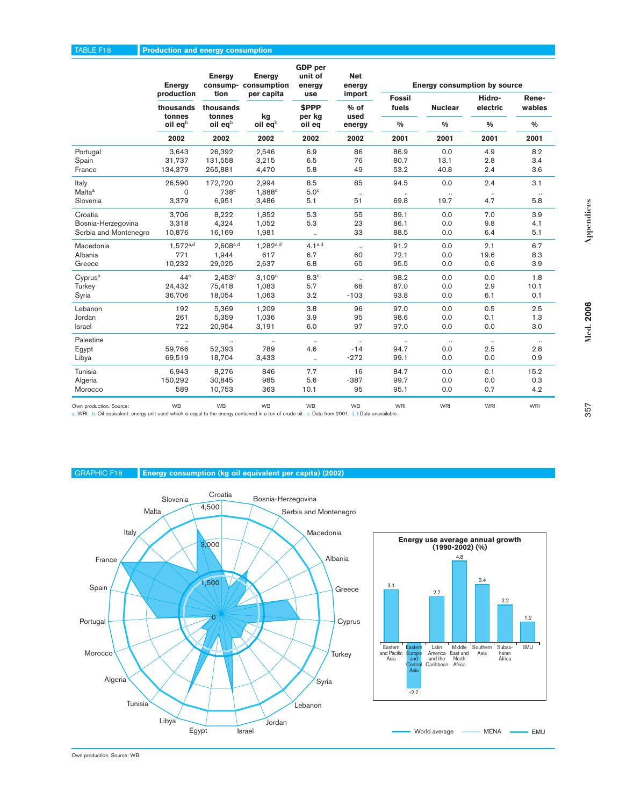|                       | <b>Energy</b>           | <b>Energy</b>     | <b>Energy</b><br>consump-consumption | GDP per<br>unit of<br>energy | <b>Net</b><br>energy |                        | <b>Energy consumption by source</b> |                    |                 |
|-----------------------|-------------------------|-------------------|--------------------------------------|------------------------------|----------------------|------------------------|-------------------------------------|--------------------|-----------------|
|                       | production<br>thousands | tion<br>thousands | per capita                           | use<br>\$PPP                 | import<br>% of       | <b>Fossil</b><br>fuels | <b>Nuclear</b>                      | Hidro-<br>electric | Rene-<br>wables |
|                       | tonnes<br>oil eqb       | tonnes<br>oil eqb | kg<br>$oil$ eq $b$                   | per kg<br>oil eq             | used<br>energy       | $\frac{0}{0}$          | $\frac{0}{0}$                       | $\frac{0}{0}$      | $\frac{0}{0}$   |
|                       | 2002                    | 2002              | 2002                                 | 2002                         | 2002                 | 2001                   | 2001                                | 2001               | 2001            |
| Portugal              | 3,643                   | 26,392            | 2,546                                | 6.9                          | 86                   | 86.9                   | 0.0                                 | 4.9                | 8.2             |
| Spain                 | 31,737                  | 131,558           | 3,215                                | 6.5                          | 76                   | 80.7                   | 13.1                                | 2.8                | 3.4             |
| France                | 134,379                 | 265,881           | 4,470                                | 5.8                          | 49                   | 53.2                   | 40.8                                | 2.4                | 3.6             |
| Italy                 | 26,590                  | 172,720           | 2.994                                | 8.5                          | 85                   | 94.5                   | 0.0                                 | 2.4                | 3.1             |
| Malta <sup>a</sup>    | 0                       | 738 <sup>c</sup>  | 1,888 <sup>c</sup>                   | 5.0 <sup>c</sup>             | $\cdot\cdot$         | $\cdots$               | $\cdot\cdot$                        | $\cdot\cdot$       | $\cdot\cdot$    |
| Slovenia              | 3,379                   | 6,951             | 3,486                                | 5.1                          | 51                   | 69.8                   | 19.7                                | 4.7                | 5.8             |
| Croatia               | 3,706                   | 8,222             | 1,852                                | 5.3                          | 55                   | 89.1                   | 0.0                                 | 7.0                | 3.9             |
| Bosnia-Herzegovina    | 3,318                   | 4,324             | 1,052                                | 5.3                          | 23                   | 86.1                   | 0.0                                 | 9.8                | 4.1             |
| Serbia and Montenegro | 10,876                  | 16,169            | 1,981                                | $\ldots$                     | 33                   | 88.5                   | 0.0                                 | 6.4                | 5.1             |
| Macedonia             | $1.572^{a,d}$           | $2.608^{a,d}$     | $1.282^{a,d}$                        | $4.1^{a,d}$                  | $\ldots$             | 91.2                   | 0.0                                 | 2.1                | 6.7             |
| Albania               | 771                     | 1,944             | 617                                  | 6.7                          | 60                   | 72.1                   | 0.0                                 | 19.6               | 8.3             |
| Greece                | 10,232                  | 29,025            | 2,637                                | 6.8                          | 65                   | 95.5                   | 0.0                                 | 0.6                | 3.9             |
| Cyprus <sup>a</sup>   | 44 <sup>c</sup>         | 2.453c            | 3.109c                               | 8.3 <sup>c</sup>             | $\ddotsc$            | 98.2                   | 0.0                                 | 0.0                | 1.8             |
| Turkey                | 24,432                  | 75,418            | 1,083                                | 5.7                          | 68                   | 87.0                   | 0.0                                 | 2.9                | 10.1            |
| Syria                 | 36,706                  | 18,054            | 1,063                                | 3.2                          | $-103$               | 93.8                   | 0.0                                 | 6.1                | 0.1             |
| Lebanon               | 192                     | 5,369             | 1,209                                | 3.8                          | 96                   | 97.0                   | 0.0                                 | 0.5                | 2.5             |
| Jordan                | 261                     | 5,359             | 1,036                                | 3.9                          | 95                   | 98.6                   | 0.0                                 | 0.1                | 1.3             |
| Israel                | 722                     | 20,954            | 3,191                                | 6.0                          | 97                   | 97.0                   | 0.0                                 | 0.0                | 3.0             |
| Palestine             |                         |                   | $\ldots$                             | $\ldots$                     | $\ddotsc$            | $\ldots$               | $\ldots$                            | $\ldots$           |                 |
| Egypt                 | 59,766                  | 52,393            | 789                                  | 4.6                          | $-14$                | 94.7                   | 0.0                                 | 2.5                | 2.8             |
| Libya                 | 69,519                  | 18,704            | 3,433                                | $\ddotsc$                    | $-272$               | 99.1                   | 0.0                                 | 0.0                | 0.9             |
| Tunisia               | 6,943                   | 8,276             | 846                                  | 7.7                          | 16                   | 84.7                   | 0.0                                 | 0.1                | 15.2            |
| Algeria               | 150,292                 | 30,845            | 985                                  | 5.6                          | $-387$               | 99.7                   | 0.0                                 | 0.0                | 0.3             |
| Morocco               | 589                     | 10,753            | 363                                  | 10.1                         | 95                   | 95.1                   | 0.0                                 | 0.7                | 4.2             |
|                       | 1.11                    | 1.1.1             | $\cdots$                             |                              | 1.11                 |                        |                                     |                    |                 |

Own production. Source: WB WB WB WB WB WB WB WB WB WB WB WB WRI WRI WRI WRI WRI WRI WRI WRI WRI WR<br>a. WRI. b. Oil equivalent: energy unit used which is equal to the energy contained in a ton of crude oil. c. Data from 2001

GRAPHIC F18 **Energy consumption (kg oil equivalent per capita) (2002)**



2.2

haran Africa

1.2

**EMU**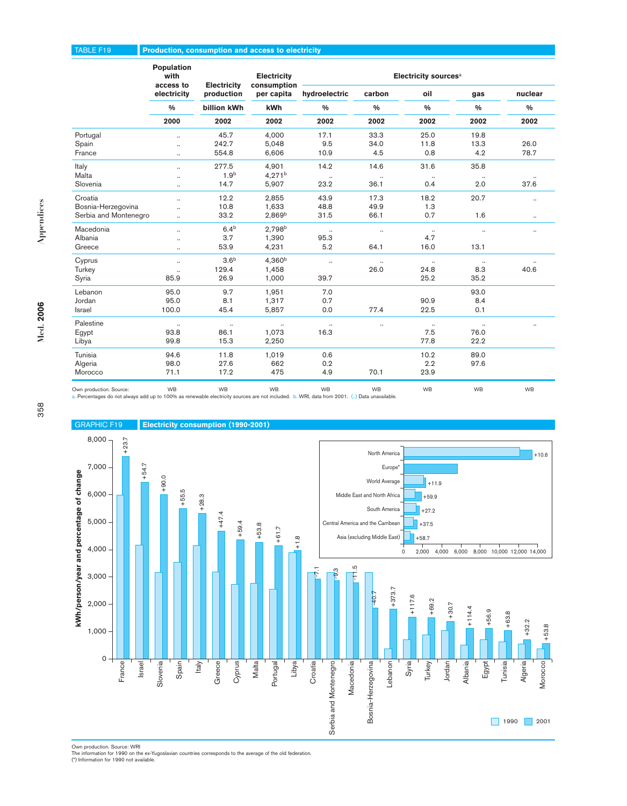### TABLE F19 **Production, consumption and access to electricity**

|                       | <b>Population</b><br>with<br>access to | <b>Electricity</b> | <b>Electricity</b><br>consumption | Electricity sources <sup>a</sup> |               |               |               |               |  |  |  |
|-----------------------|----------------------------------------|--------------------|-----------------------------------|----------------------------------|---------------|---------------|---------------|---------------|--|--|--|
|                       | electricity                            | production         | per capita                        | hydroelectric                    | carbon        | oil           | gas           | nuclear       |  |  |  |
|                       | $\frac{0}{0}$                          | billion kWh        | kWh                               | $\frac{0}{0}$                    | $\frac{9}{6}$ | $\frac{0}{0}$ | $\frac{0}{0}$ | $\frac{0}{0}$ |  |  |  |
|                       | 2000                                   | 2002               | 2002                              | 2002                             | 2002          | 2002          | 2002          | 2002          |  |  |  |
| Portugal              | $\ddot{\phantom{0}}$                   | 45.7               | 4,000                             | 17.1                             | 33.3          | 25.0          | 19.8          |               |  |  |  |
| Spain                 | $\cdot$                                | 242.7              | 5,048                             | 9.5                              | 34.0          | 11.8          | 13.3          | 26.0          |  |  |  |
| France                | $\ddotsc$                              | 554.8              | 6,606                             | 10.9                             | 4.5           | 0.8           | 4.2           | 78.7          |  |  |  |
| Italy                 | $\ddotsc$                              | 277.5              | 4,901                             | 14.2                             | 14.6          | 31.6          | 35.8          |               |  |  |  |
| <b>Malta</b>          | $\ddot{\phantom{a}}$                   | 1.9 <sup>b</sup>   | 4.271 <sup>b</sup>                | $\ddot{\phantom{a}}$             | $\cdot\cdot$  |               |               |               |  |  |  |
| Slovenia              | $\ldots$                               | 14.7               | 5,907                             | 23.2                             | 36.1          | 0.4           | 2.0           | 37.6          |  |  |  |
| Croatia               | $\ddotsc$                              | 12.2               | 2,855                             | 43.9                             | 17.3          | 18.2          | 20.7          | $\ddotsc$     |  |  |  |
| Bosnia-Herzegovina    | $\ddot{\phantom{0}}$                   | 10.8               | 1,633                             | 48.8                             | 49.9          | 1.3           |               |               |  |  |  |
| Serbia and Montenegro | $\ddot{\phantom{a}}$                   | 33.2               | 2,869 <sup>b</sup>                | 31.5                             | 66.1          | 0.7           | 1.6           | $\ldots$      |  |  |  |
| Macedonia             | $\ddotsc$                              | 6.4 <sup>b</sup>   | 2,798 <sup>b</sup>                | $\ddotsc$                        | $\ddotsc$     | $\ldots$      | $\ddotsc$     | $\ddotsc$     |  |  |  |
| Albania               | $\ddotsc$                              | 3.7                | 1,390                             | 95.3                             |               | 4.7           |               |               |  |  |  |
| Greece                | $\ddotsc$                              | 53.9               | 4,231                             | 5.2                              | 64.1          | 16.0          | 13.1          |               |  |  |  |
| Cyprus                | $\ldots$                               | 3.6 <sup>b</sup>   | 4,360 <sup>b</sup>                |                                  | $\ddotsc$     |               | $\cdot\cdot$  |               |  |  |  |
| Turkey                | $\ldots$                               | 129.4              | 1,458                             |                                  | 26.0          | 24.8          | 8.3           | 40.6          |  |  |  |
| Syria                 | 85.9                                   | 26.9               | 1,000                             | 39.7                             |               | 25.2          | 35.2          |               |  |  |  |
| Lebanon               | 95.0                                   | 9.7                | 1,951                             | 7.0                              |               |               | 93.0          |               |  |  |  |
| Jordan                | 95.0                                   | 8.1                | 1,317                             | 0.7                              |               | 90.9          | 8.4           |               |  |  |  |
| Israel                | 100.0                                  | 45.4               | 5,857                             | 0.0                              | 77.4          | 22.5          | 0.1           |               |  |  |  |
| Palestine             | $\ddotsc$                              | $\ldots$           | $\ldots$                          |                                  |               | $\ldots$      | $\ddotsc$     |               |  |  |  |
| Egypt                 | 93.8                                   | 86.1               | 1,073                             | 16.3                             |               | 7.5           | 76.0          |               |  |  |  |
| Libya                 | 99.8                                   | 15.3               | 2,250                             |                                  |               | 77.8          | 22.2          |               |  |  |  |
| Tunisia               | 94.6                                   | 11.8               | 1,019                             | 0.6                              |               | 10.2          | 89.0          |               |  |  |  |
| Algeria               | 98.0                                   | 27.6               | 662                               | 0.2                              |               | 2.2           | 97.6          |               |  |  |  |
| Morocco               | 71.1                                   | 17.2               | 475                               | 4.9                              | 70.1          | 23.9          |               |               |  |  |  |
|                       |                                        |                    |                                   |                                  |               |               |               |               |  |  |  |

Own production. Source: WB WB WB WB WB WB WB WB a. Percentages do not always add up to 100% as renewable electricity sources are not included. b. WRI, data from 2001. (..) Data unavailable.



Own production. Source: WRI<br>The information for 1990 on the ex-Yugoslavian countries corresponds to the average of the old federation.<br>(\*) Information for 1990 not available.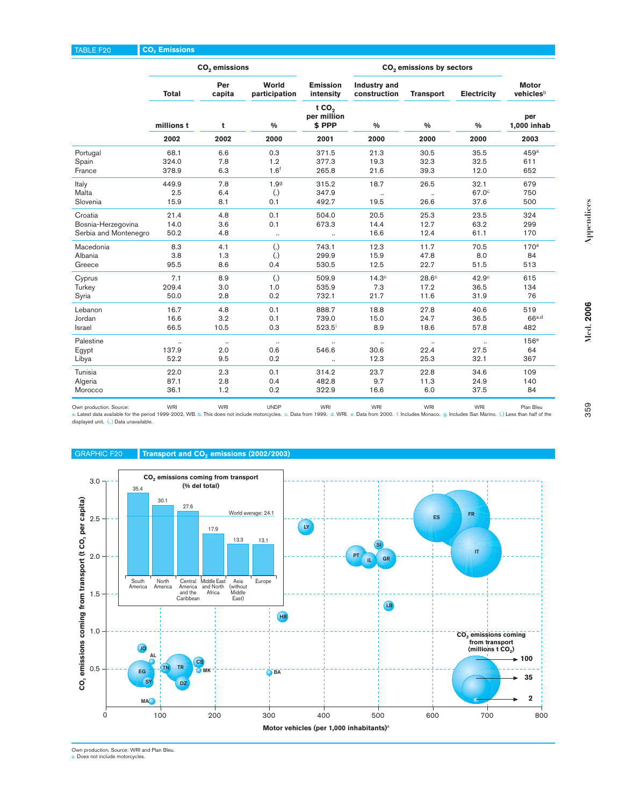|                       | CO <sub>2</sub> emissions |               |                        |                                           | CO <sub>2</sub> emissions by sectors |                  |                      |                           |
|-----------------------|---------------------------|---------------|------------------------|-------------------------------------------|--------------------------------------|------------------|----------------------|---------------------------|
|                       | Total                     | Per<br>capita | World<br>participation | <b>Emission</b><br>intensity              | <b>Industry and</b><br>construction  | <b>Transport</b> | <b>Electricity</b>   | <b>Motor</b><br>vehiclesb |
|                       | millions t                | t             | %                      | tCO <sub>2</sub><br>per million<br>\$ PPP | $\frac{0}{0}$                        | $\frac{0}{0}$    | $\frac{0}{0}$        | per<br>1,000 inhab        |
|                       | 2002                      | 2002          | 2000                   | 2001                                      | 2000                                 | 2000             | 2000                 | 2003                      |
| Portugal              | 68.1                      | 6.6           | 0.3                    | 371.5                                     | 21.3                                 | 30.5             | 35.5                 | 459a                      |
| Spain                 | 324.0                     | 7.8           | 1.2                    | 377.3                                     | 19.3                                 | 32.3             | 32.5                 | 611                       |
| France                | 378.9                     | 6.3           | 1.6 <sup>f</sup>       | 265.8                                     | 21.6                                 | 39.3             | 12.0                 | 652                       |
| Italy                 | 449.9                     | 7.8           | 1.99                   | 315.2                                     | 18.7                                 | 26.5             | 32.1                 | 679                       |
| <b>Malta</b>          | 2.5                       | 6.4           | $\left( .\right)$      | 347.9                                     |                                      |                  | 67.0°                | 750                       |
| Slovenia              | 15.9                      | 8.1           | 0.1                    | 492.7                                     | 19.5                                 | 26.6             | 37.6                 | 500                       |
| Croatia               | 21.4                      | 4.8           | 0.1                    | 504.0                                     | 20.5                                 | 25.3             | 23.5                 | 324                       |
| Bosnia-Herzegovina    | 14.0                      | 3.6           | 0.1                    | 673.3                                     | 14.4                                 | 12.7             | 63.2                 | 299                       |
| Serbia and Montenegro | 50.2                      | 4.8           | $\ldots$               | $\ldots$                                  | 16.6                                 | 12.4             | 61.1                 | 170                       |
| Macedonia             | 8.3                       | 4.1           | $\left( .\right)$      | 743.1                                     | 12.3                                 | 11.7             | 70.5                 | 170 <sup>a</sup>          |
| Albania               | 3.8                       | 1.3           | $\left( .\right)$      | 299.9                                     | 15.9                                 | 47.8             | 8.0                  | 84                        |
| Greece                | 95.5                      | 8.6           | 0.4                    | 530.5                                     | 12.5                                 | 22.7             | 51.5                 | 513                       |
| Cyprus                | 7.1                       | 8.9           | $\left( .\right)$      | 509.9                                     | 14.3 <sup>c</sup>                    | $28.6^\circ$     | 42.9 <sup>c</sup>    | 615                       |
| Turkey                | 209.4                     | 3.0           | 1.0                    | 535.9                                     | 7.3                                  | 17.2             | 36.5                 | 134                       |
| Syria                 | 50.0                      | 2.8           | 0.2                    | 732.1                                     | 21.7                                 | 11.6             | 31.9                 | 76                        |
| Lebanon               | 16.7                      | 4.8           | 0.1                    | 888.7                                     | 18.8                                 | 27.8             | 40.6                 | 519                       |
| Jordan                | 16.6                      | 3.2           | 0.1                    | 739.0                                     | 15.0                                 | 24.7             | 36.5                 | 66a.d                     |
| Israel                | 66.5                      | 10.5          | 0.3                    | $523.5^{\circ}$                           | 8.9                                  | 18.6             | 57.8                 | 482                       |
| Palestine             | $\ddotsc$                 | $\ldots$      | $\ldots$               | $\ddot{\phantom{a}}$                      | $\ldots$                             | $\ddotsc$        | $\ddot{\phantom{a}}$ | 156 <sup>e</sup>          |
| Egypt                 | 137.9                     | 2.0           | 0.6                    | 546.6                                     | 30.6                                 | 22.4             | 27.5                 | 64                        |
| Libya                 | 52.2                      | 9.5           | 0.2                    | $\ldots$                                  | 12.3                                 | 25.3             | 32.1                 | 367                       |
| Tunisia               | 22.0                      | 2.3           | 0.1                    | 314.2                                     | 23.7                                 | 22.8             | 34.6                 | 109                       |
| Algeria               | 87.1                      | 2.8           | 0.4                    | 482.8                                     | 9.7                                  | 11.3             | 24.9                 | 140                       |
| Morocco               | 36.1                      | 1.2           | 0.2                    | 322.9                                     | 16.6                                 | 6.0              | 37.5                 | 84                        |
|                       |                           |               |                        |                                           |                                      |                  |                      |                           |

Own production. Source: WRI Plan Bleu<br>Latest data available for the period 1999-2002, WB. b. This does not include motorcycles. c. Data from 1999. d. WRI e. Data from 2000. f. Includes Monaco. g. Includes San Marino. (.) displayed unit. (..) Data unavailable.

# GRAPHIC F20 **Transport and CO<sub>2</sub> emissions (2002/2003)**



Own production. Source: WRI and Plan Bleu. a. Does not include motorcycles.

**Med. 2006**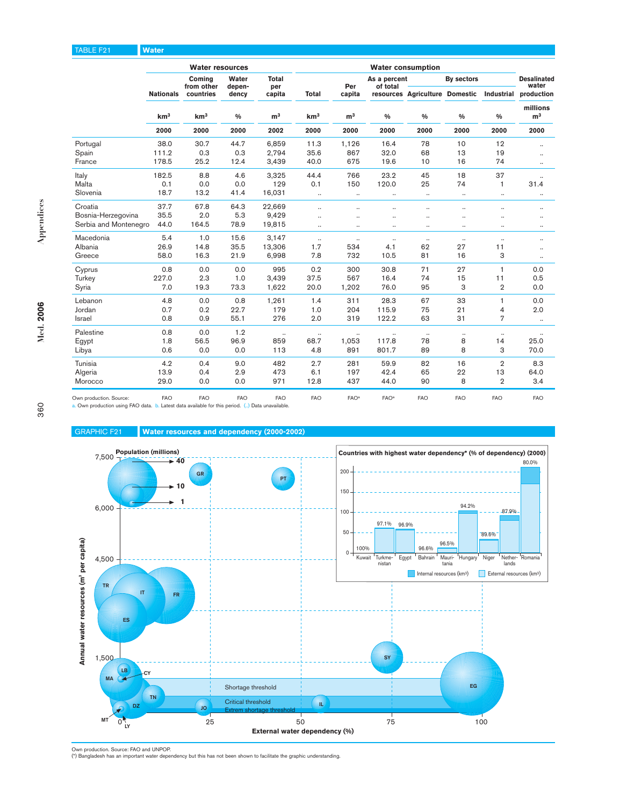### TABLE F21 **Water**

|                                                                                                                             |                  | <b>Water resources</b> |                 |                      |                 |                      |                          |                      |                                |                      |                             |
|-----------------------------------------------------------------------------------------------------------------------------|------------------|------------------------|-----------------|----------------------|-----------------|----------------------|--------------------------|----------------------|--------------------------------|----------------------|-----------------------------|
|                                                                                                                             |                  | Comina<br>from other   | Water<br>depen- | Total<br>per         |                 | Per                  | As a percent<br>of total |                      | <b>By sectors</b>              |                      | <b>Desalinated</b><br>water |
|                                                                                                                             | <b>Nationals</b> | countries              | dency           | capita               | <b>Total</b>    | capita               |                          |                      | resources Agriculture Domestic |                      | Industrial production       |
|                                                                                                                             | km <sup>3</sup>  | km <sup>3</sup>        | $\frac{0}{0}$   | m <sup>3</sup>       | km <sup>3</sup> | m <sup>3</sup>       | $\frac{0}{0}$            | $\frac{0}{0}$        | $\frac{0}{0}$                  | $\frac{0}{0}$        | millions<br>m <sup>3</sup>  |
|                                                                                                                             | 2000             | 2000                   | 2000            | 2002                 | 2000            | 2000                 | 2000                     | 2000                 | 2000                           | 2000                 | 2000                        |
| Portugal                                                                                                                    | 38.0             | 30.7                   | 44.7            | 6.859                | 11.3            | 1,126                | 16.4                     | 78                   | 10                             | 12                   | $\ddotsc$                   |
| Spain                                                                                                                       | 111.2            | 0.3                    | 0.3             | 2.794                | 35.6            | 867                  | 32.0                     | 68                   | 13                             | 19                   | $\ddotsc$                   |
| France                                                                                                                      | 178.5            | 25.2                   | 12.4            | 3,439                | 40.0            | 675                  | 19.6                     | 10                   | 16                             | 74                   | $\ldots$                    |
| Italy                                                                                                                       | 182.5            | 8.8                    | 4.6             | 3,325                | 44.4            | 766                  | 23.2                     | 45                   | 18                             | 37                   | $\ddot{\phantom{a}}$        |
| Malta                                                                                                                       | 0.1              | 0.0                    | 0.0             | 129                  | 0.1             | 150                  | 120.0                    | 25                   | 74                             | 1                    | 31.4                        |
| Slovenia                                                                                                                    | 18.7             | 13.2                   | 41.4            | 16,031               | $\ldots$        | $\ddotsc$            | $\ddotsc$                |                      | $\cdot\cdot$                   | $\ldots$             | $\ldots$                    |
| Croatia                                                                                                                     | 37.7             | 67.8                   | 64.3            | 22,669               | $\ddotsc$       |                      | $\ddotsc$                | $\ddot{\phantom{a}}$ | $\ddot{\phantom{0}}$           | $\ddot{\phantom{0}}$ | $\ddotsc$                   |
| Bosnia-Herzegovina                                                                                                          | 35.5             | 2.0                    | 5.3             | 9,429                | $\ddotsc$       | $\ddot{\phantom{a}}$ | $\sim$                   | $\ddot{\phantom{a}}$ | $\ddot{\phantom{0}}$           | $\ddot{\phantom{0}}$ | ٠.                          |
| Serbia and Montenegro                                                                                                       | 44.0             | 164.5                  | 78.9            | 19,815               | $\ddotsc$       | $\ddot{\phantom{a}}$ | $\ddot{\phantom{a}}$     |                      | $\ddot{\phantom{a}}$           | $\ddot{\phantom{0}}$ | $\ddotsc$                   |
| Macedonia                                                                                                                   | 5.4              | 1.0                    | 15.6            | 3.147                | $\ldots$        | $\ddotsc$            | $\ldots$                 |                      | $\ddotsc$                      | $\ddotsc$            | $\ddotsc$                   |
| Albania                                                                                                                     | 26.9             | 14.8                   | 35.5            | 13,306               | 1.7             | 534                  | 4.1                      | 62                   | 27                             | 11                   | $\ldots$                    |
| Greece                                                                                                                      | 58.0             | 16.3                   | 21.9            | 6,998                | 7.8             | 732                  | 10.5                     | 81                   | 16                             | 3                    | $\ddotsc$                   |
| Cyprus                                                                                                                      | 0.8              | 0.0                    | 0.0             | 995                  | 0.2             | 300                  | 30.8                     | 71                   | 27                             | $\mathbf{1}$         | 0.0                         |
| Turkey                                                                                                                      | 227.0            | 2.3                    | 1.0             | 3,439                | 37.5            | 567                  | 16.4                     | 74                   | 15                             | 11                   | 0.5                         |
| Syria                                                                                                                       | 7.0              | 19.3                   | 73.3            | 1,622                | 20.0            | 1,202                | 76.0                     | 95                   | 3                              | $\overline{2}$       | 0.0                         |
| Lebanon                                                                                                                     | 4.8              | 0.0                    | 0.8             | 1,261                | 1.4             | 311                  | 28.3                     | 67                   | 33                             | 1                    | 0.0                         |
| Jordan                                                                                                                      | 0.7              | 0.2                    | 22.7            | 179                  | 1.0             | 204                  | 115.9                    | 75                   | 21                             | 4                    | 2.0                         |
| Israel                                                                                                                      | 0.8              | 0.9                    | 55.1            | 276                  | 2.0             | 319                  | 122.2                    | 63                   | 31                             | $\overline{7}$       | $\ddotsc$                   |
| Palestine                                                                                                                   | 0.8              | 0.0                    | 1.2             | $\ddot{\phantom{a}}$ | $\ddotsc$       | $\ddotsc$            | $\ddotsc$                |                      | $\ddotsc$                      | $\ddotsc$            | $\ldots$                    |
| Egypt                                                                                                                       | 1.8              | 56.5                   | 96.9            | 859                  | 68.7            | 1,053                | 117.8                    | 78                   | 8                              | 14                   | 25.0                        |
| Libya                                                                                                                       | 0.6              | 0.0                    | 0.0             | 113                  | 4.8             | 891                  | 801.7                    | 89                   | 8                              | 3                    | 70.0                        |
| Tunisia                                                                                                                     | 4.2              | 0.4                    | 9.0             | 482                  | 2.7             | 281                  | 59.9                     | 82                   | 16                             | $\overline{2}$       | 8.3                         |
| Algeria                                                                                                                     | 13.9             | 0.4                    | 2.9             | 473                  | 6.1             | 197                  | 42.4                     | 65                   | 22                             | 13                   | 64.0                        |
| Morocco                                                                                                                     | 29.0             | 0.0                    | 0.0             | 971                  | 12.8            | 437                  | 44.0                     | 90                   | 8                              | $\overline{2}$       | 3.4                         |
| Own production. Source:<br>a. Own production using FAO data. b. Latest data available for this period. () Data unavailable. | <b>FAO</b>       | <b>FAO</b>             | <b>FAO</b>      | <b>FAO</b>           | <b>FAO</b>      | FAO <sup>a</sup>     | FAO <sup>a</sup>         | <b>FAO</b>           | <b>FAO</b>                     | <b>FAO</b>           | <b>FAO</b>                  |





Own production. Source: FAO and UNPOP. (\*) Bangladesh has an important water dependency but this has not been shown to facilitate the graphic understanding.

**Med. 2006**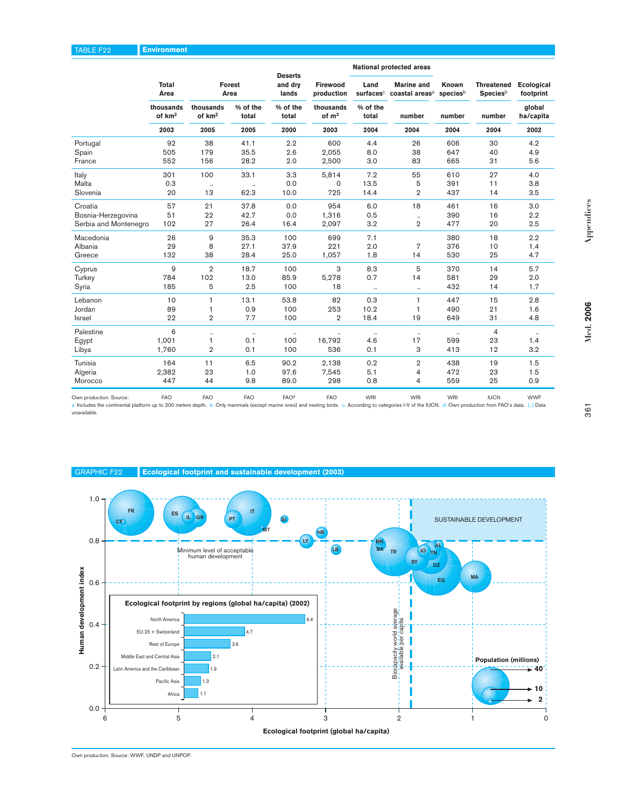|                               |                                 |                                                           |                                           |                                    |                                |                   | nauvilai prolocioa arcas                        |                   |                                                  |                         |
|-------------------------------|---------------------------------|-----------------------------------------------------------|-------------------------------------------|------------------------------------|--------------------------------|-------------------|-------------------------------------------------|-------------------|--------------------------------------------------|-------------------------|
|                               | Total<br>Area                   |                                                           | Forest<br>Area                            | <b>Deserts</b><br>and dry<br>lands | Firewood<br>production         | Land<br>surfaces  | <b>Marine</b> and<br>coastal areas <sup>a</sup> | Known<br>speciesb | <b>Threatened</b><br><b>Species</b> <sup>b</sup> | Ecological<br>footprint |
|                               | thousands<br>of km <sup>2</sup> | thousands<br>of km <sup>2</sup>                           | % of the<br>total                         | % of the<br>total                  | thousands<br>of m <sup>3</sup> | % of the<br>total | number                                          | number            | number                                           | global<br>ha/capita     |
|                               | 2003                            | 2005                                                      | 2005                                      | 2000                               | 2003                           | 2004              | 2004                                            | 2004              | 2004                                             | 2002                    |
| Portugal                      | 92                              | 38                                                        | 41.1                                      | 2.2                                | 600                            | 4.4               | 26                                              | 606               | 30                                               | 4.2                     |
| Spain                         | 505                             | 179                                                       | 35.5                                      | 2.6                                | 2,055                          | 8.0               | 38                                              | 647               | 40                                               | 4.9                     |
| France                        | 552                             | 156                                                       | 28.2                                      | 2.0                                | 2,500                          | 3.0               | 83                                              | 665               | 31                                               | 5.6                     |
| Italy                         | 301                             | 100                                                       | 33.1                                      | 3.3                                | 5,814                          | 7.2               | 55                                              | 610               | 27                                               | 4.0                     |
| Malta<br>Slovenia             | 0.3<br>20                       | $\ddot{\phantom{a}}$<br>13                                | $\ddot{\phantom{0}}$<br>62.3              | 0.0<br>10.0                        | 0<br>725                       | 13.5<br>14.4      | 5<br>$\overline{2}$                             | 391<br>437        | 11<br>14                                         | 3.8<br>3.5              |
|                               |                                 |                                                           |                                           |                                    |                                |                   |                                                 |                   |                                                  |                         |
| Croatia<br>Bosnia-Herzegovina | 57<br>51                        | 21<br>22                                                  | 37.8<br>42.7                              | 0.0<br>0.0                         | 954<br>1,316                   | 6.0<br>0.5        | 18<br>$\ddot{\phantom{0}}$                      | 461<br>390        | 16<br>16                                         | 3.0<br>2.2              |
| Serbia and Montenegro         | 102                             | 27                                                        | 26.4                                      | 16.4                               | 2,097                          | 3.2               | $\overline{2}$                                  | 477               | 20                                               | 2.5                     |
| Macedonia                     | 26                              | 9                                                         | 35.3                                      | 100                                | 699                            | 7.1               |                                                 | 380               | 18                                               | 2.2                     |
| Albania                       | 29                              | 8                                                         | 27.1                                      | 37.9                               | 221                            | 2.0               | 7                                               | 376               | 10                                               | 1.4                     |
| Greece                        | 132                             | 38                                                        | 28.4                                      | 25.0                               | 1,057                          | 1.8               | 14                                              | 530               | 25                                               | 4.7                     |
| Cyprus                        | 9                               | $\overline{2}$                                            | 18.7                                      | 100                                | 3                              | 8.3               | 5                                               | 370               | 14                                               | 5.7                     |
| Turkey                        | 784                             | 102                                                       | 13.0                                      | 85.9                               | 5,278                          | 0.7               | 14                                              | 581               | 29                                               | 2.0                     |
| Syria                         | 185                             | 5                                                         | 2.5                                       | 100                                | 18                             | $\ddotsc$         | $\ddotsc$                                       | 432               | 14                                               | 1.7                     |
| Lebanon                       | 10                              | 1                                                         | 13.1                                      | 53.8                               | 82                             | 0.3               | 1                                               | 447               | 15                                               | 2.8                     |
| Jordan                        | 89                              | 1                                                         | 0.9                                       | 100                                | 253                            | 10.2              | 1                                               | 490               | 21                                               | 1.6                     |
| Israel                        | 22                              | $\overline{2}$                                            | 7.7                                       | 100                                | $\overline{2}$                 | 18.4              | 19                                              | 649               | 31                                               | 4.8                     |
| Palestine                     | 6                               |                                                           | $\ddot{\phantom{0}}$                      | $\ddotsc$                          |                                |                   | $\ddotsc$                                       |                   | $\overline{4}$                                   |                         |
| Egypt                         | 1,001<br>1,760                  | 1<br>$\overline{2}$                                       | 0.1<br>0.1                                | 100<br>100                         | 16,792<br>536                  | 4.6<br>0.1        | 17<br>3                                         | 599<br>413        | 23<br>12                                         | 1.4<br>3.2              |
| Libya                         |                                 |                                                           |                                           |                                    |                                |                   |                                                 |                   |                                                  |                         |
| Tunisia                       | 164                             | 11                                                        | 6.5                                       | 90.2                               | 2,138                          | 0.2               | $\overline{2}$                                  | 438               | 19                                               | 1.5                     |
| Algeria<br>Morocco            | 2,382<br>447                    | 23<br>44                                                  | 1.0<br>9.8                                | 97.6<br>89.0                       | 7,545<br>298                   | 5.1<br>0.8        | 4<br>4                                          | 472<br>559        | 23<br>25                                         | 1.5<br>0.9              |
|                               |                                 |                                                           |                                           |                                    |                                |                   |                                                 |                   |                                                  |                         |
| unavailable.                  |                                 |                                                           |                                           |                                    |                                |                   |                                                 |                   |                                                  |                         |
| <b>GRAPHIC F22</b>            |                                 | Ecological footprint and sustainable development (2003)   |                                           |                                    |                                |                   |                                                 |                   |                                                  |                         |
|                               |                                 |                                                           |                                           |                                    |                                |                   |                                                 |                   |                                                  |                         |
| 1.0<br><b>FR</b><br><b>CY</b> | <b>ES</b>                       | IL GR                                                     | $\mathsf{I}\mathsf{T}$<br>PT<br><b>MT</b> | <b>SI</b>                          | H <sub>R</sub>                 |                   |                                                 |                   | SUSTAINABLE DEVELOPMENT                          |                         |
| 0.8                           |                                 |                                                           |                                           |                                    |                                | <b>MK</b>         |                                                 | <b>AL</b>         |                                                  |                         |
|                               |                                 | Minimum level of acceptable<br>human development          |                                           |                                    | LB                             | <b>BA</b>         | <b>JO</b><br><b>TR</b><br><b>TN</b><br>SY       | DZ                |                                                  |                         |
| 0.6                           |                                 |                                                           |                                           |                                    |                                |                   |                                                 | EG                | MA                                               |                         |
|                               |                                 |                                                           |                                           |                                    |                                |                   |                                                 |                   |                                                  |                         |
| n development index           |                                 | Ecological footprint by regions (global ha/capita) (2002) |                                           |                                    |                                |                   |                                                 |                   |                                                  |                         |
| 0.4                           | North America                   |                                                           |                                           |                                    | 9.4                            |                   | average<br>capita                               |                   |                                                  |                         |
|                               | EU-25 + Switzerland             |                                                           | 4.7                                       |                                    |                                |                   | ত                                               |                   |                                                  |                         |

**National protected areas**



**Med. 2006**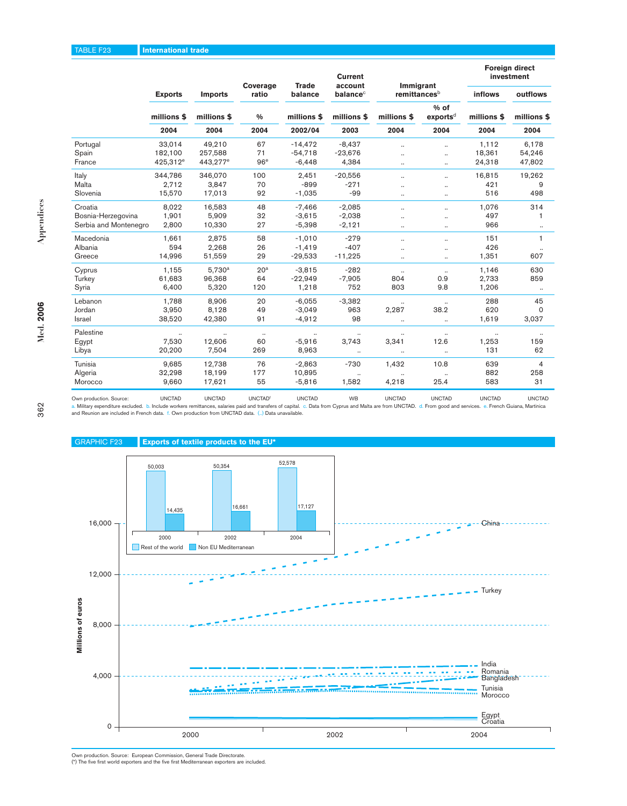### TABLE F23 **International trade**

 $\bullet$ 

| ×      |  |
|--------|--|
| v<br>I |  |
| I<br>I |  |
|        |  |

|                       | <b>Exports</b><br>millions \$<br>2004 | Coverage<br><b>Trade</b><br>account | <b>Current</b>  |               |                      | <b>Foreign direct</b><br>investment |                      |                                |                |             |
|-----------------------|---------------------------------------|-------------------------------------|-----------------|---------------|----------------------|-------------------------------------|----------------------|--------------------------------|----------------|-------------|
|                       |                                       | <b>Imports</b>                      | ratio           | balance       | balance <sup>c</sup> | Immigrant<br>remittancesb           |                      | <b>inflows</b>                 | outflows       |             |
|                       |                                       |                                     | millions \$     | $\frac{0}{0}$ | millions \$          | millions \$                         | millions \$          | $%$ of<br>exports <sup>d</sup> | millions \$    | millions \$ |
|                       |                                       | 2004                                | 2004            | 2002/04       | 2003                 | 2004                                | 2004                 | 2004                           | 2004           |             |
| Portugal              | 33,014                                | 49,210                              | 67              | $-14,472$     | $-8,437$             | $\ddot{\phantom{a}}$                | $\ddot{\phantom{a}}$ | 1,112                          | 6.178          |             |
| Spain                 | 182,100                               | 257,588                             | 71              | $-54,718$     | $-23,676$            | $\ddot{\phantom{a}}$                |                      | 18,361                         | 54,246         |             |
| France                | 425,312 <sup>e</sup>                  | 443,277 <sup>e</sup>                | 96 <sup>e</sup> | $-6,448$      | 4,384                | $\cdot$                             |                      | 24,318                         | 47,802         |             |
| Italy                 | 344,786                               | 346,070                             | 100             | 2,451         | $-20,556$            | $\ddotsc$                           |                      | 16,815                         | 19,262         |             |
| Malta                 | 2,712                                 | 3,847                               | 70              | $-899$        | $-271$               | $\ddot{\phantom{a}}$                | $\ddot{\phantom{a}}$ | 421                            | 9              |             |
| Slovenia              | 15,570                                | 17,013                              | 92              | $-1,035$      | $-99$                | $\ddotsc$                           |                      | 516                            | 498            |             |
| Croatia               | 8,022                                 | 16,583                              | 48              | $-7,466$      | $-2,085$             | $\ddot{\phantom{a}}$                |                      | 1,076                          | 314            |             |
| Bosnia-Herzegovina    | 1,901                                 | 5,909                               | 32              | $-3,615$      | $-2,038$             |                                     |                      | 497                            | 1              |             |
| Serbia and Montenegro | 2,800                                 | 10,330                              | 27              | $-5,398$      | $-2,121$             | $\ldots$                            | $\ddotsc$            | 966                            | $\cdot\cdot$   |             |
| Macedonia             | 1,661                                 | 2,875                               | 58              | $-1,010$      | $-279$               | $\ddotsc$                           |                      | 151                            | 1              |             |
| Albania               | 594                                   | 2,268                               | 26              | $-1,419$      | $-407$               | $\ddot{\phantom{a}}$                |                      | 426                            |                |             |
| Greece                | 14,996                                | 51,559                              | 29              | $-29,533$     | $-11,225$            | $\cdot$                             |                      | 1,351                          | 607            |             |
| Cyprus                | 1,155                                 | $5,730^a$                           | 20 <sup>a</sup> | $-3,815$      | $-282$               | $\ldots$                            | $\ldots$             | 1,146                          | 630            |             |
| Turkey                | 61,683                                | 96,368                              | 64              | $-22,949$     | $-7,905$             | 804                                 | 0.9                  | 2,733                          | 859            |             |
| Syria                 | 6.400                                 | 5.320                               | 120             | 1,218         | 752                  | 803                                 | 9.8                  | 1,206                          | $\cdot\cdot$   |             |
| Lebanon               | 1.788                                 | 8,906                               | 20              | $-6,055$      | $-3,382$             | $\ddotsc$                           | $\ldots$             | 288                            | 45             |             |
| Jordan                | 3,950                                 | 8.128                               | 49              | $-3,049$      | 963                  | 2,287                               | 38.2                 | 620                            | $\mathbf 0$    |             |
| Israel                | 38,520                                | 42,380                              | 91              | $-4,912$      | 98                   | $\ldots$                            | $\ddotsc$            | 1,619                          | 3,037          |             |
| Palestine             |                                       |                                     | $\cdot\cdot$    |               |                      |                                     |                      |                                |                |             |
| Egypt                 | 7,530                                 | 12,606                              | 60              | $-5,916$      | 3,743                | 3,341                               | 12.6                 | 1,253                          | 159            |             |
| Libya                 | 20,200                                | 7.504                               | 269             | 8,963         | $\ldots$             | $\ldots$                            | $\ldots$             | 131                            | 62             |             |
| Tunisia               | 9,685                                 | 12,738                              | 76              | $-2,863$      | $-730$               | 1,432                               | 10.8                 | 639                            | $\overline{4}$ |             |
| Algeria               | 32,298                                | 18,199                              | 177             | 10,895        | $\cdots$             | $\ddotsc$                           | $\ddotsc$            | 882                            | 258            |             |
| Morocco               | 9,660                                 | 17,621                              | 55              | $-5,816$      | 1,582                | 4,218                               | 25.4                 | 583                            | 31             |             |

Own production. Source: UNCTAD UNCTAD UNCTAD UNCTAD UNCTAD UNCTAD UNCTAD UNCTAD UNCTAD UNCTAD UNCTAD UNCTAD<br>a. Military expenditure excluded. b. Include workers remittances, salaries paid and transfers of capital. c. Data

and Reunion are included in French data. f. Own production from UNCTAD data. (..) Data unavailable.



Own production. Source: European Commission, General Trade Directorate. (\*) The five first world exporters and the five first Mediterranean exporters are included.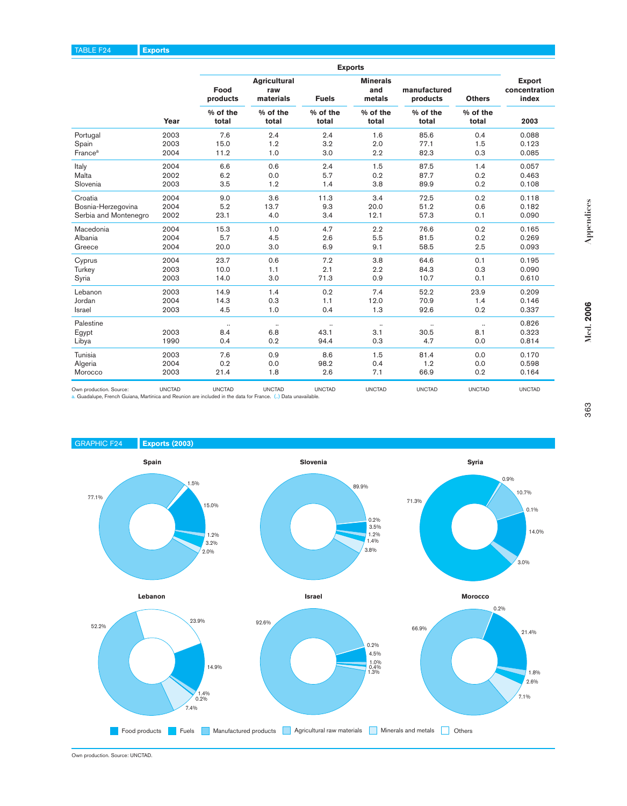|                                                                                                                                                            |                                        |                   |                                         |                   | <b>Exports</b>                   |                          |                   |                                         |      |
|------------------------------------------------------------------------------------------------------------------------------------------------------------|----------------------------------------|-------------------|-----------------------------------------|-------------------|----------------------------------|--------------------------|-------------------|-----------------------------------------|------|
|                                                                                                                                                            |                                        | Food<br>products  | <b>Agricultural</b><br>raw<br>materials | <b>Fuels</b>      | <b>Minerals</b><br>and<br>metals | manufactured<br>products | <b>Others</b>     | <b>Export</b><br>concentration<br>index |      |
|                                                                                                                                                            | Year                                   | % of the<br>total |                                         | % of the<br>total | % of the<br>total                | % of the<br>total        | % of the<br>total | % of the<br>total                       | 2003 |
| Portugal                                                                                                                                                   | 2003                                   | 7.6               | 2.4                                     | 2.4               | 1.6                              | 85.6                     | 0.4               | 0.088                                   |      |
| Spain                                                                                                                                                      | 2003                                   | 15.0              | 1.2                                     | 3.2               | 2.0                              | 77.1                     | 1.5               | 0.123                                   |      |
| France <sup>a</sup>                                                                                                                                        | 2004                                   | 11.2              | 1.0                                     | 3.0               | 2.2                              | 82.3                     | 0.3               | 0.085                                   |      |
| Italy                                                                                                                                                      | 2004                                   | 6.6               | 0.6                                     | 2.4               | 1.5                              | 87.5                     | 1.4               | 0.057                                   |      |
| Malta                                                                                                                                                      | 2002                                   | 6.2               | 0.0                                     | 5.7               | 0.2                              | 87.7                     | 0.2               | 0.463                                   |      |
| Slovenia                                                                                                                                                   | 2003                                   | 3.5               | 1.2                                     | 1.4               | 3.8                              | 89.9                     | 0.2               | 0.108                                   |      |
| Croatia                                                                                                                                                    | 2004                                   | 9.0               | 3.6                                     | 11.3              | 3.4                              | 72.5                     | 0.2               | 0.118                                   |      |
| Bosnia-Herzegovina                                                                                                                                         | 2004                                   | 5.2               | 13.7                                    | 9.3               | 20.0                             | 51.2                     | 0.6               | 0.182                                   |      |
| Serbia and Montenegro                                                                                                                                      | 2002                                   | 23.1              | 4.0                                     | 3.4               | 12.1                             | 57.3                     | 0.1               | 0.090                                   |      |
| Macedonia                                                                                                                                                  | 2004                                   | 15.3              | 1.0                                     | 4.7               | 2.2                              | 76.6                     | 0.2               | 0.165                                   |      |
| Albania                                                                                                                                                    | 2004                                   | 5.7               | 4.5                                     | 2.6               | 5.5                              | 81.5                     | 0.2               | 0.269                                   |      |
| Greece                                                                                                                                                     | 2004                                   | 20.0              | 3.0                                     | 6.9               | 9.1                              | 58.5                     | 2.5               | 0.093                                   |      |
| Cyprus                                                                                                                                                     | 2004                                   | 23.7              | 0.6                                     | 7.2               | 3.8                              | 64.6                     | 0.1               | 0.195                                   |      |
| Turkey                                                                                                                                                     | 2003                                   | 10.0              | 1.1                                     | 2.1               | 2.2                              | 84.3                     | 0.3               | 0.090                                   |      |
| Syria                                                                                                                                                      | 2003                                   | 14.0              | 3.0                                     | 71.3              | 0.9                              | 10.7                     | 0.1               | 0.610                                   |      |
| Lebanon                                                                                                                                                    | 2003                                   | 14.9              | 1.4                                     | 0.2               | 7.4                              | 52.2                     | 23.9              | 0.209                                   |      |
| Jordan                                                                                                                                                     | 2004                                   | 14.3              | 0.3                                     | 1.1               | 12.0                             | 70.9                     | 1.4               | 0.146                                   |      |
| Israel                                                                                                                                                     | 2003                                   | 4.5               | 1.0                                     | 0.4               | 1.3                              | 92.6                     | 0.2               | 0.337                                   |      |
| Palestine                                                                                                                                                  |                                        | $\ddotsc$         | $\ddotsc$                               | $\ddotsc$         | $\ddotsc$                        | $\ddotsc$                | $\ddotsc$         | 0.826                                   |      |
| Egypt                                                                                                                                                      | 2003                                   | 8.4               | 6.8                                     | 43.1              | 3.1                              | 30.5                     | 8.1               | 0.323                                   |      |
| Libya                                                                                                                                                      | 1990                                   | 0.4               | 0.2                                     | 94.4              | 0.3                              | 4.7                      | 0.0               | 0.814                                   |      |
| Tunisia                                                                                                                                                    | 2003                                   | 7.6               | 0.9                                     | 8.6               | 1.5                              | 81.4                     | 0.0               | 0.170                                   |      |
| Algeria                                                                                                                                                    | 2004                                   | 0.2               | 0.0                                     | 98.2              | 0.4                              | 1.2                      | 0.0               | 0.598                                   |      |
| Morocco                                                                                                                                                    | 2003                                   | 21.4              | 1.8                                     | 2.6               | 7.1                              | 66.9                     | 0.2               | 0.164                                   |      |
| Own production. Source:<br>Guadalupe, French Guiana, Martinica and Reunion are included in the data for France. () Data unavailable.<br><b>GRAPHIC F24</b> | <b>UNCTAD</b><br><b>Exports (2003)</b> | <b>UNCTAD</b>     | <b>UNCTAD</b>                           | <b>UNCTAD</b>     | <b>UNCTAD</b>                    | <b>UNCTAD</b>            | <b>UNCTAD</b>     | <b>UNCTAD</b>                           |      |
|                                                                                                                                                            |                                        |                   |                                         | Slovenia          |                                  |                          | <b>Syria</b>      |                                         |      |

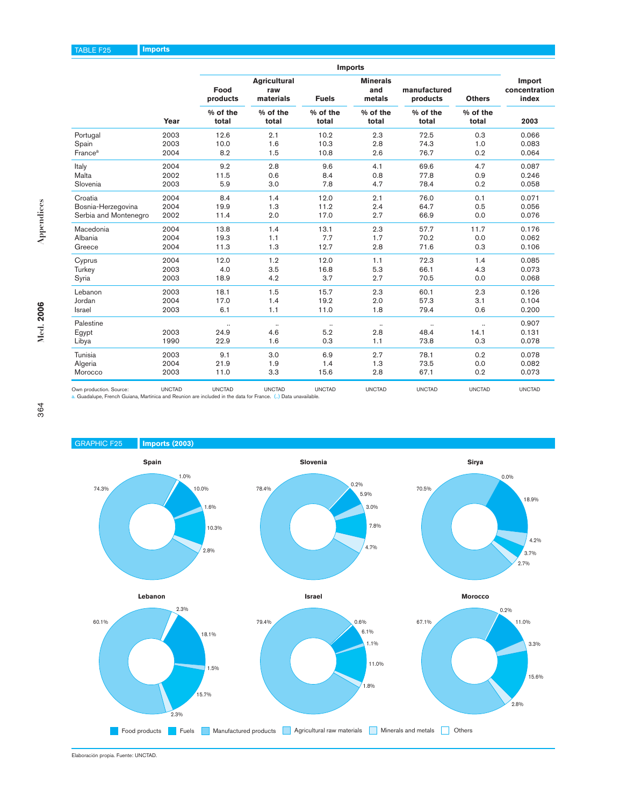| Portugal<br>Spain<br>France <sup>a</sup><br>Italy<br>Malta<br>Slovenia<br>Croatia<br>Bosnia-Herzegovina<br>Serbia and Montenegro                                               | Year<br>2003<br>2003<br>2004<br>2004<br>2002<br>2003<br>2004 | Food<br>products<br>% of the<br>total<br>12.6<br>10.0<br>8.2<br>9.2<br>11.5<br>5.9 | <b>Agricultural</b><br>raw<br>materials<br>% of the<br>total<br>2.1<br>1.6<br>1.5<br>$2.8\,$<br>0.6 | <b>Fuels</b><br>% of the<br>total<br>10.2<br>10.3<br>10.8<br>9.6 | <b>Minerals</b><br>and<br>metals<br>% of the<br>total<br>2.3<br>2.8<br>2.6 | manufactured<br>products<br>% of the<br>total<br>72.5<br>74.3<br>76.7 | <b>Others</b><br>% of the<br>total<br>0.3<br>1.0<br>0.2 | Import<br>concentration<br>index<br>2003<br>0.066<br>0.083 |
|--------------------------------------------------------------------------------------------------------------------------------------------------------------------------------|--------------------------------------------------------------|------------------------------------------------------------------------------------|-----------------------------------------------------------------------------------------------------|------------------------------------------------------------------|----------------------------------------------------------------------------|-----------------------------------------------------------------------|---------------------------------------------------------|------------------------------------------------------------|
|                                                                                                                                                                                |                                                              |                                                                                    |                                                                                                     |                                                                  |                                                                            |                                                                       |                                                         |                                                            |
|                                                                                                                                                                                |                                                              |                                                                                    |                                                                                                     |                                                                  |                                                                            |                                                                       |                                                         |                                                            |
|                                                                                                                                                                                |                                                              |                                                                                    |                                                                                                     |                                                                  |                                                                            |                                                                       |                                                         |                                                            |
|                                                                                                                                                                                |                                                              |                                                                                    |                                                                                                     |                                                                  |                                                                            |                                                                       |                                                         |                                                            |
|                                                                                                                                                                                |                                                              |                                                                                    |                                                                                                     |                                                                  |                                                                            |                                                                       |                                                         | 0.064                                                      |
|                                                                                                                                                                                |                                                              |                                                                                    |                                                                                                     |                                                                  | 4.1                                                                        | 69.6                                                                  | 4.7                                                     | 0.087                                                      |
|                                                                                                                                                                                |                                                              |                                                                                    |                                                                                                     | 8.4                                                              | 0.8                                                                        | 77.8                                                                  | 0.9                                                     | 0.246                                                      |
|                                                                                                                                                                                |                                                              |                                                                                    | 3.0                                                                                                 | 7.8                                                              | 4.7                                                                        | 78.4                                                                  | 0.2                                                     | 0.058                                                      |
|                                                                                                                                                                                |                                                              | 8.4                                                                                | 1.4                                                                                                 | 12.0                                                             | 2.1                                                                        | 76.0                                                                  | 0.1                                                     | 0.071                                                      |
|                                                                                                                                                                                | 2004                                                         | 19.9                                                                               | 1.3                                                                                                 | 11.2                                                             | 2.4                                                                        | 64.7                                                                  | 0.5                                                     | 0.056                                                      |
|                                                                                                                                                                                | 2002                                                         | 11.4                                                                               | 2.0                                                                                                 | 17.0                                                             | 2.7                                                                        | 66.9                                                                  | 0.0                                                     | 0.076                                                      |
| Macedonia                                                                                                                                                                      | 2004                                                         | 13.8                                                                               | 1.4                                                                                                 | 13.1                                                             | 2.3                                                                        | 57.7                                                                  | 11.7                                                    | 0.176                                                      |
| Albania                                                                                                                                                                        | 2004                                                         | 19.3                                                                               | 1.1                                                                                                 | 7.7                                                              | 1.7                                                                        | 70.2                                                                  | 0.0                                                     | 0.062                                                      |
| Greece                                                                                                                                                                         | 2004                                                         | 11.3                                                                               | 1.3                                                                                                 | 12.7                                                             | 2.8                                                                        | 71.6                                                                  | 0.3                                                     | 0.106                                                      |
| Cyprus                                                                                                                                                                         | 2004                                                         | 12.0                                                                               | 1.2                                                                                                 | 12.0                                                             | 1.1                                                                        | 72.3                                                                  | 1.4                                                     | 0.085                                                      |
| Turkey                                                                                                                                                                         | 2003                                                         | 4.0                                                                                | 3.5                                                                                                 | 16.8                                                             | 5.3                                                                        | 66.1                                                                  | 4.3                                                     | 0.073                                                      |
| Syria                                                                                                                                                                          | 2003                                                         | 18.9                                                                               | 4.2                                                                                                 | 3.7                                                              | 2.7                                                                        | 70.5                                                                  | 0.0                                                     | 0.068                                                      |
|                                                                                                                                                                                |                                                              |                                                                                    |                                                                                                     |                                                                  | 2.3                                                                        |                                                                       |                                                         |                                                            |
| Lebanon<br>Jordan                                                                                                                                                              | 2003<br>2004                                                 | 18.1<br>17.0                                                                       | 1.5<br>1.4                                                                                          | 15.7<br>19.2                                                     | 2.0                                                                        | 60.1<br>57.3                                                          | 2.3<br>3.1                                              | 0.126<br>0.104                                             |
| Israel                                                                                                                                                                         | 2003                                                         | 6.1                                                                                | 1.1                                                                                                 | 11.0                                                             | 1.8                                                                        | 79.4                                                                  | 0.6                                                     | 0.200                                                      |
|                                                                                                                                                                                |                                                              |                                                                                    |                                                                                                     |                                                                  |                                                                            |                                                                       |                                                         |                                                            |
| Palestine                                                                                                                                                                      |                                                              | $\ddotsc$                                                                          | $\ldots$                                                                                            | $\cdot$                                                          | $\ldots$                                                                   | $\ldots$                                                              | $\ddot{\phantom{a}}$                                    | 0.907                                                      |
| Egypt<br>Libya                                                                                                                                                                 | 2003<br>1990                                                 | 24.9<br>22.9                                                                       | 4.6<br>1.6                                                                                          | 5.2<br>0.3                                                       | 2.8<br>1.1                                                                 | 48.4<br>73.8                                                          | 14.1<br>0.3                                             | 0.131<br>0.078                                             |
|                                                                                                                                                                                |                                                              |                                                                                    |                                                                                                     |                                                                  |                                                                            |                                                                       |                                                         |                                                            |
| Tunisia                                                                                                                                                                        | 2003                                                         | 9.1                                                                                | 3.0                                                                                                 | 6.9                                                              | 2.7                                                                        | 78.1                                                                  | 0.2                                                     | 0.078                                                      |
| Algeria                                                                                                                                                                        | 2004                                                         | 21.9                                                                               | 1.9                                                                                                 | 1.4                                                              | 1.3                                                                        | 73.5                                                                  | 0.0                                                     | 0.082                                                      |
| Morocco                                                                                                                                                                        | 2003                                                         | 11.0                                                                               | 3.3                                                                                                 | 15.6                                                             | 2.8                                                                        | 67.1                                                                  | 0.2                                                     | 0.073                                                      |
| Own production. Source:<br>. Guadalupe, French Guiana, Martinica and Reunion are included in the data for France. () Data unavailable.<br><b>GRAPHIC F25</b><br>Imports (2003) | <b>UNCTAD</b>                                                | <b>UNCTAD</b>                                                                      | <b>UNCTAD</b>                                                                                       | <b>UNCTAD</b>                                                    | <b>UNCTAD</b>                                                              | <b>UNCTAD</b>                                                         | <b>UNCTAD</b>                                           | <b>UNCTAD</b>                                              |
| Spain                                                                                                                                                                          |                                                              |                                                                                    |                                                                                                     | Slovenia                                                         |                                                                            |                                                                       | Sirya                                                   |                                                            |

**Med. 2006**

Med. 2006

**Appendices**

Appendices



Elaboración propia. Fuente: UNCTAD.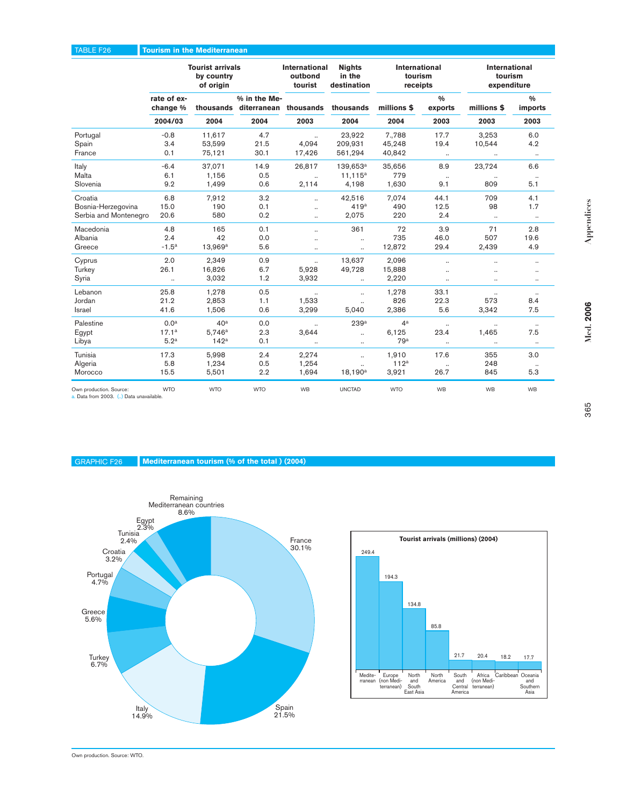## TABLE F26 **Tourism in the Mediterranean**

|                       | <b>Tourist arrivals</b><br>by country<br>of origin |                  |                                                           | International<br>outbond<br>tourist | <b>Nights</b><br>in the<br>destination | <b>International</b><br>tourism<br>receipts |                          | <b>International</b><br>tourism<br>expenditure |                          |
|-----------------------|----------------------------------------------------|------------------|-----------------------------------------------------------|-------------------------------------|----------------------------------------|---------------------------------------------|--------------------------|------------------------------------------------|--------------------------|
|                       | rate of ex-<br>change %                            |                  | % in the Me-<br>thousands diterranean thousands thousands |                                     |                                        | millions \$                                 | $\frac{0}{0}$<br>exports | millions \$                                    | $\frac{0}{0}$<br>imports |
|                       | 2004/03                                            | 2004             | 2004                                                      | 2003                                | 2004                                   | 2004                                        | 2003                     | 2003                                           | 2003                     |
| Portugal              | $-0.8$                                             | 11.617           | 4.7                                                       | $\ddotsc$                           | 23,922                                 | 7.788                                       | 17.7                     | 3,253                                          | 6.0                      |
| Spain                 | 3.4                                                | 53,599           | 21.5                                                      | 4.094                               | 209,931                                | 45,248                                      | 19.4                     | 10,544                                         | 4.2                      |
| France                | 0.1                                                | 75,121           | 30.1                                                      | 17,426                              | 561,294                                | 40,842                                      | $\ldots$                 | $\ddotsc$                                      | $\ldots$                 |
| Italy                 | $-6.4$                                             | 37.071           | 14.9                                                      | 26,817                              | 139.653 <sup>a</sup>                   | 35,656                                      | 8.9                      | 23,724                                         | 6.6                      |
| Malta                 | 6.1                                                | 1,156            | 0.5                                                       | u.                                  | $11,115^a$                             | 779                                         | $\ldots$                 | $\ddotsc$                                      | $\ldots$                 |
| Slovenia              | 9.2                                                | 1,499            | 0.6                                                       | 2,114                               | 4,198                                  | 1,630                                       | 9.1                      | 809                                            | 5.1                      |
| Croatia               | 6.8                                                | 7,912            | 3.2                                                       | $\ddotsc$                           | 42,516                                 | 7,074                                       | 44.1                     | 709                                            | 4.1                      |
| Bosnia-Herzegovina    | 15.0                                               | 190              | 0.1                                                       | $\ddot{\phantom{a}}$                | 419a                                   | 490                                         | 12.5                     | 98                                             | 1.7                      |
| Serbia and Montenegro | 20.6                                               | 580              | 0.2                                                       | $\ddotsc$                           | 2,075                                  | 220                                         | 2.4                      | $\ldots$                                       | $\cdot\cdot$             |
| Macedonia             | 4.8                                                | 165              | 0.1                                                       | $\ddotsc$                           | 361                                    | 72                                          | 3.9                      | 71                                             | 2.8                      |
| Albania               | 2.4                                                | 42               | 0.0                                                       |                                     | $\ddot{\phantom{a}}$                   | 735                                         | 46.0                     | 507                                            | 19.6                     |
| Greece                | $-1.5^{\rm a}$                                     | $13,969^a$       | 5.6                                                       | $\ldots$                            | $\ldots$                               | 12,872                                      | 29.4                     | 2,439                                          | 4.9                      |
| Cyprus                | 2.0                                                | 2,349            | 0.9                                                       | $\ddotsc$                           | 13,637                                 | 2,096                                       | $\ddot{\phantom{a}}$     | $\ddot{\phantom{a}}$                           | $\cdots$                 |
| Turkey                | 26.1                                               | 16,826           | 6.7                                                       | 5,928                               | 49,728                                 | 15,888                                      | $\ddot{\phantom{a}}$     |                                                |                          |
| Syria                 | $\ldots$                                           | 3,032            | 1.2                                                       | 3,932                               | $\ldots$                               | 2,220                                       | $\ldots$                 |                                                | $\cdots$                 |
| Lebanon               | 25.8                                               | 1,278            | 0.5                                                       |                                     | $\ddotsc$                              | 1,278                                       | 33.1                     |                                                | $\ldots$                 |
| Jordan                | 21.2                                               | 2,853            | 1.1                                                       | 1,533                               | $\ddot{\phantom{a}}$                   | 826                                         | 22.3                     | 573                                            | 8.4                      |
| <b>Israel</b>         | 41.6                                               | 1.506            | 0.6                                                       | 3,299                               | 5,040                                  | 2,386                                       | 5.6                      | 3,342                                          | 7.5                      |
| Palestine             | 0.0 <sup>a</sup>                                   | 40 <sup>a</sup>  | 0.0                                                       | $\ddotsc$                           | 239a                                   | 4 <sup>a</sup>                              | $\ddotsc$                |                                                | $\ldots$                 |
| Egypt                 | 17.1 <sup>a</sup>                                  | 5.746a           | 2.3                                                       | 3,644                               | $\ddotsc$                              | 6,125                                       | 23.4                     | 1,465                                          | 7.5                      |
| Libya                 | 5.2 <sup>a</sup>                                   | 142 <sup>a</sup> | 0.1                                                       | $\ddot{\phantom{a}}$                | Ω.                                     | 79a                                         | $\ldots$                 | $\ddotsc$                                      | $\ldots$                 |
| Tunisia               | 17.3                                               | 5.998            | 2.4                                                       | 2,274                               | $\ddot{\phantom{a}}$                   | 1,910                                       | 17.6                     | 355                                            | 3.0                      |
| Algeria               | 5.8                                                | 1,234            | 0.5                                                       | 1,254                               | $\ddot{\phantom{a}}$                   | 112 <sup>a</sup>                            | $\cdots$                 | 248                                            | $\cdot\cdot$             |
| Morocco               | 15.5                                               | 5,501            | 2.2                                                       | 1,694                               | $18,190^a$                             | 3,921                                       | 26.7                     | 845                                            | 5.3                      |

Own production. Source: WTO WTO WTO WTO WB UNCTAD WTO WB WB WB<br>a. Data from 2003. (..) Data unavailable.

### GRAPHIC F26 **Mediterranean tourism (% of the total ) (2004)**





Appendices **Appendices**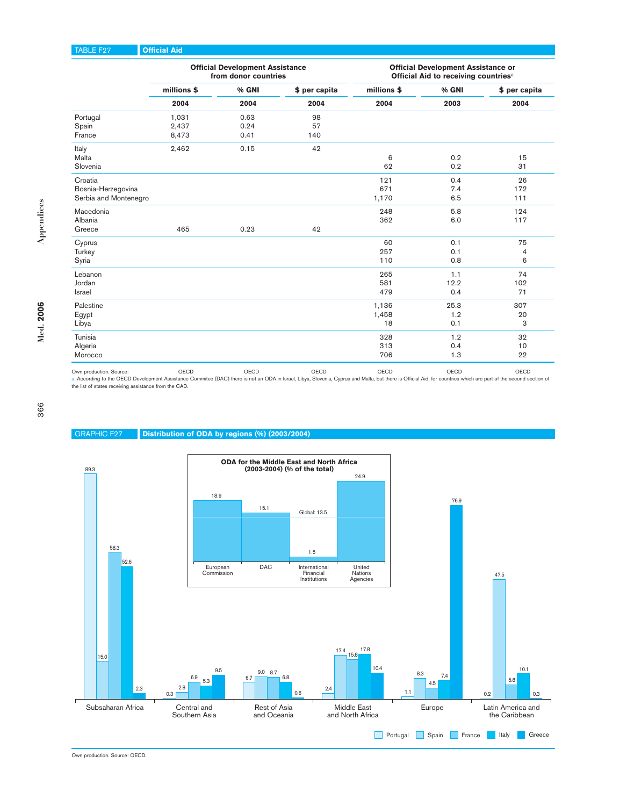### TABLE F27 **Official Aid**

|                         |             | <b>Official Development Assistance</b><br>from donor countries |               | <b>Official Development Assistance or</b><br>Official Aid to receiving countries <sup>a</sup> |       |               |  |
|-------------------------|-------------|----------------------------------------------------------------|---------------|-----------------------------------------------------------------------------------------------|-------|---------------|--|
|                         | millions \$ | % GNI                                                          | \$ per capita | millions \$                                                                                   | % GNI | \$ per capita |  |
|                         | 2004        | 2004                                                           | 2004          | 2004                                                                                          | 2003  | 2004          |  |
| Portugal                | 1,031       | 0.63                                                           | 98            |                                                                                               |       |               |  |
| Spain                   | 2,437       | 0.24                                                           | 57            |                                                                                               |       |               |  |
| France                  | 8,473       | 0.41                                                           | 140           |                                                                                               |       |               |  |
| Italy                   | 2,462       | 0.15                                                           | 42            |                                                                                               |       |               |  |
| Malta                   |             |                                                                |               | 6                                                                                             | 0.2   | 15            |  |
| Slovenia                |             |                                                                |               | 62                                                                                            | 0.2   | 31            |  |
| Croatia                 |             |                                                                |               | 121                                                                                           | 0.4   | 26            |  |
| Bosnia-Herzegovina      |             |                                                                |               | 671                                                                                           | 7.4   | 172           |  |
| Serbia and Montenegro   |             |                                                                |               | 1,170                                                                                         | 6.5   | 111           |  |
| Macedonia               |             |                                                                |               | 248                                                                                           | 5.8   | 124           |  |
| Albania                 |             |                                                                |               | 362                                                                                           | 6.0   | 117           |  |
| Greece                  | 465         | 0.23                                                           | 42            |                                                                                               |       |               |  |
| Cyprus                  |             |                                                                |               | 60                                                                                            | 0.1   | 75            |  |
| Turkey                  |             |                                                                |               | 257                                                                                           | 0.1   | 4             |  |
| Syria                   |             |                                                                |               | 110                                                                                           | 0.8   | 6             |  |
| Lebanon                 |             |                                                                |               | 265                                                                                           | 1.1   | 74            |  |
| Jordan                  |             |                                                                |               | 581                                                                                           | 12.2  | 102           |  |
| <b>Israel</b>           |             |                                                                |               | 479                                                                                           | 0.4   | 71            |  |
| Palestine               |             |                                                                |               | 1,136                                                                                         | 25.3  | 307           |  |
| Egypt                   |             |                                                                |               | 1,458                                                                                         | 1.2   | 20            |  |
| Libya                   |             |                                                                |               | 18                                                                                            | 0.1   | 3             |  |
| Tunisia                 |             |                                                                |               | 328                                                                                           | 1.2   | 32            |  |
| Algeria                 |             |                                                                |               | 313                                                                                           | 0.4   | 10            |  |
| Morocco                 |             |                                                                |               | 706                                                                                           | 1.3   | 22            |  |
| Own production. Source: | OECD        | OECD                                                           | OECD          | OECD                                                                                          | OECD  | OECD          |  |

Own production. Source: OECD OECD OECD OECD OECD OECD a. According to the OECD Development Assistance Commitee (DAC) there is not an ODA in Israel, Libya, Slovenia, Cyprus and Malta, but there is Official Aid, for countries which are part of the second section of the list of states receiving assistance from the CAD.

366

### GRAPHIC F27 **Distribution of ODA by regions (%) (2003/2004)**



Own production. Source: OECD.

**Med. 2006**